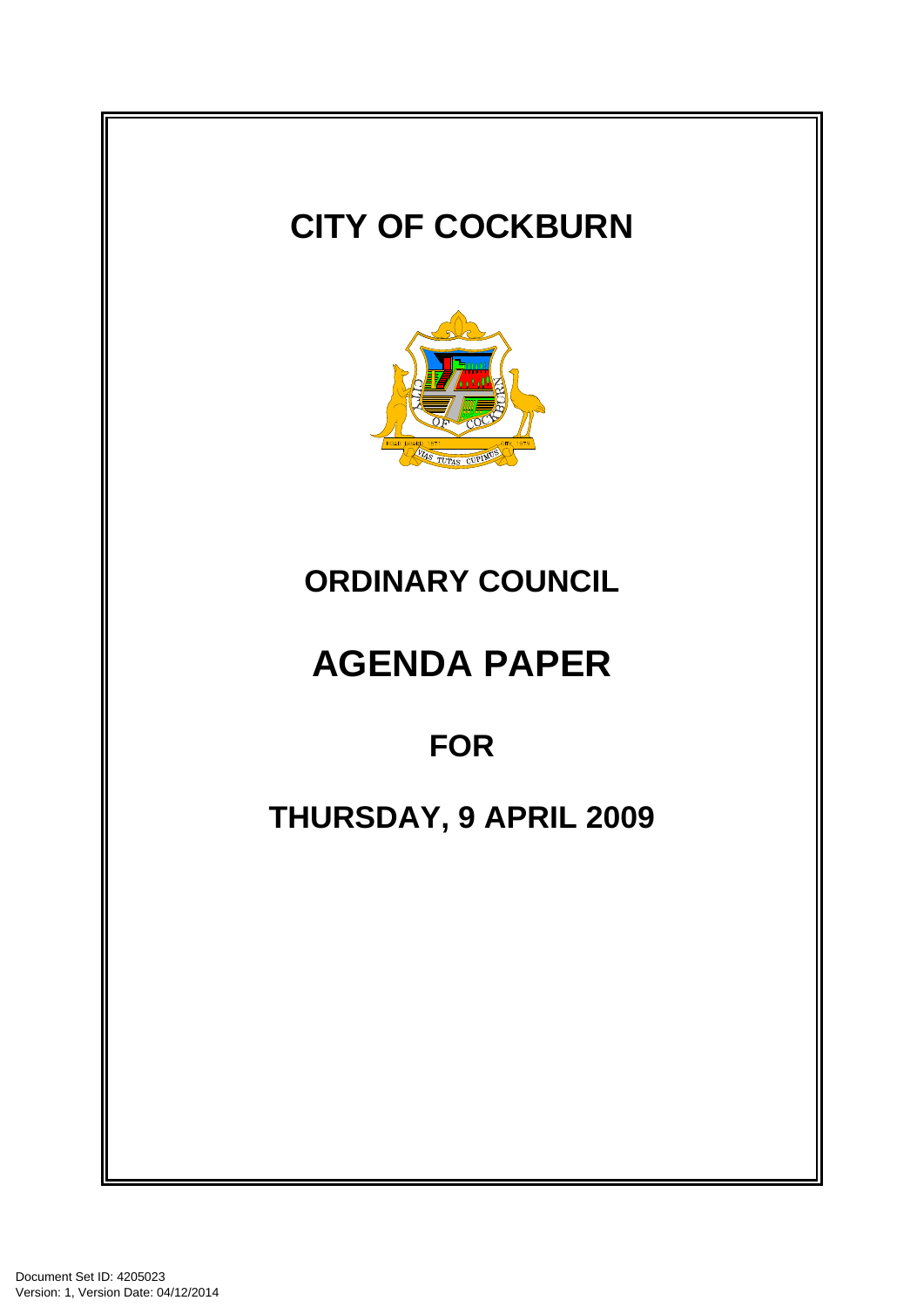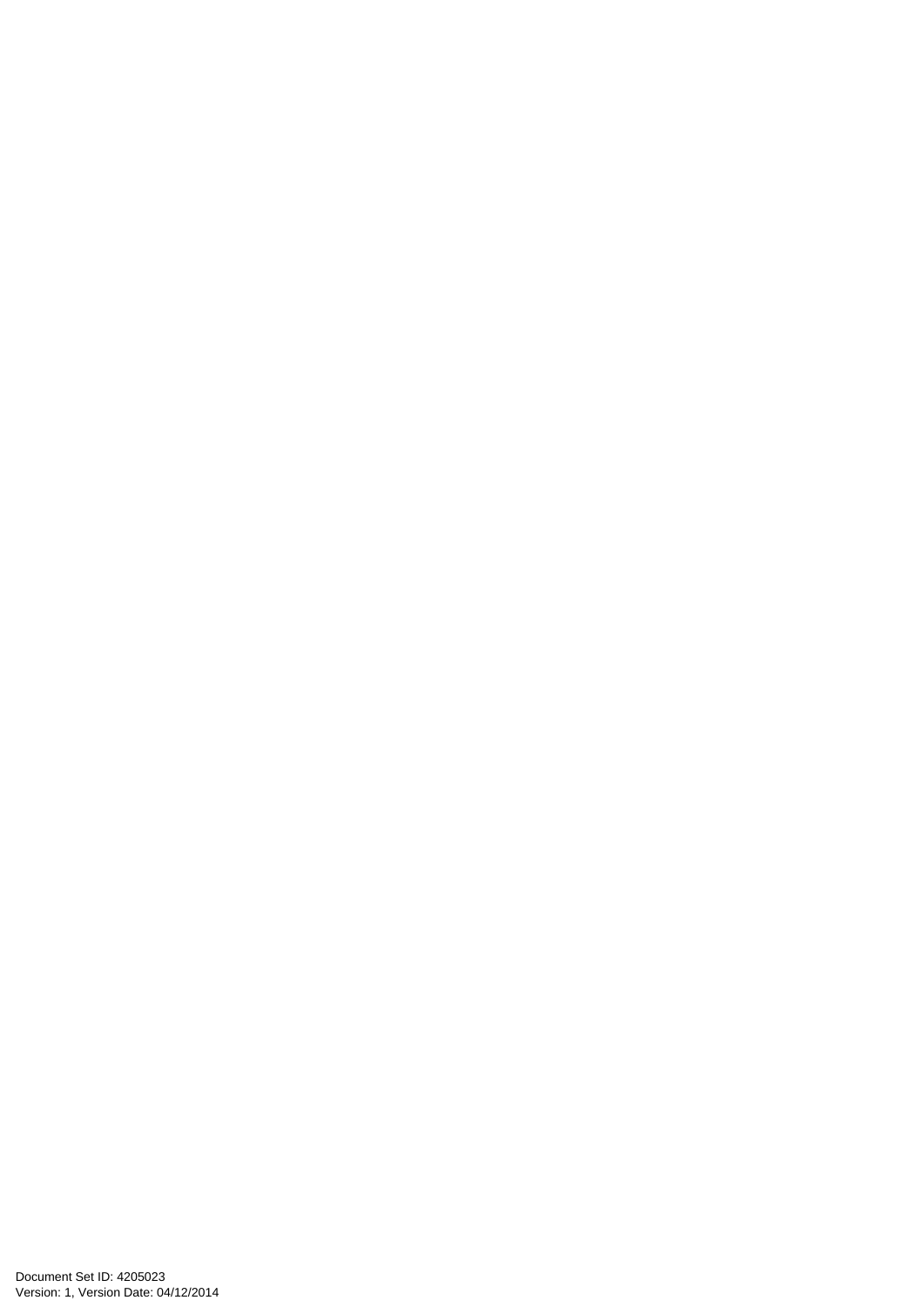Document Set ID: 4205023<br>Version: 1, Version Date: 04/12/2014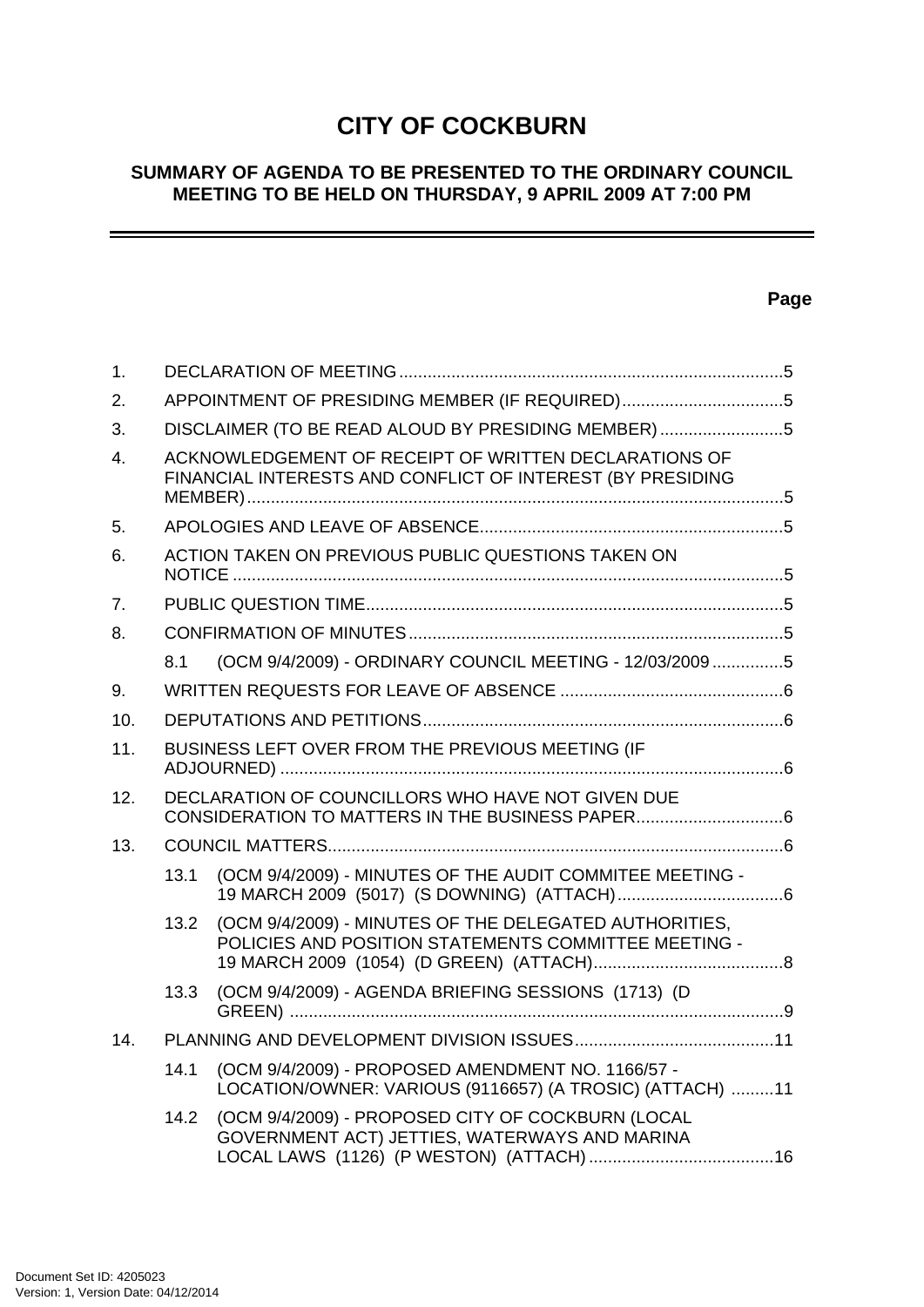# **CITY OF COCKBURN**

#### **SUMMARY OF AGENDA TO BE PRESENTED TO THE ORDINARY COUNCIL MEETING TO BE HELD ON THURSDAY, 9 APRIL 2009 AT 7:00 PM**

## **Page**

-

| 1.             |                                                                                                                     |                                                                                                                |  |  |
|----------------|---------------------------------------------------------------------------------------------------------------------|----------------------------------------------------------------------------------------------------------------|--|--|
| 2.             | APPOINTMENT OF PRESIDING MEMBER (IF REQUIRED)5                                                                      |                                                                                                                |  |  |
| 3.             | DISCLAIMER (TO BE READ ALOUD BY PRESIDING MEMBER)5                                                                  |                                                                                                                |  |  |
| $\mathbf{4}$ . | ACKNOWLEDGEMENT OF RECEIPT OF WRITTEN DECLARATIONS OF<br>FINANCIAL INTERESTS AND CONFLICT OF INTEREST (BY PRESIDING |                                                                                                                |  |  |
| 5.             |                                                                                                                     |                                                                                                                |  |  |
| 6.             |                                                                                                                     | ACTION TAKEN ON PREVIOUS PUBLIC QUESTIONS TAKEN ON                                                             |  |  |
| 7.             |                                                                                                                     |                                                                                                                |  |  |
| 8.             |                                                                                                                     |                                                                                                                |  |  |
|                | 8.1                                                                                                                 | (OCM 9/4/2009) - ORDINARY COUNCIL MEETING - 12/03/2009 5                                                       |  |  |
| 9.             |                                                                                                                     |                                                                                                                |  |  |
| 10.            |                                                                                                                     |                                                                                                                |  |  |
| 11.            | BUSINESS LEFT OVER FROM THE PREVIOUS MEETING (IF                                                                    |                                                                                                                |  |  |
| 12.            |                                                                                                                     | DECLARATION OF COUNCILLORS WHO HAVE NOT GIVEN DUE                                                              |  |  |
| 13.            |                                                                                                                     |                                                                                                                |  |  |
|                | 13.1                                                                                                                | (OCM 9/4/2009) - MINUTES OF THE AUDIT COMMITEE MEETING -                                                       |  |  |
|                | 13.2                                                                                                                | (OCM 9/4/2009) - MINUTES OF THE DELEGATED AUTHORITIES,<br>POLICIES AND POSITION STATEMENTS COMMITTEE MEETING - |  |  |
|                | 13.3                                                                                                                | (OCM 9/4/2009) - AGENDA BRIEFING SESSIONS (1713) (D                                                            |  |  |
| 14.            |                                                                                                                     |                                                                                                                |  |  |
|                | 14.1                                                                                                                | (OCM 9/4/2009) - PROPOSED AMENDMENT NO. 1166/57 -<br>LOCATION/OWNER: VARIOUS (9116657) (A TROSIC) (ATTACH) 11  |  |  |
|                | 14.2                                                                                                                | (OCM 9/4/2009) - PROPOSED CITY OF COCKBURN (LOCAL<br>GOVERNMENT ACT) JETTIES, WATERWAYS AND MARINA             |  |  |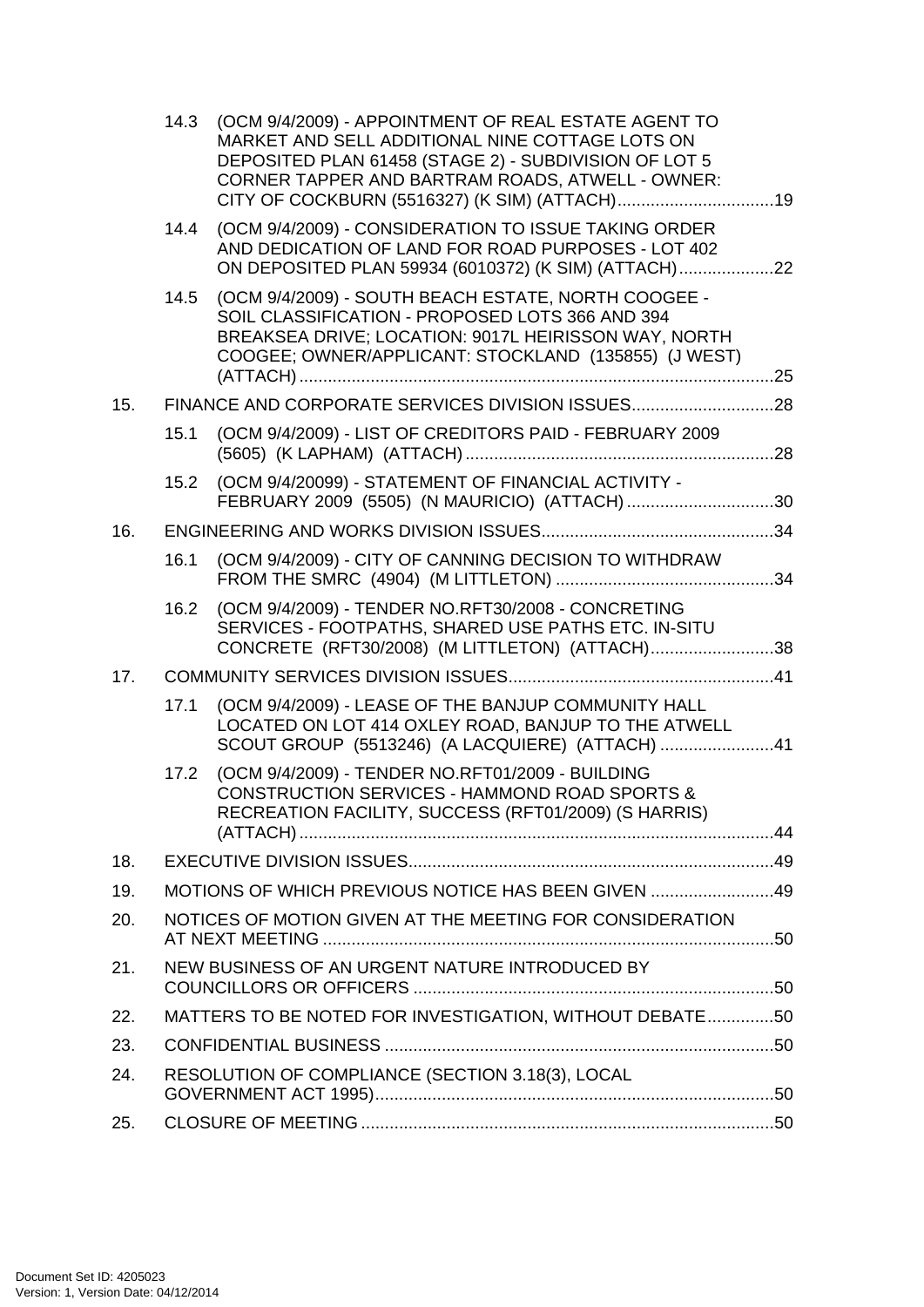|     | 14.3 | (OCM 9/4/2009) - APPOINTMENT OF REAL ESTATE AGENT TO<br>MARKET AND SELL ADDITIONAL NINE COTTAGE LOTS ON<br>DEPOSITED PLAN 61458 (STAGE 2) - SUBDIVISION OF LOT 5<br>CORNER TAPPER AND BARTRAM ROADS, ATWELL - OWNER:   |  |
|-----|------|------------------------------------------------------------------------------------------------------------------------------------------------------------------------------------------------------------------------|--|
|     | 14.4 | (OCM 9/4/2009) - CONSIDERATION TO ISSUE TAKING ORDER<br>AND DEDICATION OF LAND FOR ROAD PURPOSES - LOT 402<br>ON DEPOSITED PLAN 59934 (6010372) (K SIM) (ATTACH)                                                       |  |
|     | 14.5 | (OCM 9/4/2009) - SOUTH BEACH ESTATE, NORTH COOGEE -<br>SOIL CLASSIFICATION - PROPOSED LOTS 366 AND 394<br>BREAKSEA DRIVE; LOCATION: 9017L HEIRISSON WAY, NORTH<br>COOGEE; OWNER/APPLICANT: STOCKLAND (135855) (J WEST) |  |
| 15. |      |                                                                                                                                                                                                                        |  |
|     | 15.1 | (OCM 9/4/2009) - LIST OF CREDITORS PAID - FEBRUARY 2009                                                                                                                                                                |  |
|     | 15.2 | (OCM 9/4/20099) - STATEMENT OF FINANCIAL ACTIVITY -<br>FEBRUARY 2009 (5505) (N MAURICIO) (ATTACH) 30                                                                                                                   |  |
| 16. |      |                                                                                                                                                                                                                        |  |
|     | 16.1 | (OCM 9/4/2009) - CITY OF CANNING DECISION TO WITHDRAW                                                                                                                                                                  |  |
|     | 16.2 | (OCM 9/4/2009) - TENDER NO.RFT30/2008 - CONCRETING<br>SERVICES - FOOTPATHS, SHARED USE PATHS ETC. IN-SITU<br>CONCRETE (RFT30/2008) (M LITTLETON) (ATTACH)38                                                            |  |
| 17. |      |                                                                                                                                                                                                                        |  |
|     | 17.1 | (OCM 9/4/2009) - LEASE OF THE BANJUP COMMUNITY HALL<br>LOCATED ON LOT 414 OXLEY ROAD, BANJUP TO THE ATWELL<br>SCOUT GROUP (5513246) (A LACQUIERE) (ATTACH) 41                                                          |  |
|     | 17.2 | (OCM 9/4/2009) - TENDER NO.RFT01/2009 - BUILDING<br><b>CONSTRUCTION SERVICES - HAMMOND ROAD SPORTS &amp;</b><br>RECREATION FACILITY, SUCCESS (RFT01/2009) (S HARRIS)                                                   |  |
|     |      |                                                                                                                                                                                                                        |  |
| 18. |      |                                                                                                                                                                                                                        |  |
| 19. |      | MOTIONS OF WHICH PREVIOUS NOTICE HAS BEEN GIVEN 49                                                                                                                                                                     |  |
| 20. |      | NOTICES OF MOTION GIVEN AT THE MEETING FOR CONSIDERATION                                                                                                                                                               |  |
| 21. |      | NEW BUSINESS OF AN URGENT NATURE INTRODUCED BY                                                                                                                                                                         |  |
| 22. |      | MATTERS TO BE NOTED FOR INVESTIGATION, WITHOUT DEBATE50                                                                                                                                                                |  |
| 23. |      |                                                                                                                                                                                                                        |  |
| 24. |      | RESOLUTION OF COMPLIANCE (SECTION 3.18(3), LOCAL                                                                                                                                                                       |  |
| 25. |      |                                                                                                                                                                                                                        |  |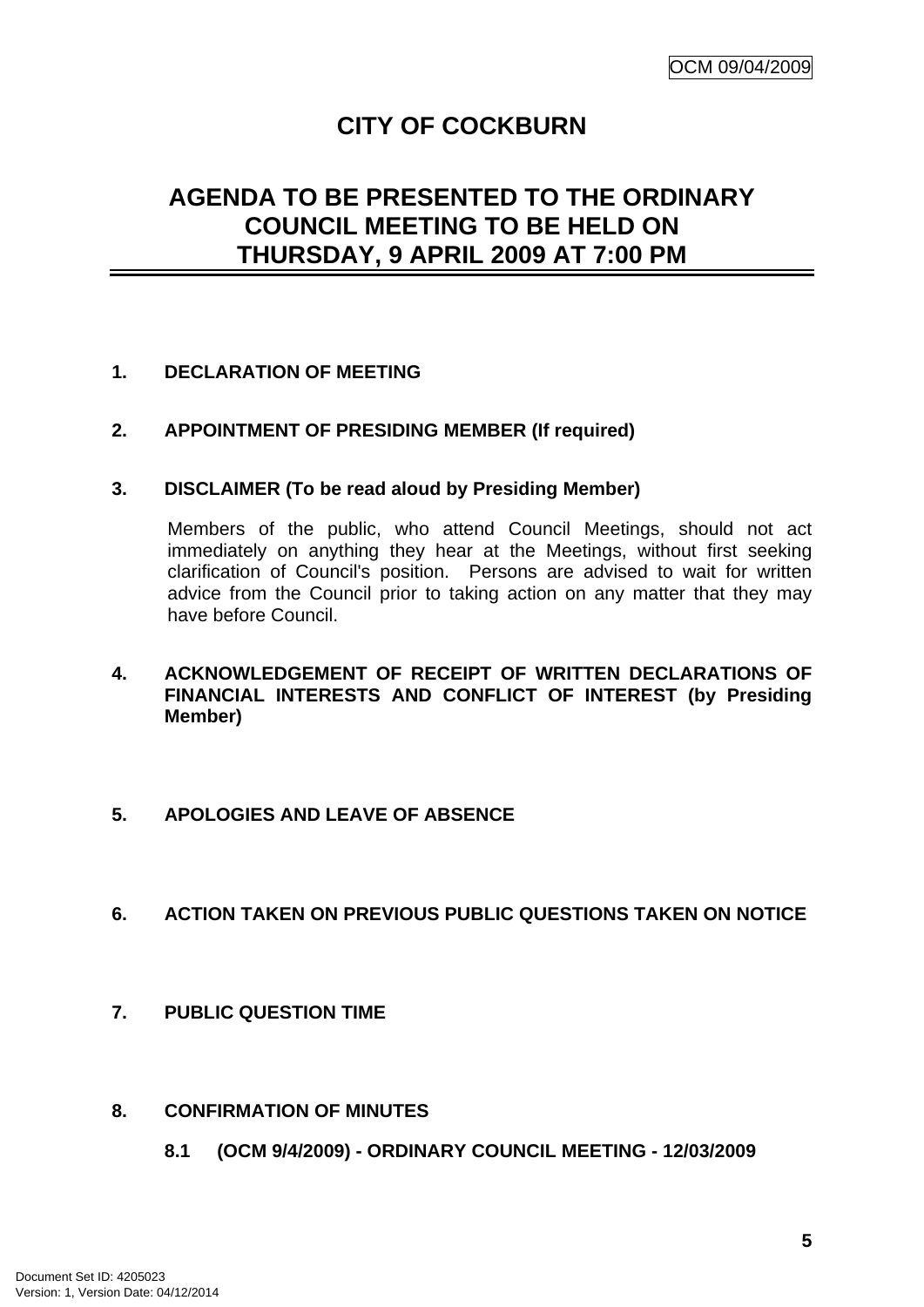# **CITY OF COCKBURN**

# <span id="page-4-0"></span>**AGENDA TO BE PRESENTED TO THE ORDINARY COUNCIL MEETING TO BE HELD ON THURSDAY, 9 APRIL 2009 AT 7:00 PM**

## **1. DECLARATION OF MEETING**

## **2. APPOINTMENT OF PRESIDING MEMBER (If required)**

#### **3. DISCLAIMER (To be read aloud by Presiding Member)**

Members of the public, who attend Council Meetings, should not act immediately on anything they hear at the Meetings, without first seeking clarification of Council's position. Persons are advised to wait for written advice from the Council prior to taking action on any matter that they may have before Council.

## **4. ACKNOWLEDGEMENT OF RECEIPT OF WRITTEN DECLARATIONS OF FINANCIAL INTERESTS AND CONFLICT OF INTEREST (by Presiding Member)**

#### **5. APOLOGIES AND LEAVE OF ABSENCE**

#### **6. ACTION TAKEN ON PREVIOUS PUBLIC QUESTIONS TAKEN ON NOTICE**

- **7. PUBLIC QUESTION TIME**
- **8. CONFIRMATION OF MINUTES** 
	- **8.1 (OCM 9/4/2009) ORDINARY COUNCIL MEETING 12/03/2009**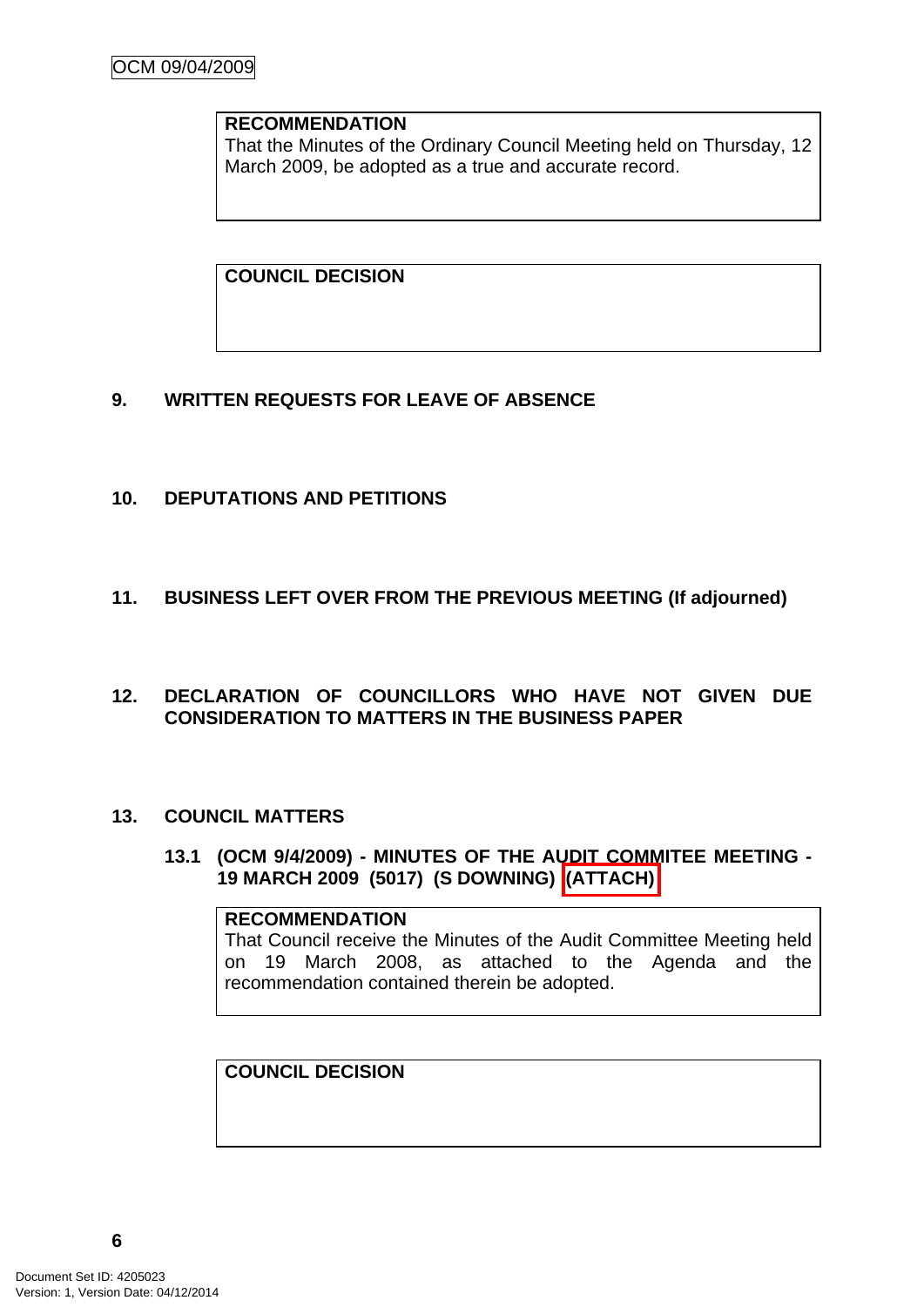## <span id="page-5-0"></span>**RECOMMENDATION**

That the Minutes of the Ordinary Council Meeting held on Thursday, 12 March 2009, be adopted as a true and accurate record.

**COUNCIL DECISION** 

## **9. WRITTEN REQUESTS FOR LEAVE OF ABSENCE**

**10. DEPUTATIONS AND PETITIONS** 

## **11. BUSINESS LEFT OVER FROM THE PREVIOUS MEETING (If adjourned)**

## **12. DECLARATION OF COUNCILLORS WHO HAVE NOT GIVEN DUE CONSIDERATION TO MATTERS IN THE BUSINESS PAPER**

#### **13. COUNCIL MATTERS**

**13.1 (OCM 9/4/2009) - MINUTES OF THE AUDIT COMMITEE MEETING - 19 MARCH 2009 (5017) (S DOWNING) (ATTACH)** 

#### **RECOMMENDATION**

That Council receive the Minutes of the Audit Committee Meeting held on 19 March 2008, as attached to the Agenda and the recommendation contained therein be adopted.

**COUNCIL DECISION**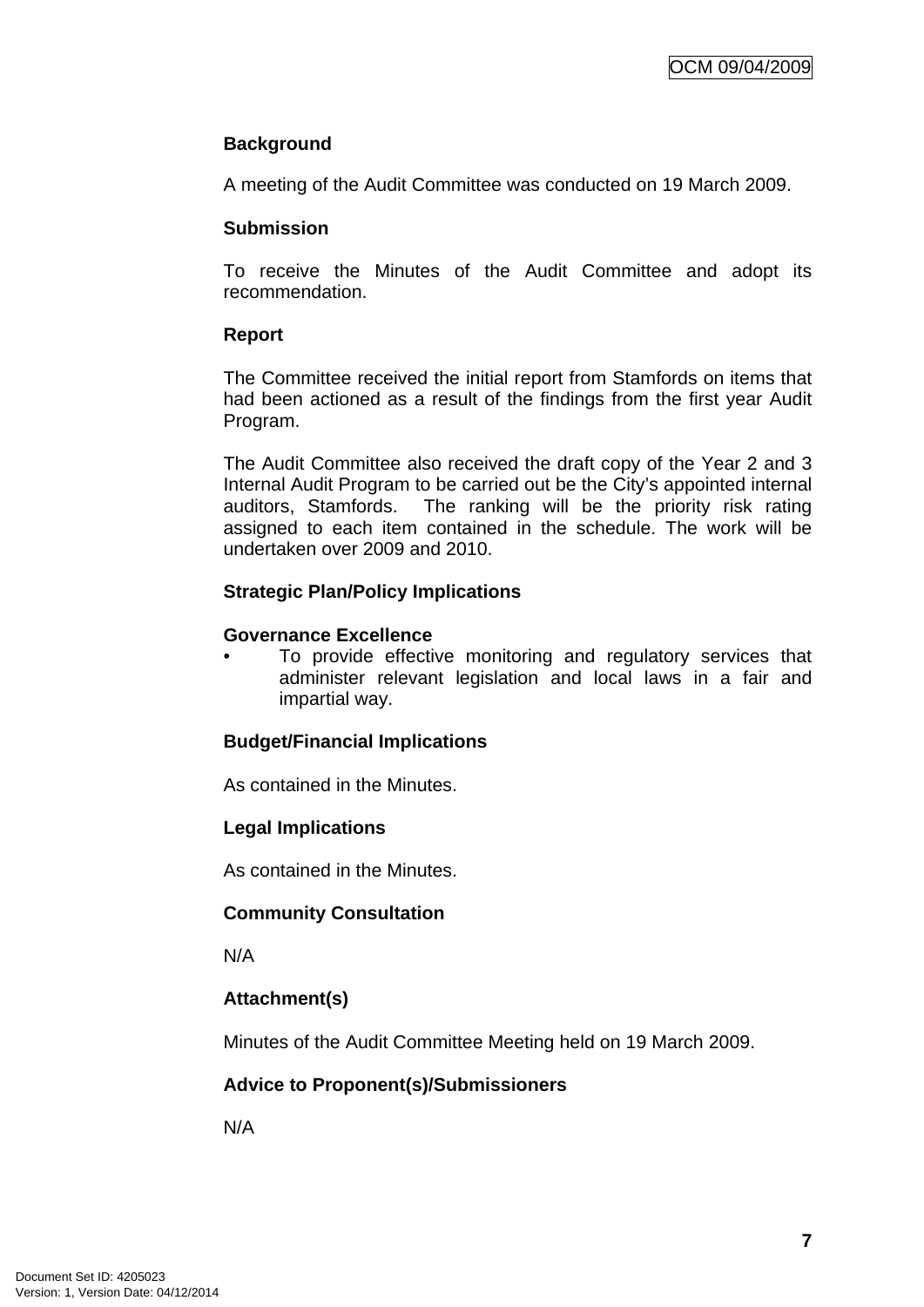## **Background**

A meeting of the Audit Committee was conducted on 19 March 2009.

#### **Submission**

To receive the Minutes of the Audit Committee and adopt its recommendation.

#### **Report**

The Committee received the initial report from Stamfords on items that had been actioned as a result of the findings from the first year Audit Program.

The Audit Committee also received the draft copy of the Year 2 and 3 Internal Audit Program to be carried out be the City's appointed internal auditors, Stamfords. The ranking will be the priority risk rating assigned to each item contained in the schedule. The work will be undertaken over 2009 and 2010.

## **Strategic Plan/Policy Implications**

#### **Governance Excellence**

To provide effective monitoring and regulatory services that administer relevant legislation and local laws in a fair and impartial way.

#### **Budget/Financial Implications**

As contained in the Minutes.

#### **Legal Implications**

As contained in the Minutes.

#### **Community Consultation**

N/A

## **Attachment(s)**

Minutes of the Audit Committee Meeting held on 19 March 2009.

#### **Advice to Proponent(s)/Submissioners**

N/A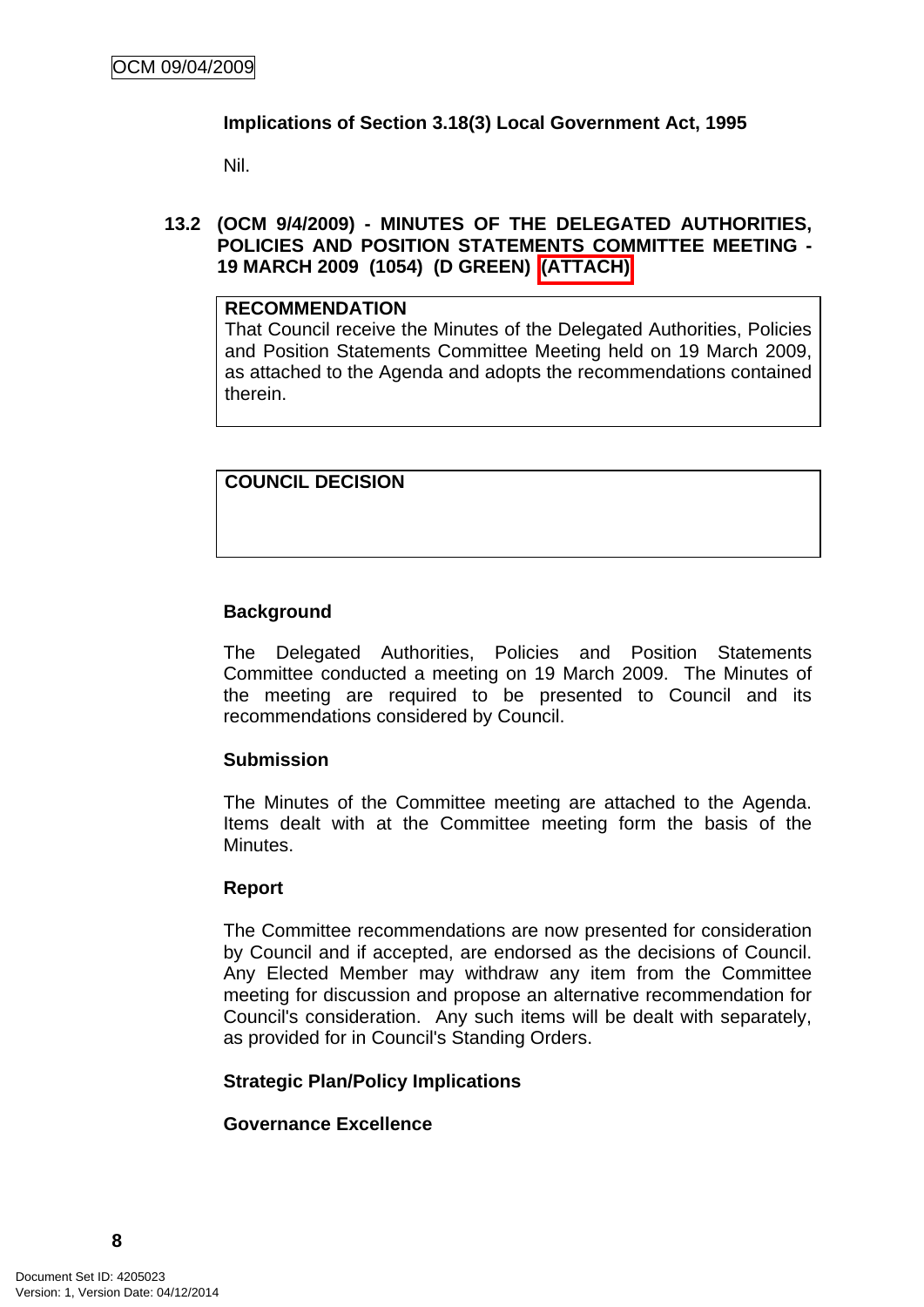## <span id="page-7-0"></span>**Implications of Section 3.18(3) Local Government Act, 1995**

Nil.

**13.2 (OCM 9/4/2009) - MINUTES OF THE DELEGATED AUTHORITIES, POLICIES AND POSITION STATEMENTS COMMITTEE MEETING - 19 MARCH 2009 (1054) (D GREEN) (ATTACH)** 

#### **RECOMMENDATION**

That Council receive the Minutes of the Delegated Authorities, Policies and Position Statements Committee Meeting held on 19 March 2009, as attached to the Agenda and adopts the recommendations contained therein.

## **COUNCIL DECISION**

## **Background**

The Delegated Authorities, Policies and Position Statements Committee conducted a meeting on 19 March 2009. The Minutes of the meeting are required to be presented to Council and its recommendations considered by Council.

#### **Submission**

The Minutes of the Committee meeting are attached to the Agenda. Items dealt with at the Committee meeting form the basis of the Minutes.

#### **Report**

The Committee recommendations are now presented for consideration by Council and if accepted, are endorsed as the decisions of Council. Any Elected Member may withdraw any item from the Committee meeting for discussion and propose an alternative recommendation for Council's consideration. Any such items will be dealt with separately, as provided for in Council's Standing Orders.

#### **Strategic Plan/Policy Implications**

#### **Governance Excellence**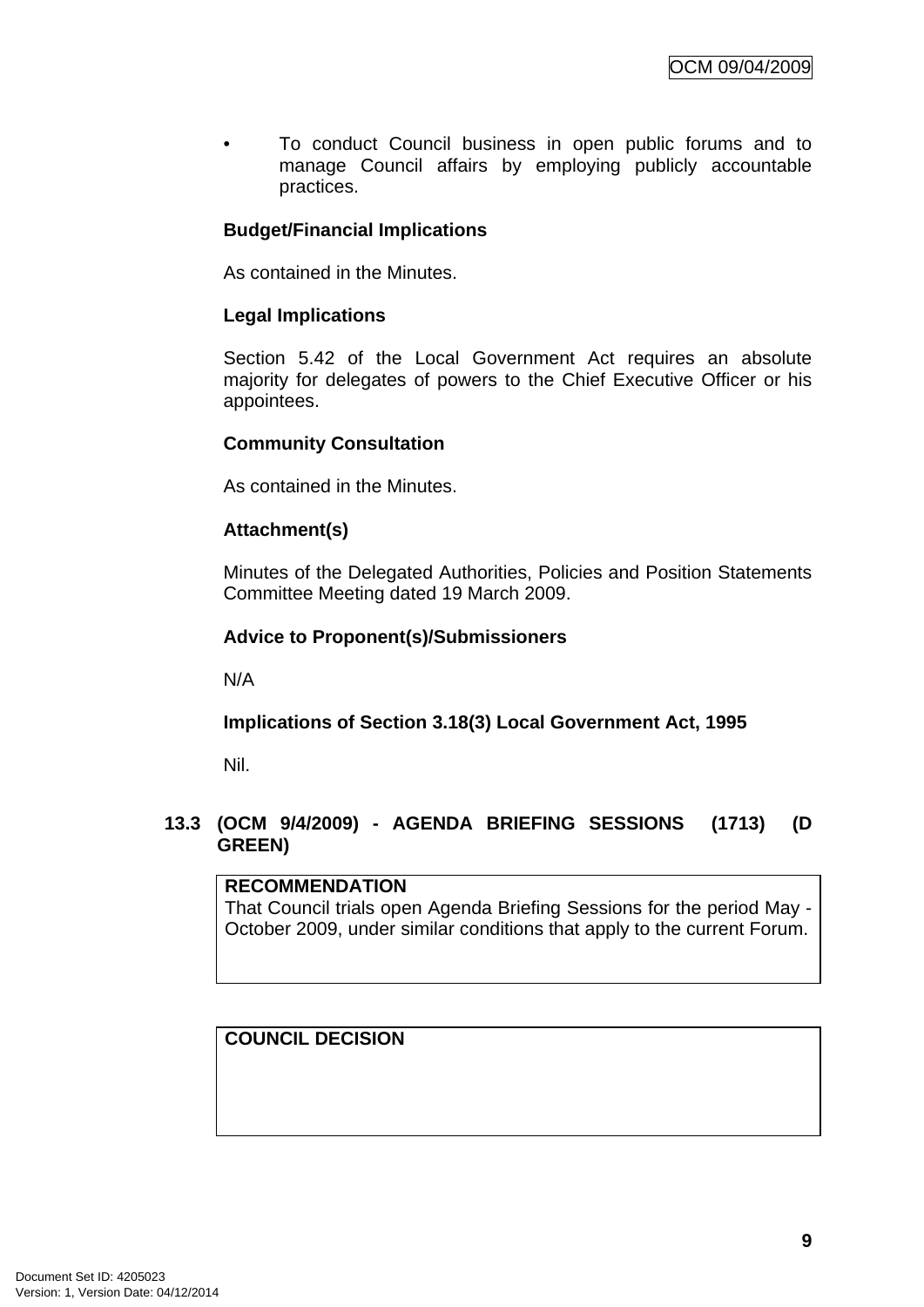<span id="page-8-0"></span>• To conduct Council business in open public forums and to manage Council affairs by employing publicly accountable practices.

## **Budget/Financial Implications**

As contained in the Minutes.

#### **Legal Implications**

Section 5.42 of the Local Government Act requires an absolute majority for delegates of powers to the Chief Executive Officer or his appointees.

#### **Community Consultation**

As contained in the Minutes.

#### **Attachment(s)**

Minutes of the Delegated Authorities, Policies and Position Statements Committee Meeting dated 19 March 2009.

#### **Advice to Proponent(s)/Submissioners**

N/A

#### **Implications of Section 3.18(3) Local Government Act, 1995**

Nil.

## **13.3 (OCM 9/4/2009) - AGENDA BRIEFING SESSIONS (1713) (D GREEN)**

#### **RECOMMENDATION**

That Council trials open Agenda Briefing Sessions for the period May - October 2009, under similar conditions that apply to the current Forum.

#### **COUNCIL DECISION**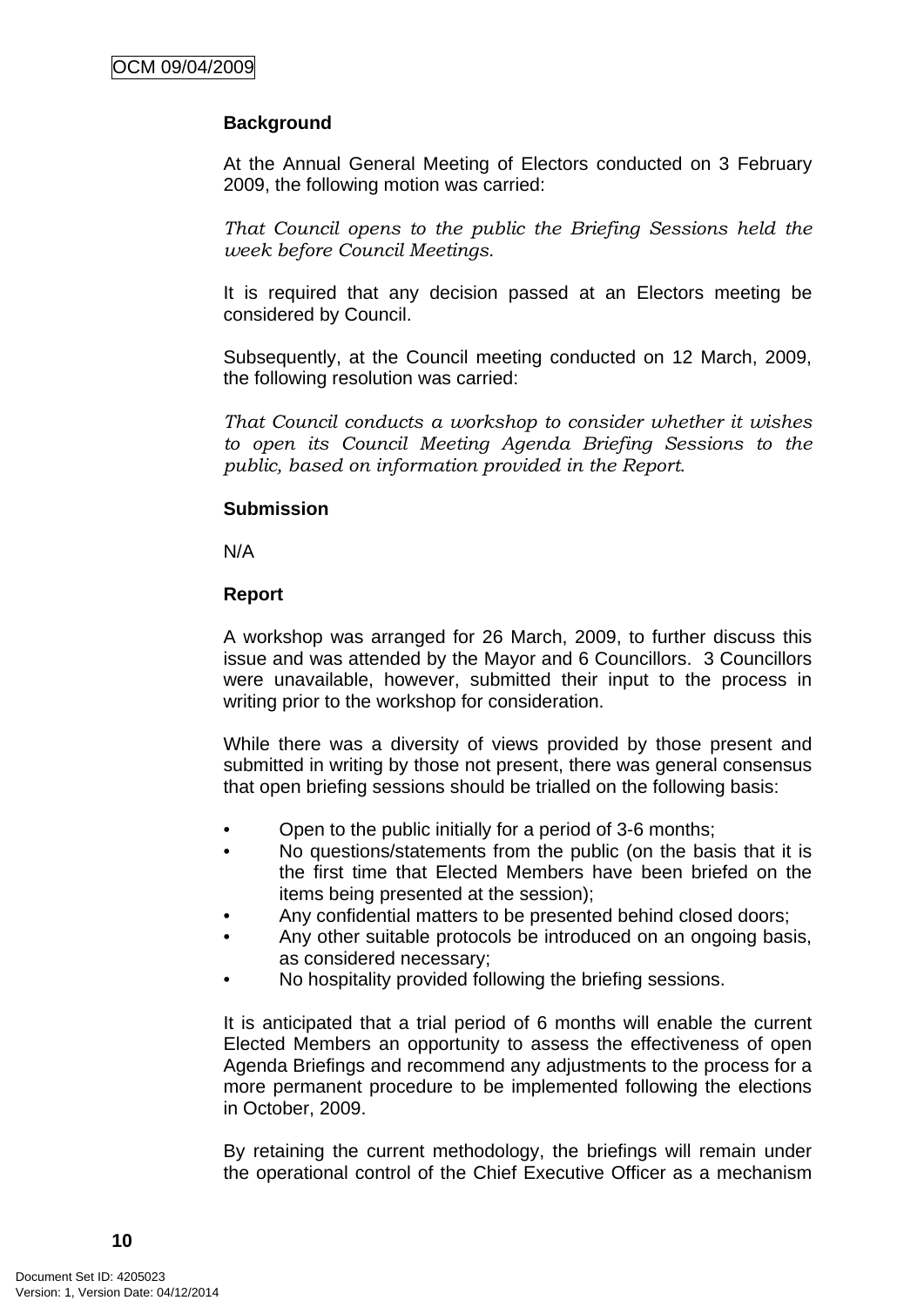## **Background**

At the Annual General Meeting of Electors conducted on 3 February 2009, the following motion was carried:

*That Council opens to the public the Briefing Sessions held the week before Council Meetings.* 

It is required that any decision passed at an Electors meeting be considered by Council.

Subsequently, at the Council meeting conducted on 12 March, 2009, the following resolution was carried:

*That Council conducts a workshop to consider whether it wishes to open its Council Meeting Agenda Briefing Sessions to the public, based on information provided in the Report.* 

#### **Submission**

N/A

#### **Report**

A workshop was arranged for 26 March, 2009, to further discuss this issue and was attended by the Mayor and 6 Councillors. 3 Councillors were unavailable, however, submitted their input to the process in writing prior to the workshop for consideration.

While there was a diversity of views provided by those present and submitted in writing by those not present, there was general consensus that open briefing sessions should be trialled on the following basis:

- Open to the public initially for a period of 3-6 months;
- No questions/statements from the public (on the basis that it is the first time that Elected Members have been briefed on the items being presented at the session);
- Any confidential matters to be presented behind closed doors;
- Any other suitable protocols be introduced on an ongoing basis, as considered necessary;
- No hospitality provided following the briefing sessions.

It is anticipated that a trial period of 6 months will enable the current Elected Members an opportunity to assess the effectiveness of open Agenda Briefings and recommend any adjustments to the process for a more permanent procedure to be implemented following the elections in October, 2009.

By retaining the current methodology, the briefings will remain under the operational control of the Chief Executive Officer as a mechanism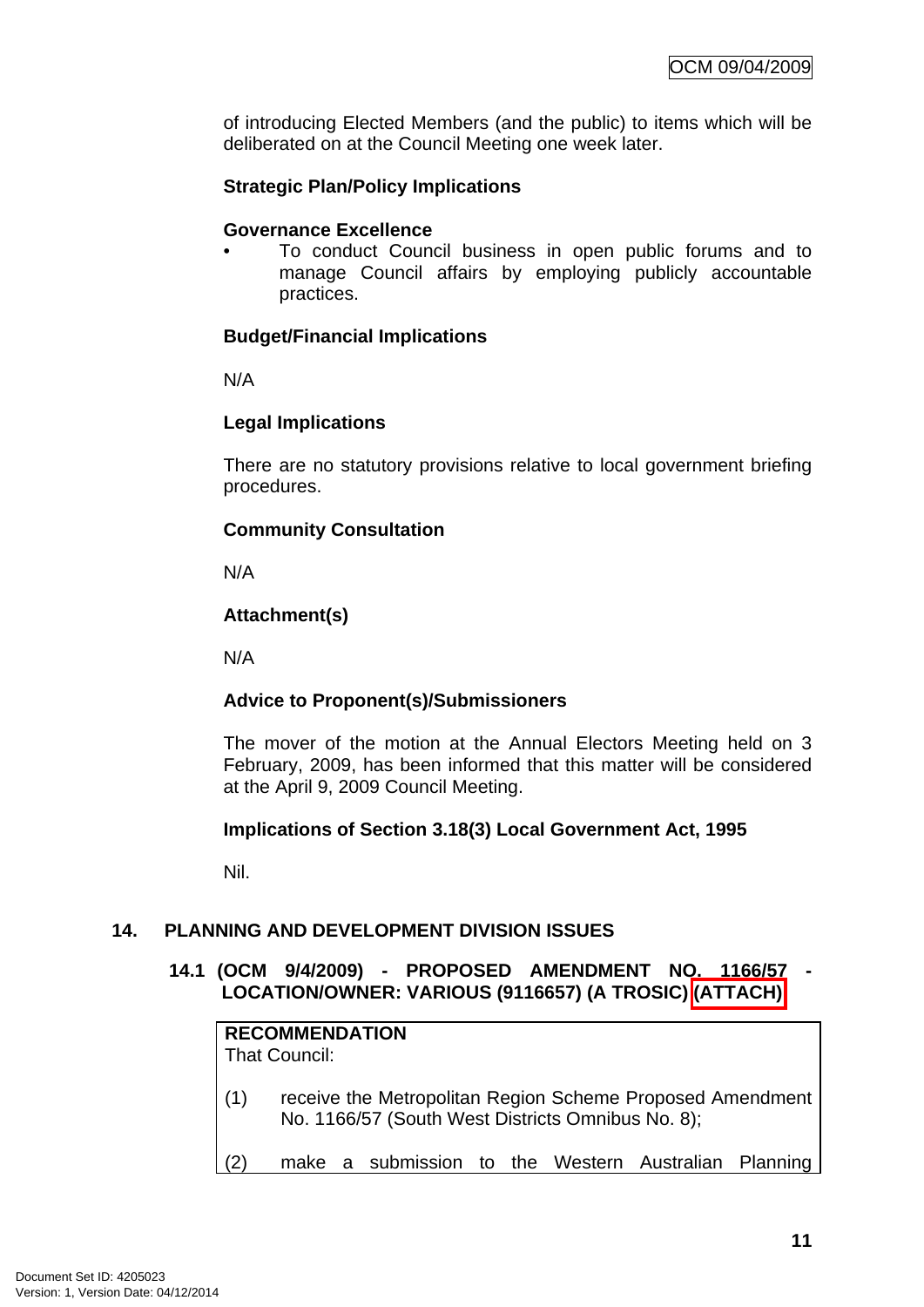<span id="page-10-0"></span>of introducing Elected Members (and the public) to items which will be deliberated on at the Council Meeting one week later.

## **Strategic Plan/Policy Implications**

#### **Governance Excellence**

• To conduct Council business in open public forums and to manage Council affairs by employing publicly accountable practices.

#### **Budget/Financial Implications**

N/A

#### **Legal Implications**

There are no statutory provisions relative to local government briefing procedures.

#### **Community Consultation**

N/A

## **Attachment(s)**

N/A

## **Advice to Proponent(s)/Submissioners**

The mover of the motion at the Annual Electors Meeting held on 3 February, 2009, has been informed that this matter will be considered at the April 9, 2009 Council Meeting.

#### **Implications of Section 3.18(3) Local Government Act, 1995**

Nil.

#### **14. PLANNING AND DEVELOPMENT DIVISION ISSUES**

## **14.1 (OCM 9/4/2009) - PROPOSED AMENDMENT NO. 1166/57 - LOCATION/OWNER: VARIOUS (9116657) (A TROSIC) (ATTACH)**

# **RECOMMENDATION** That Council: (1) receive the Metropolitan Region Scheme Proposed Amendment No. 1166/57 (South West Districts Omnibus No. 8);

(2) make a submission to the Western Australian Planning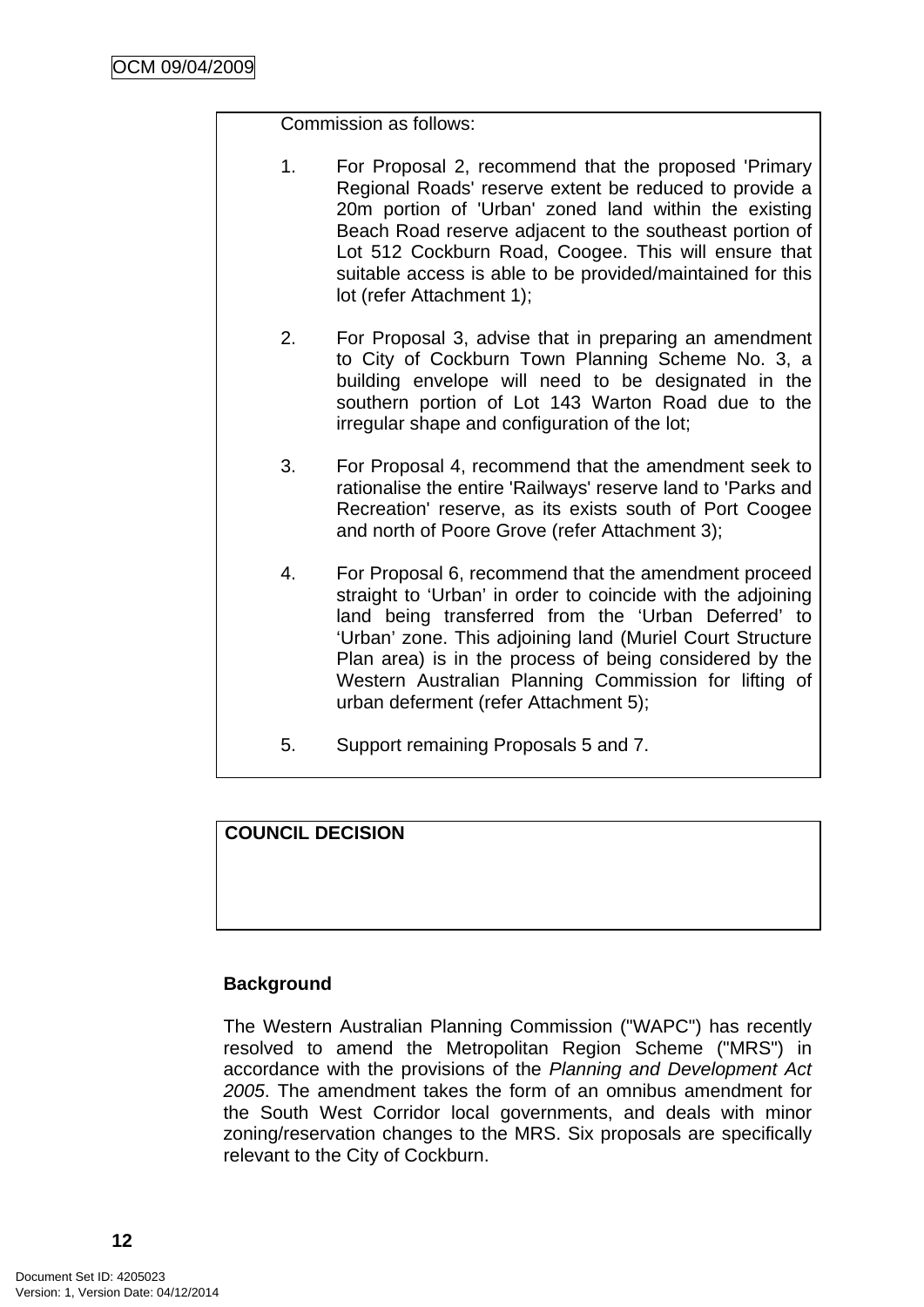Commission as follows:

- 1. For Proposal 2, recommend that the proposed 'Primary Regional Roads' reserve extent be reduced to provide a 20m portion of 'Urban' zoned land within the existing Beach Road reserve adjacent to the southeast portion of Lot 512 Cockburn Road, Coogee. This will ensure that suitable access is able to be provided/maintained for this lot (refer Attachment 1);
- 2. For Proposal 3, advise that in preparing an amendment to City of Cockburn Town Planning Scheme No. 3, a building envelope will need to be designated in the southern portion of Lot 143 Warton Road due to the irregular shape and configuration of the lot;
- 3. For Proposal 4, recommend that the amendment seek to rationalise the entire 'Railways' reserve land to 'Parks and Recreation' reserve, as its exists south of Port Coogee and north of Poore Grove (refer Attachment 3);
- 4. For Proposal 6, recommend that the amendment proceed straight to 'Urban' in order to coincide with the adjoining land being transferred from the 'Urban Deferred' to 'Urban' zone. This adjoining land (Muriel Court Structure Plan area) is in the process of being considered by the Western Australian Planning Commission for lifting of urban deferment (refer Attachment 5);
- 5. Support remaining Proposals 5 and 7.

## **COUNCIL DECISION**

#### **Background**

The Western Australian Planning Commission ("WAPC") has recently resolved to amend the Metropolitan Region Scheme ("MRS") in accordance with the provisions of the *Planning and Development Act 2005*. The amendment takes the form of an omnibus amendment for the South West Corridor local governments, and deals with minor zoning/reservation changes to the MRS. Six proposals are specifically relevant to the City of Cockburn.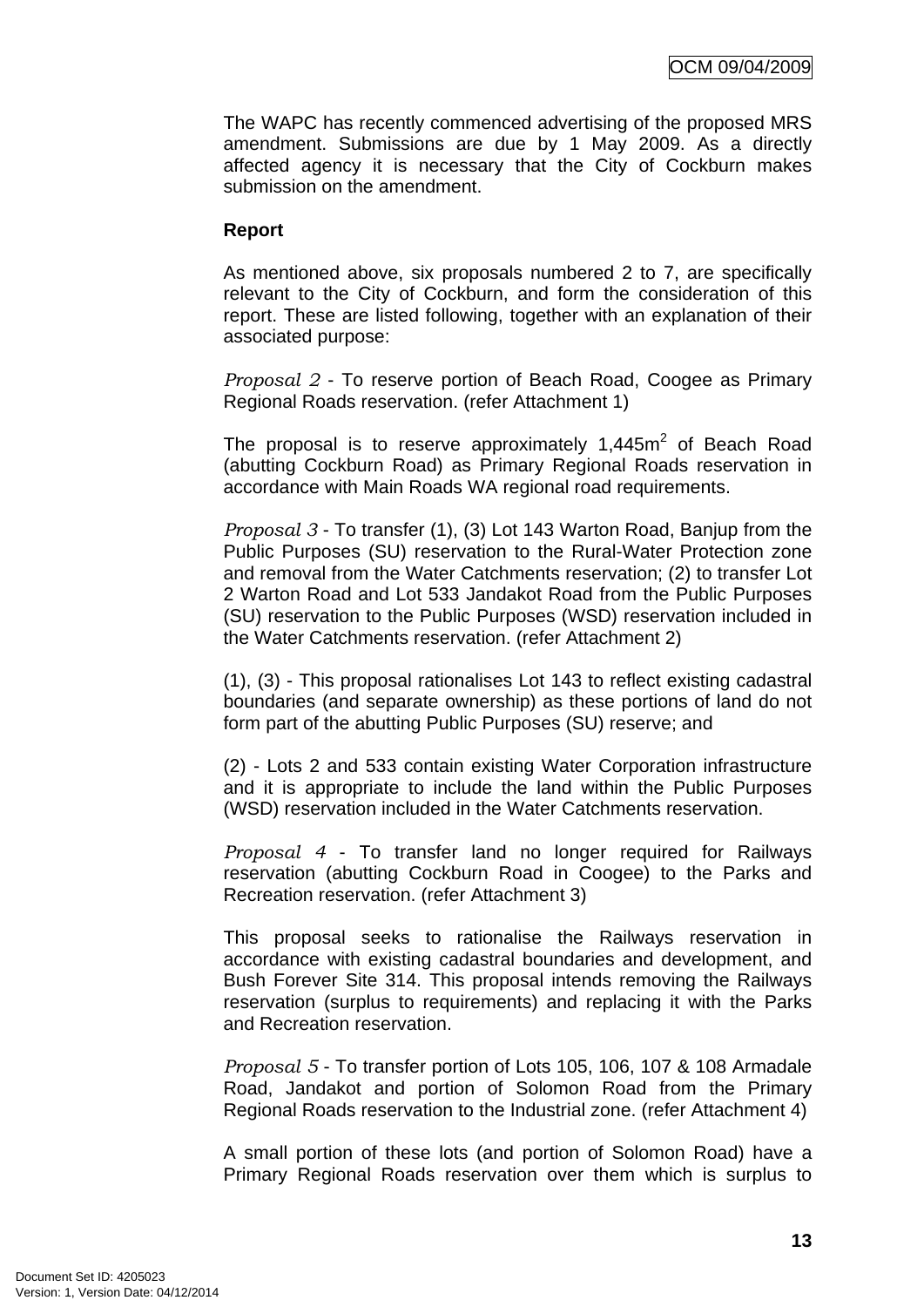The WAPC has recently commenced advertising of the proposed MRS amendment. Submissions are due by 1 May 2009. As a directly affected agency it is necessary that the City of Cockburn makes submission on the amendment.

#### **Report**

As mentioned above, six proposals numbered 2 to 7, are specifically relevant to the City of Cockburn, and form the consideration of this report. These are listed following, together with an explanation of their associated purpose:

*Proposal 2* - To reserve portion of Beach Road, Coogee as Primary Regional Roads reservation. (refer Attachment 1)

The proposal is to reserve approximately  $1,445m^2$  of Beach Road (abutting Cockburn Road) as Primary Regional Roads reservation in accordance with Main Roads WA regional road requirements.

*Proposal 3* - To transfer (1), (3) Lot 143 Warton Road, Banjup from the Public Purposes (SU) reservation to the Rural-Water Protection zone and removal from the Water Catchments reservation; (2) to transfer Lot 2 Warton Road and Lot 533 Jandakot Road from the Public Purposes (SU) reservation to the Public Purposes (WSD) reservation included in the Water Catchments reservation. (refer Attachment 2)

(1), (3) - This proposal rationalises Lot 143 to reflect existing cadastral boundaries (and separate ownership) as these portions of land do not form part of the abutting Public Purposes (SU) reserve; and

(2) - Lots 2 and 533 contain existing Water Corporation infrastructure and it is appropriate to include the land within the Public Purposes (WSD) reservation included in the Water Catchments reservation.

*Proposal 4* - To transfer land no longer required for Railways reservation (abutting Cockburn Road in Coogee) to the Parks and Recreation reservation. (refer Attachment 3)

This proposal seeks to rationalise the Railways reservation in accordance with existing cadastral boundaries and development, and Bush Forever Site 314. This proposal intends removing the Railways reservation (surplus to requirements) and replacing it with the Parks and Recreation reservation.

*Proposal 5* - To transfer portion of Lots 105, 106, 107 & 108 Armadale Road, Jandakot and portion of Solomon Road from the Primary Regional Roads reservation to the Industrial zone. (refer Attachment 4)

A small portion of these lots (and portion of Solomon Road) have a Primary Regional Roads reservation over them which is surplus to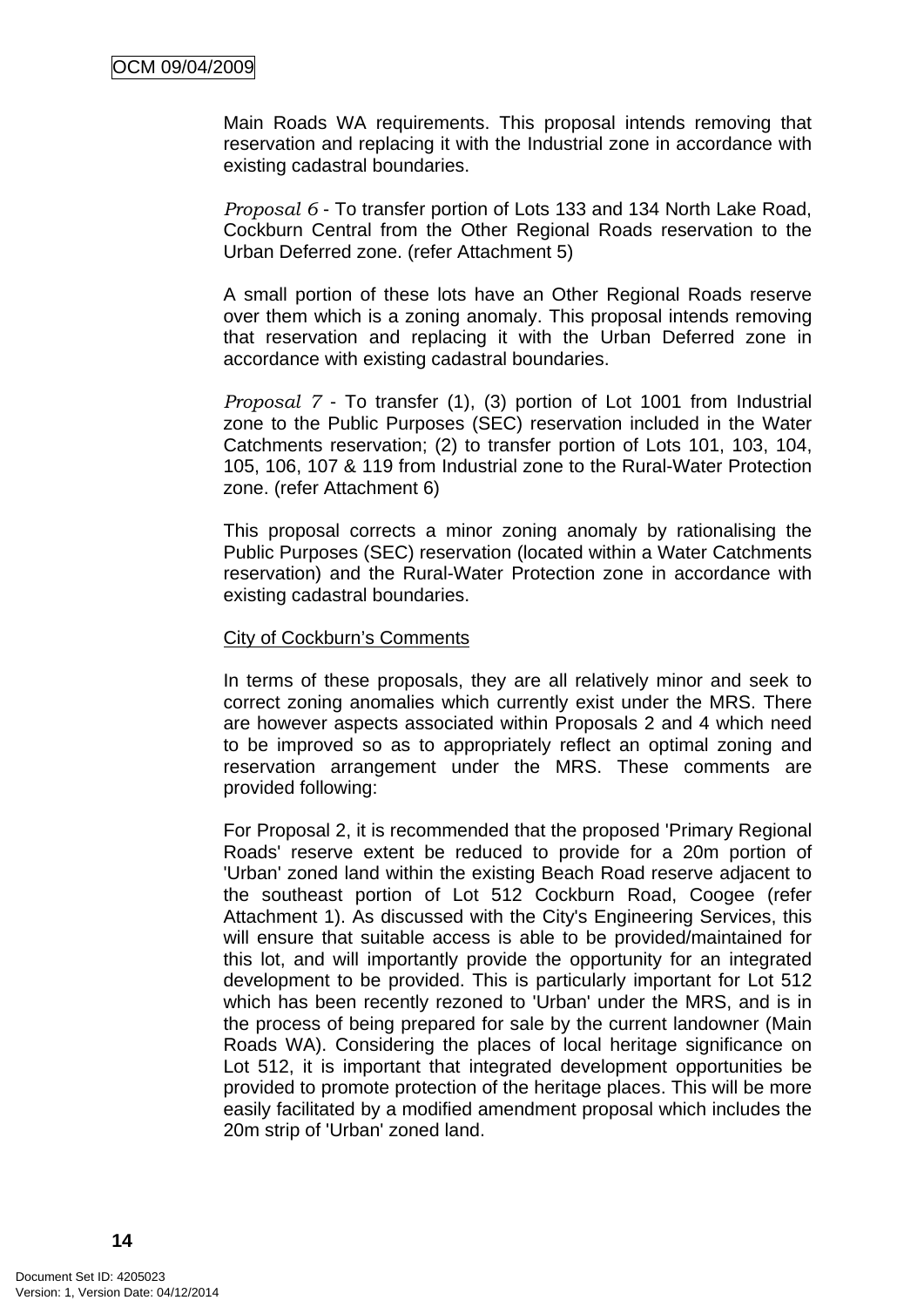Main Roads WA requirements. This proposal intends removing that reservation and replacing it with the Industrial zone in accordance with existing cadastral boundaries.

*Proposal 6* - To transfer portion of Lots 133 and 134 North Lake Road, Cockburn Central from the Other Regional Roads reservation to the Urban Deferred zone. (refer Attachment 5)

A small portion of these lots have an Other Regional Roads reserve over them which is a zoning anomaly. This proposal intends removing that reservation and replacing it with the Urban Deferred zone in accordance with existing cadastral boundaries.

*Proposal 7* - To transfer (1), (3) portion of Lot 1001 from Industrial zone to the Public Purposes (SEC) reservation included in the Water Catchments reservation; (2) to transfer portion of Lots 101, 103, 104, 105, 106, 107 & 119 from Industrial zone to the Rural-Water Protection zone. (refer Attachment 6)

This proposal corrects a minor zoning anomaly by rationalising the Public Purposes (SEC) reservation (located within a Water Catchments reservation) and the Rural-Water Protection zone in accordance with existing cadastral boundaries.

#### City of Cockburn's Comments

In terms of these proposals, they are all relatively minor and seek to correct zoning anomalies which currently exist under the MRS. There are however aspects associated within Proposals 2 and 4 which need to be improved so as to appropriately reflect an optimal zoning and reservation arrangement under the MRS. These comments are provided following:

For Proposal 2, it is recommended that the proposed 'Primary Regional Roads' reserve extent be reduced to provide for a 20m portion of 'Urban' zoned land within the existing Beach Road reserve adjacent to the southeast portion of Lot 512 Cockburn Road, Coogee (refer Attachment 1). As discussed with the City's Engineering Services, this will ensure that suitable access is able to be provided/maintained for this lot, and will importantly provide the opportunity for an integrated development to be provided. This is particularly important for Lot 512 which has been recently rezoned to 'Urban' under the MRS, and is in the process of being prepared for sale by the current landowner (Main Roads WA). Considering the places of local heritage significance on Lot 512, it is important that integrated development opportunities be provided to promote protection of the heritage places. This will be more easily facilitated by a modified amendment proposal which includes the 20m strip of 'Urban' zoned land.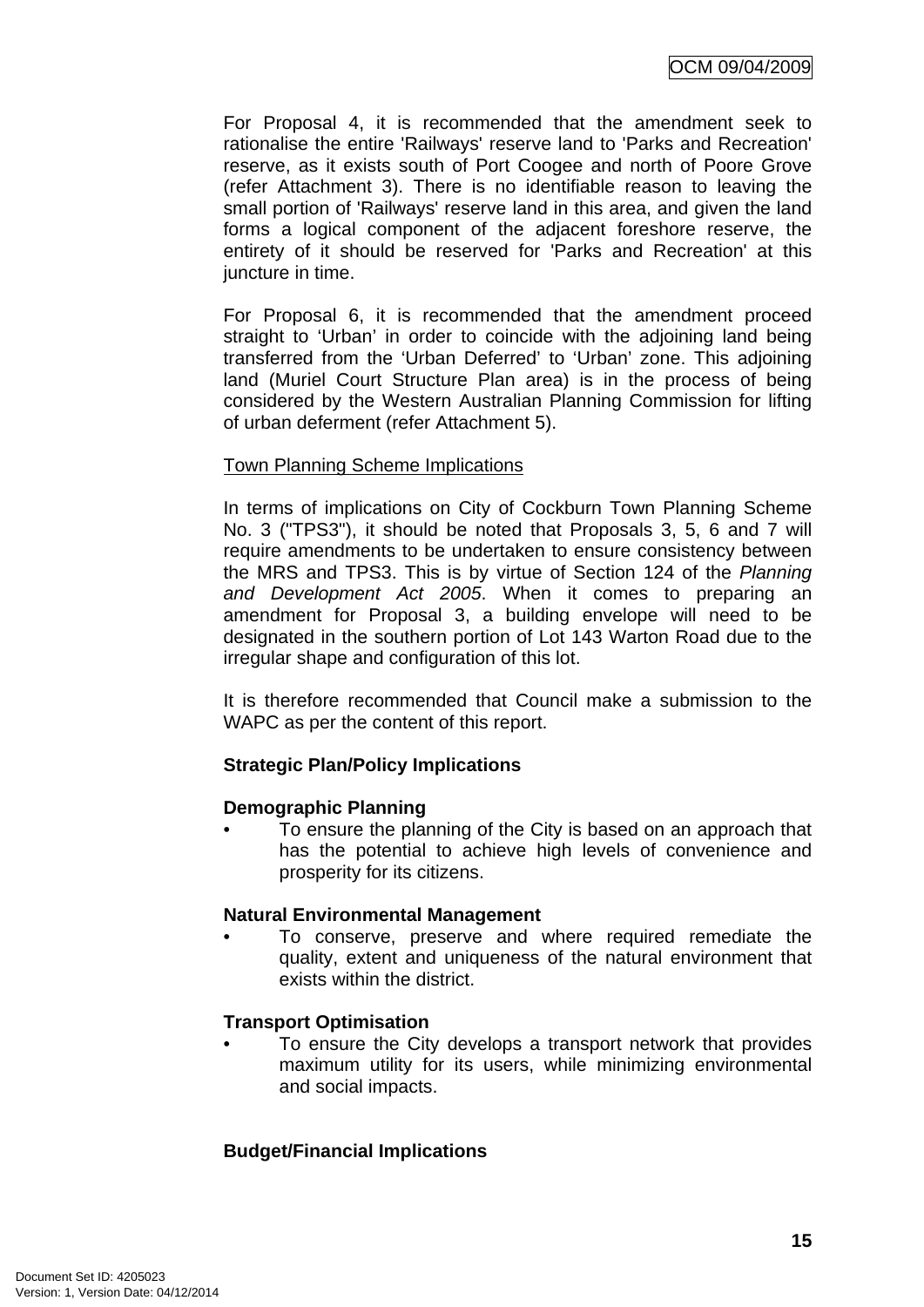For Proposal 4, it is recommended that the amendment seek to rationalise the entire 'Railways' reserve land to 'Parks and Recreation' reserve, as it exists south of Port Coogee and north of Poore Grove (refer Attachment 3). There is no identifiable reason to leaving the small portion of 'Railways' reserve land in this area, and given the land forms a logical component of the adjacent foreshore reserve, the entirety of it should be reserved for 'Parks and Recreation' at this juncture in time.

For Proposal 6, it is recommended that the amendment proceed straight to 'Urban' in order to coincide with the adjoining land being transferred from the 'Urban Deferred' to 'Urban' zone. This adjoining land (Muriel Court Structure Plan area) is in the process of being considered by the Western Australian Planning Commission for lifting of urban deferment (refer Attachment 5).

#### Town Planning Scheme Implications

In terms of implications on City of Cockburn Town Planning Scheme No. 3 ("TPS3"), it should be noted that Proposals 3, 5, 6 and 7 will require amendments to be undertaken to ensure consistency between the MRS and TPS3. This is by virtue of Section 124 of the *Planning and Development Act 2005*. When it comes to preparing an amendment for Proposal 3, a building envelope will need to be designated in the southern portion of Lot 143 Warton Road due to the irregular shape and configuration of this lot.

It is therefore recommended that Council make a submission to the WAPC as per the content of this report.

#### **Strategic Plan/Policy Implications**

#### **Demographic Planning**

• To ensure the planning of the City is based on an approach that has the potential to achieve high levels of convenience and prosperity for its citizens.

#### **Natural Environmental Management**

• To conserve, preserve and where required remediate the quality, extent and uniqueness of the natural environment that exists within the district.

#### **Transport Optimisation**

To ensure the City develops a transport network that provides maximum utility for its users, while minimizing environmental and social impacts.

#### **Budget/Financial Implications**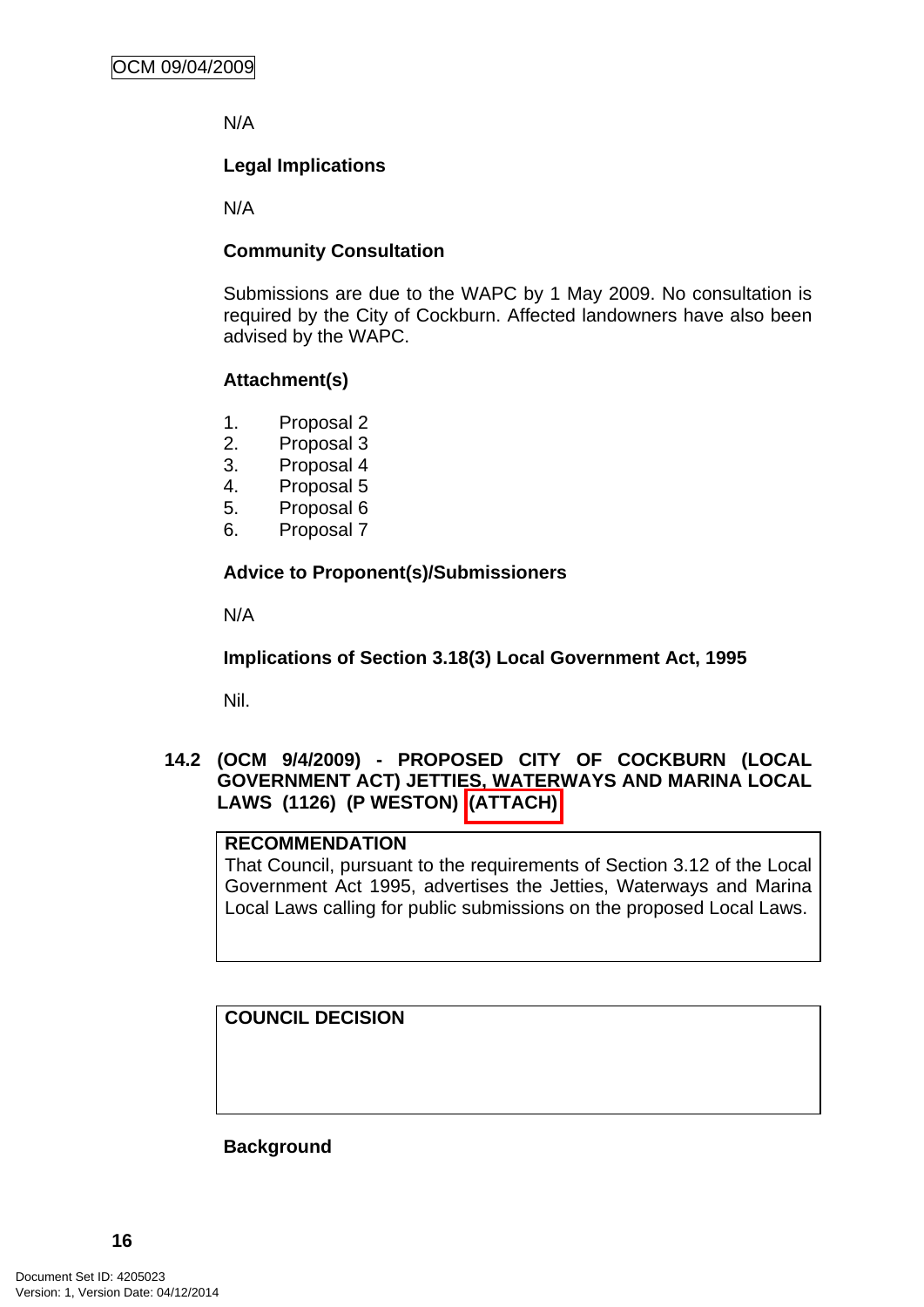<span id="page-15-0"></span>N/A

#### **Legal Implications**

N/A

#### **Community Consultation**

Submissions are due to the WAPC by 1 May 2009. No consultation is required by the City of Cockburn. Affected landowners have also been advised by the WAPC.

#### **Attachment(s)**

- 1. Proposal 2
- 2. Proposal 3
- 3. Proposal 4
- 4. Proposal 5
- 5. Proposal 6
- 6. Proposal 7

#### **Advice to Proponent(s)/Submissioners**

N/A

**Implications of Section 3.18(3) Local Government Act, 1995**

Nil.

## **14.2 (OCM 9/4/2009) - PROPOSED CITY OF COCKBURN (LOCAL GOVERNMENT ACT) JETTIES, WATERWAYS AND MARINA LOCAL LAWS (1126) (P WESTON) (ATTACH)**

#### **RECOMMENDATION**

That Council, pursuant to the requirements of Section 3.12 of the Local Government Act 1995, advertises the Jetties, Waterways and Marina Local Laws calling for public submissions on the proposed Local Laws.

**COUNCIL DECISION** 

#### **Background**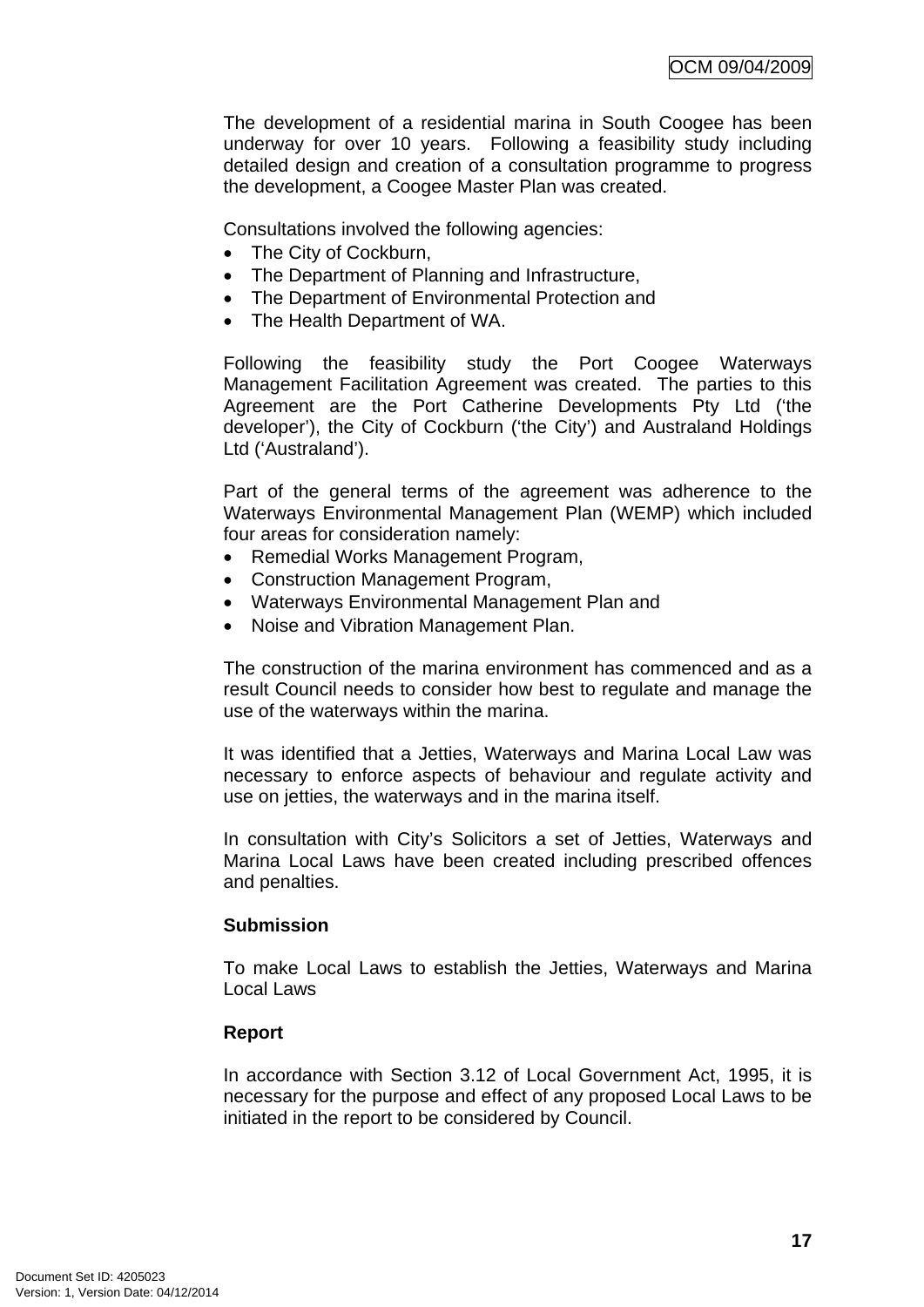The development of a residential marina in South Coogee has been underway for over 10 years. Following a feasibility study including detailed design and creation of a consultation programme to progress the development, a Coogee Master Plan was created.

Consultations involved the following agencies:

- The City of Cockburn.
- The Department of Planning and Infrastructure,
- The Department of Environmental Protection and
- The Health Department of WA.

Following the feasibility study the Port Coogee Waterways Management Facilitation Agreement was created. The parties to this Agreement are the Port Catherine Developments Pty Ltd ('the developer'), the City of Cockburn ('the City') and Australand Holdings Ltd ('Australand').

Part of the general terms of the agreement was adherence to the Waterways Environmental Management Plan (WEMP) which included four areas for consideration namely:

- Remedial Works Management Program,
- Construction Management Program,
- Waterways Environmental Management Plan and
- Noise and Vibration Management Plan.

The construction of the marina environment has commenced and as a result Council needs to consider how best to regulate and manage the use of the waterways within the marina.

It was identified that a Jetties, Waterways and Marina Local Law was necessary to enforce aspects of behaviour and regulate activity and use on jetties, the waterways and in the marina itself.

In consultation with City's Solicitors a set of Jetties, Waterways and Marina Local Laws have been created including prescribed offences and penalties.

## **Submission**

To make Local Laws to establish the Jetties, Waterways and Marina Local Laws

## **Report**

In accordance with Section 3.12 of Local Government Act, 1995, it is necessary for the purpose and effect of any proposed Local Laws to be initiated in the report to be considered by Council.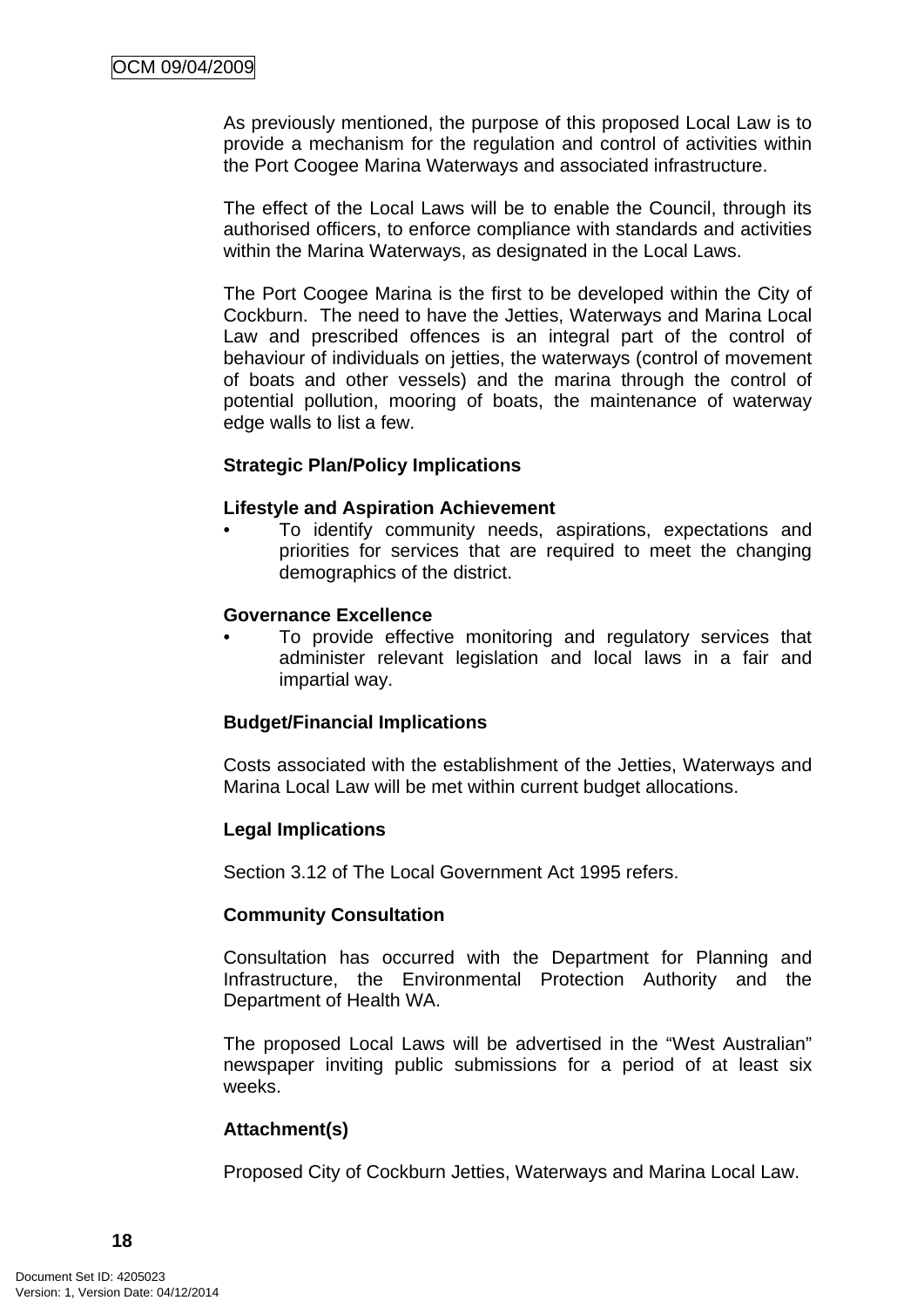As previously mentioned, the purpose of this proposed Local Law is to provide a mechanism for the regulation and control of activities within the Port Coogee Marina Waterways and associated infrastructure.

The effect of the Local Laws will be to enable the Council, through its authorised officers, to enforce compliance with standards and activities within the Marina Waterways, as designated in the Local Laws.

The Port Coogee Marina is the first to be developed within the City of Cockburn. The need to have the Jetties, Waterways and Marina Local Law and prescribed offences is an integral part of the control of behaviour of individuals on jetties, the waterways (control of movement of boats and other vessels) and the marina through the control of potential pollution, mooring of boats, the maintenance of waterway edge walls to list a few.

#### **Strategic Plan/Policy Implications**

#### **Lifestyle and Aspiration Achievement**

To identify community needs, aspirations, expectations and priorities for services that are required to meet the changing demographics of the district.

#### **Governance Excellence**

To provide effective monitoring and regulatory services that administer relevant legislation and local laws in a fair and impartial way.

#### **Budget/Financial Implications**

Costs associated with the establishment of the Jetties, Waterways and Marina Local Law will be met within current budget allocations.

#### **Legal Implications**

Section 3.12 of The Local Government Act 1995 refers.

#### **Community Consultation**

Consultation has occurred with the Department for Planning and Infrastructure, the Environmental Protection Authority and the Department of Health WA.

The proposed Local Laws will be advertised in the "West Australian" newspaper inviting public submissions for a period of at least six weeks.

#### **Attachment(s)**

Proposed City of Cockburn Jetties, Waterways and Marina Local Law.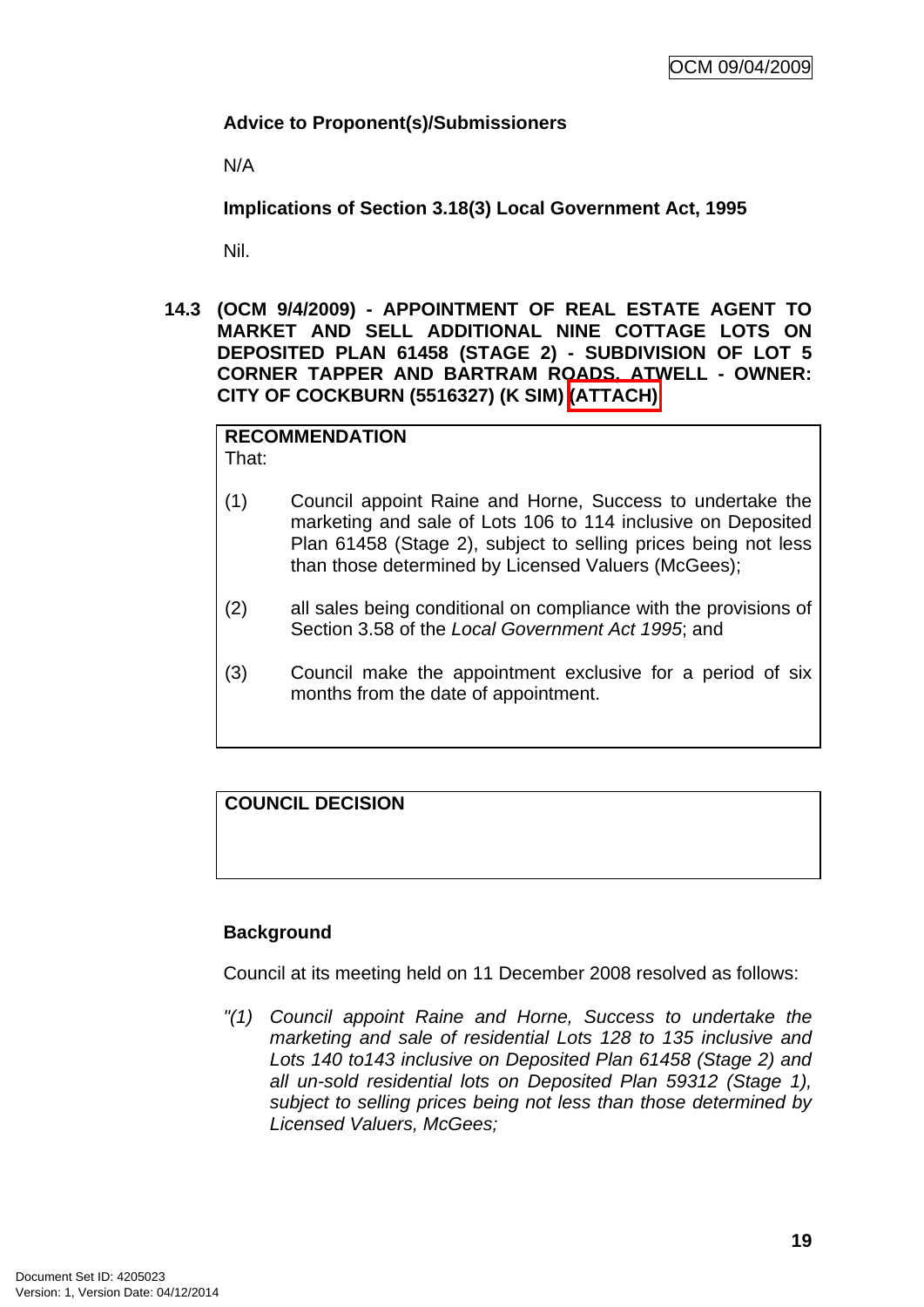## <span id="page-18-0"></span>**Advice to Proponent(s)/Submissioners**

N/A

**Implications of Section 3.18(3) Local Government Act, 1995**

Nil.

**14.3 (OCM 9/4/2009) - APPOINTMENT OF REAL ESTATE AGENT TO MARKET AND SELL ADDITIONAL NINE COTTAGE LOTS ON DEPOSITED PLAN 61458 (STAGE 2) - SUBDIVISION OF LOT 5 CORNER TAPPER AND BARTRAM ROADS, ATWELL - OWNER: CITY OF COCKBURN (5516327) (K SIM) (ATTACH)** 

#### **RECOMMENDATION** That:

- (1) Council appoint Raine and Horne, Success to undertake the marketing and sale of Lots 106 to 114 inclusive on Deposited Plan 61458 (Stage 2), subject to selling prices being not less than those determined by Licensed Valuers (McGees);
- (2) all sales being conditional on compliance with the provisions of Section 3.58 of the *Local Government Act 1995*; and
- (3) Council make the appointment exclusive for a period of six months from the date of appointment.

## **COUNCIL DECISION**

## **Background**

Council at its meeting held on 11 December 2008 resolved as follows:

*"(1) Council appoint Raine and Horne, Success to undertake the marketing and sale of residential Lots 128 to 135 inclusive and Lots 140 to143 inclusive on Deposited Plan 61458 (Stage 2) and all un-sold residential lots on Deposited Plan 59312 (Stage 1), subject to selling prices being not less than those determined by Licensed Valuers, McGees;*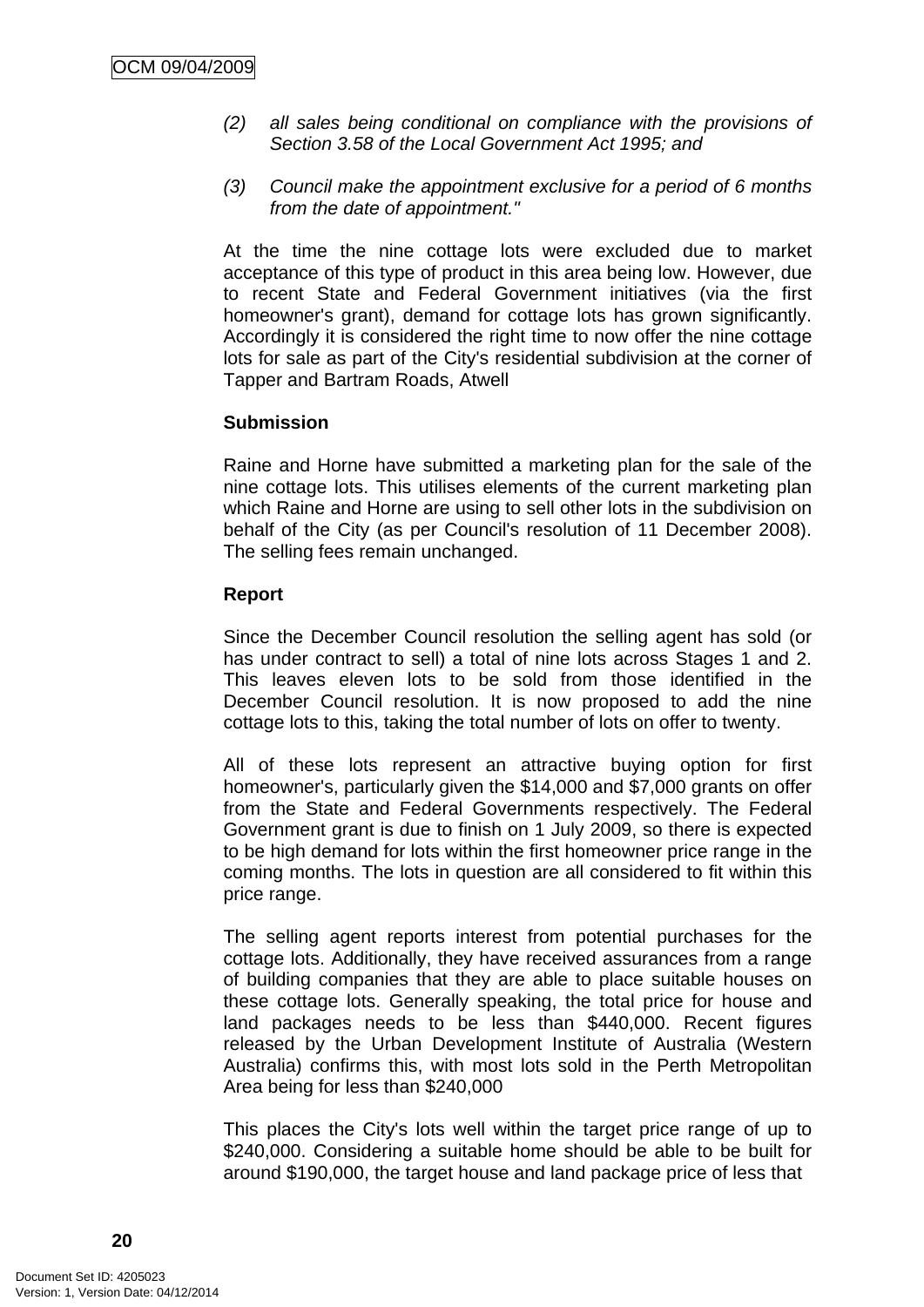- *(2) all sales being conditional on compliance with the provisions of Section 3.58 of the Local Government Act 1995; and*
- *(3) Council make the appointment exclusive for a period of 6 months from the date of appointment."*

At the time the nine cottage lots were excluded due to market acceptance of this type of product in this area being low. However, due to recent State and Federal Government initiatives (via the first homeowner's grant), demand for cottage lots has grown significantly. Accordingly it is considered the right time to now offer the nine cottage lots for sale as part of the City's residential subdivision at the corner of Tapper and Bartram Roads, Atwell

#### **Submission**

Raine and Horne have submitted a marketing plan for the sale of the nine cottage lots. This utilises elements of the current marketing plan which Raine and Horne are using to sell other lots in the subdivision on behalf of the City (as per Council's resolution of 11 December 2008). The selling fees remain unchanged.

## **Report**

Since the December Council resolution the selling agent has sold (or has under contract to sell) a total of nine lots across Stages 1 and 2. This leaves eleven lots to be sold from those identified in the December Council resolution. It is now proposed to add the nine cottage lots to this, taking the total number of lots on offer to twenty.

All of these lots represent an attractive buying option for first homeowner's, particularly given the \$14,000 and \$7,000 grants on offer from the State and Federal Governments respectively. The Federal Government grant is due to finish on 1 July 2009, so there is expected to be high demand for lots within the first homeowner price range in the coming months. The lots in question are all considered to fit within this price range.

The selling agent reports interest from potential purchases for the cottage lots. Additionally, they have received assurances from a range of building companies that they are able to place suitable houses on these cottage lots. Generally speaking, the total price for house and land packages needs to be less than \$440,000. Recent figures released by the Urban Development Institute of Australia (Western Australia) confirms this, with most lots sold in the Perth Metropolitan Area being for less than \$240,000

This places the City's lots well within the target price range of up to \$240,000. Considering a suitable home should be able to be built for around \$190,000, the target house and land package price of less that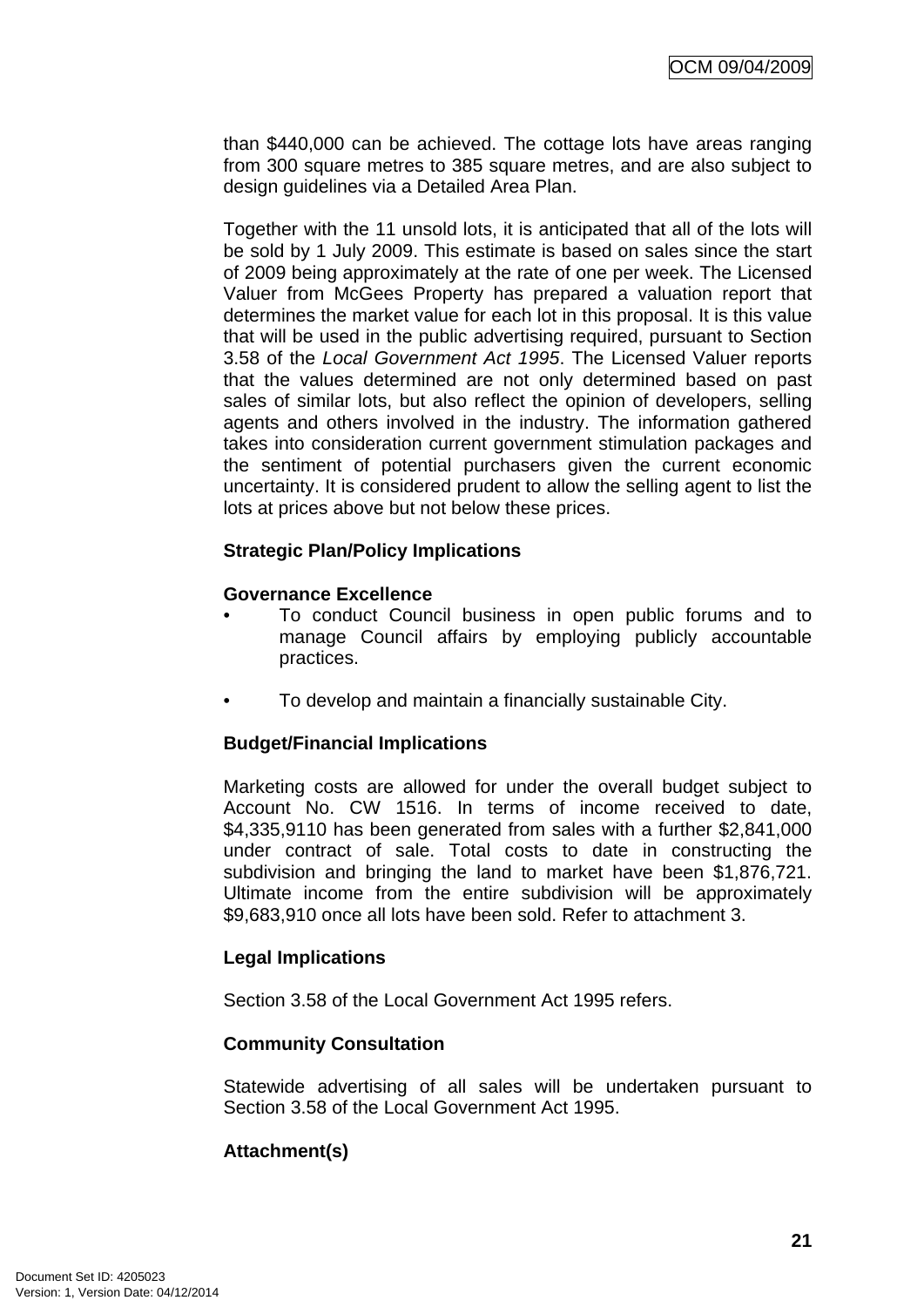than \$440,000 can be achieved. The cottage lots have areas ranging from 300 square metres to 385 square metres, and are also subject to design guidelines via a Detailed Area Plan.

Together with the 11 unsold lots, it is anticipated that all of the lots will be sold by 1 July 2009. This estimate is based on sales since the start of 2009 being approximately at the rate of one per week. The Licensed Valuer from McGees Property has prepared a valuation report that determines the market value for each lot in this proposal. It is this value that will be used in the public advertising required, pursuant to Section 3.58 of the *Local Government Act 1995*. The Licensed Valuer reports that the values determined are not only determined based on past sales of similar lots, but also reflect the opinion of developers, selling agents and others involved in the industry. The information gathered takes into consideration current government stimulation packages and the sentiment of potential purchasers given the current economic uncertainty. It is considered prudent to allow the selling agent to list the lots at prices above but not below these prices.

#### **Strategic Plan/Policy Implications**

#### **Governance Excellence**

- To conduct Council business in open public forums and to manage Council affairs by employing publicly accountable practices.
- To develop and maintain a financially sustainable City.

#### **Budget/Financial Implications**

Marketing costs are allowed for under the overall budget subject to Account No. CW 1516. In terms of income received to date, \$4,335,9110 has been generated from sales with a further \$2,841,000 under contract of sale. Total costs to date in constructing the subdivision and bringing the land to market have been \$1,876,721. Ultimate income from the entire subdivision will be approximately \$9,683,910 once all lots have been sold. Refer to attachment 3.

#### **Legal Implications**

Section 3.58 of the Local Government Act 1995 refers.

#### **Community Consultation**

Statewide advertising of all sales will be undertaken pursuant to Section 3.58 of the Local Government Act 1995.

#### **Attachment(s)**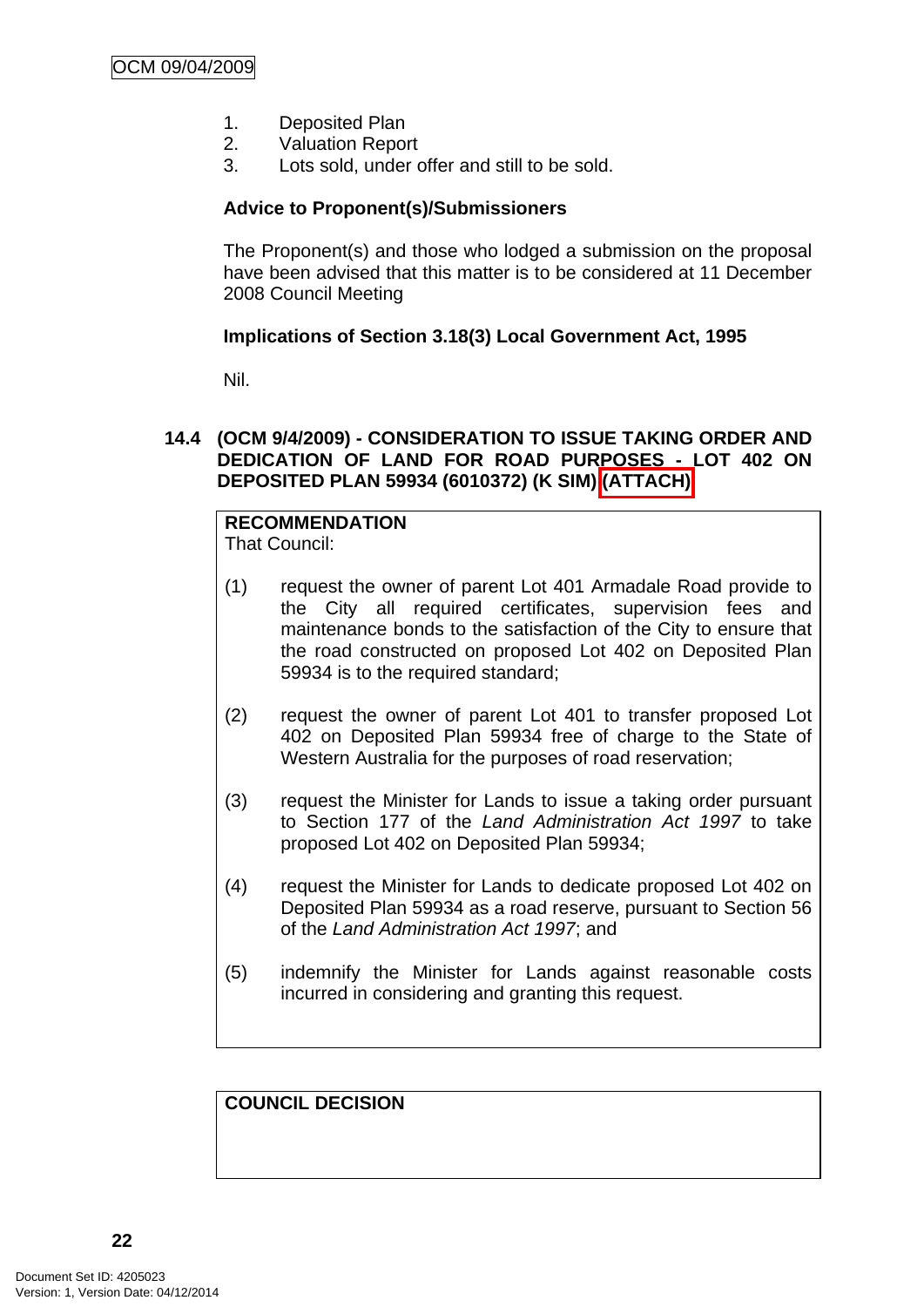- <span id="page-21-0"></span>1. Deposited Plan
- 2. Valuation Report
- 3. Lots sold, under offer and still to be sold.

## **Advice to Proponent(s)/Submissioners**

The Proponent(s) and those who lodged a submission on the proposal have been advised that this matter is to be considered at 11 December 2008 Council Meeting

## **Implications of Section 3.18(3) Local Government Act, 1995**

Nil.

#### **14.4 (OCM 9/4/2009) - CONSIDERATION TO ISSUE TAKING ORDER AND DEDICATION OF LAND FOR ROAD PURPOSES - LOT 402 ON DEPOSITED PLAN 59934 (6010372) (K SIM) (ATTACH)**

**RECOMMENDATION** That Council:

- (1) request the owner of parent Lot 401 Armadale Road provide to the City all required certificates, supervision fees and maintenance bonds to the satisfaction of the City to ensure that the road constructed on proposed Lot 402 on Deposited Plan 59934 is to the required standard;
- (2) request the owner of parent Lot 401 to transfer proposed Lot 402 on Deposited Plan 59934 free of charge to the State of Western Australia for the purposes of road reservation;
- (3) request the Minister for Lands to issue a taking order pursuant to Section 177 of the *Land Administration Act 1997* to take proposed Lot 402 on Deposited Plan 59934;
- (4) request the Minister for Lands to dedicate proposed Lot 402 on Deposited Plan 59934 as a road reserve, pursuant to Section 56 of the *Land Administration Act 1997*; and
- (5) indemnify the Minister for Lands against reasonable costs incurred in considering and granting this request.

**COUNCIL DECISION**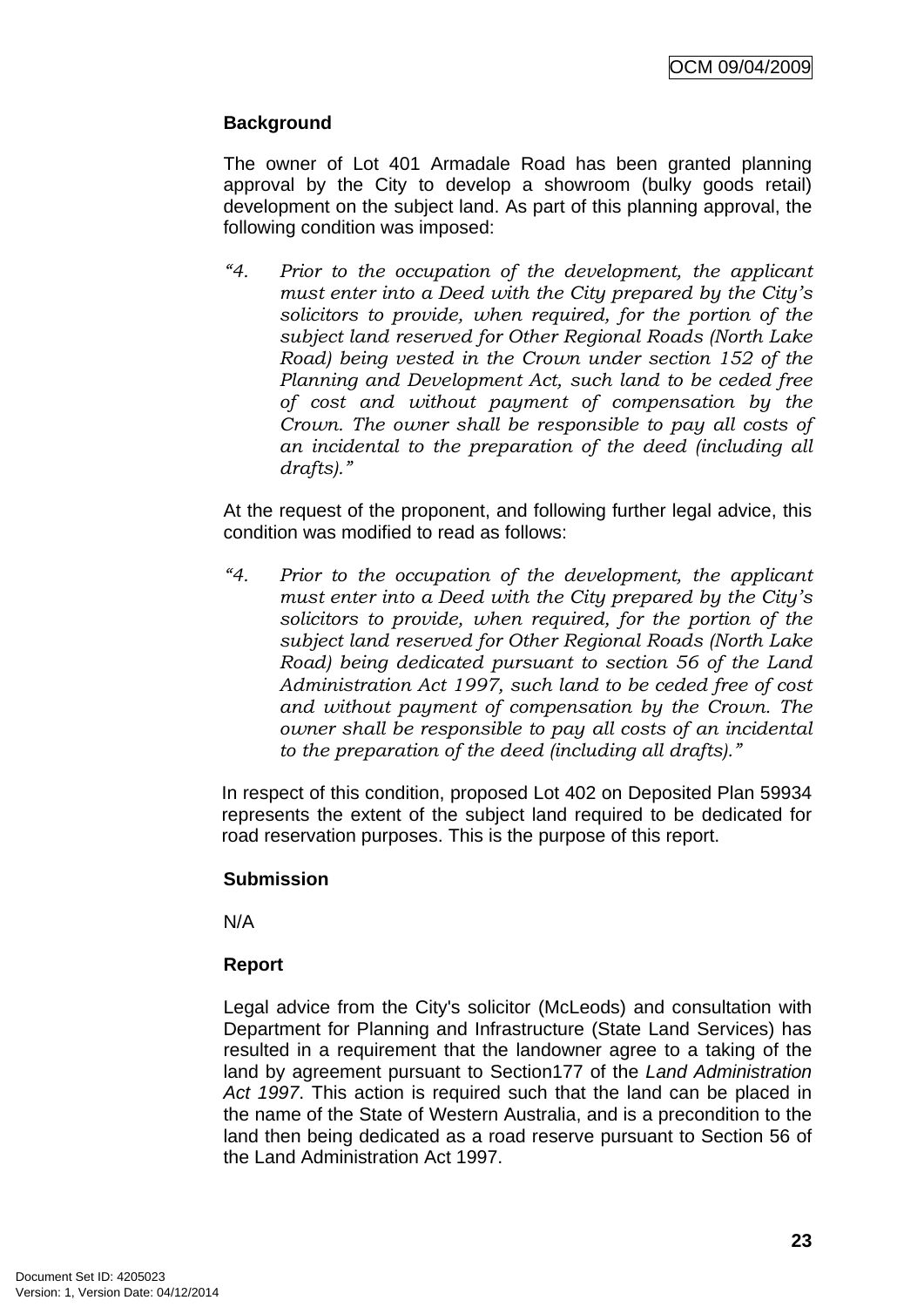OCM 09/04/2009

## **Background**

The owner of Lot 401 Armadale Road has been granted planning approval by the City to develop a showroom (bulky goods retail) development on the subject land. As part of this planning approval, the following condition was imposed:

*"4. Prior to the occupation of the development, the applicant must enter into a Deed with the City prepared by the City's solicitors to provide, when required, for the portion of the subject land reserved for Other Regional Roads (North Lake Road) being vested in the Crown under section 152 of the Planning and Development Act, such land to be ceded free of cost and without payment of compensation by the Crown. The owner shall be responsible to pay all costs of an incidental to the preparation of the deed (including all drafts)."* 

At the request of the proponent, and following further legal advice, this condition was modified to read as follows:

*"4. Prior to the occupation of the development, the applicant must enter into a Deed with the City prepared by the City's solicitors to provide, when required, for the portion of the subject land reserved for Other Regional Roads (North Lake Road) being dedicated pursuant to section 56 of the Land Administration Act 1997, such land to be ceded free of cost and without payment of compensation by the Crown. The owner shall be responsible to pay all costs of an incidental to the preparation of the deed (including all drafts)."* 

In respect of this condition, proposed Lot 402 on Deposited Plan 59934 represents the extent of the subject land required to be dedicated for road reservation purposes. This is the purpose of this report.

#### **Submission**

N/A

#### **Report**

Legal advice from the City's solicitor (McLeods) and consultation with Department for Planning and Infrastructure (State Land Services) has resulted in a requirement that the landowner agree to a taking of the land by agreement pursuant to Section177 of the *Land Administration Act 1997*. This action is required such that the land can be placed in the name of the State of Western Australia, and is a precondition to the land then being dedicated as a road reserve pursuant to Section 56 of the Land Administration Act 1997.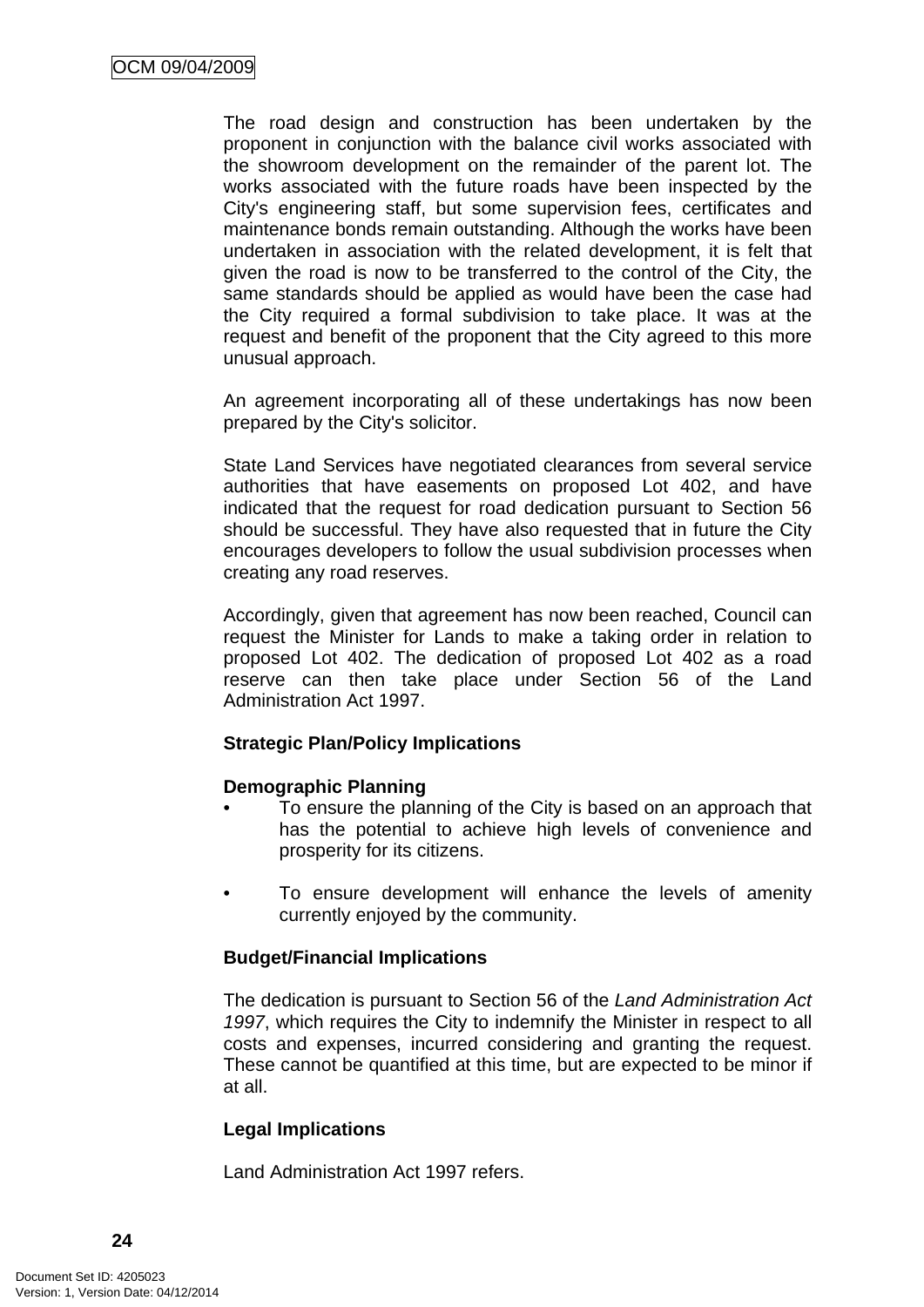The road design and construction has been undertaken by the proponent in conjunction with the balance civil works associated with the showroom development on the remainder of the parent lot. The works associated with the future roads have been inspected by the City's engineering staff, but some supervision fees, certificates and maintenance bonds remain outstanding. Although the works have been undertaken in association with the related development, it is felt that given the road is now to be transferred to the control of the City, the same standards should be applied as would have been the case had the City required a formal subdivision to take place. It was at the request and benefit of the proponent that the City agreed to this more unusual approach.

An agreement incorporating all of these undertakings has now been prepared by the City's solicitor.

State Land Services have negotiated clearances from several service authorities that have easements on proposed Lot 402, and have indicated that the request for road dedication pursuant to Section 56 should be successful. They have also requested that in future the City encourages developers to follow the usual subdivision processes when creating any road reserves.

Accordingly, given that agreement has now been reached, Council can request the Minister for Lands to make a taking order in relation to proposed Lot 402. The dedication of proposed Lot 402 as a road reserve can then take place under Section 56 of the Land Administration Act 1997.

#### **Strategic Plan/Policy Implications**

#### **Demographic Planning**

- To ensure the planning of the City is based on an approach that has the potential to achieve high levels of convenience and prosperity for its citizens.
- To ensure development will enhance the levels of amenity currently enjoyed by the community.

#### **Budget/Financial Implications**

The dedication is pursuant to Section 56 of the *Land Administration Act 1997*, which requires the City to indemnify the Minister in respect to all costs and expenses, incurred considering and granting the request. These cannot be quantified at this time, but are expected to be minor if at all.

#### **Legal Implications**

Land Administration Act 1997 refers.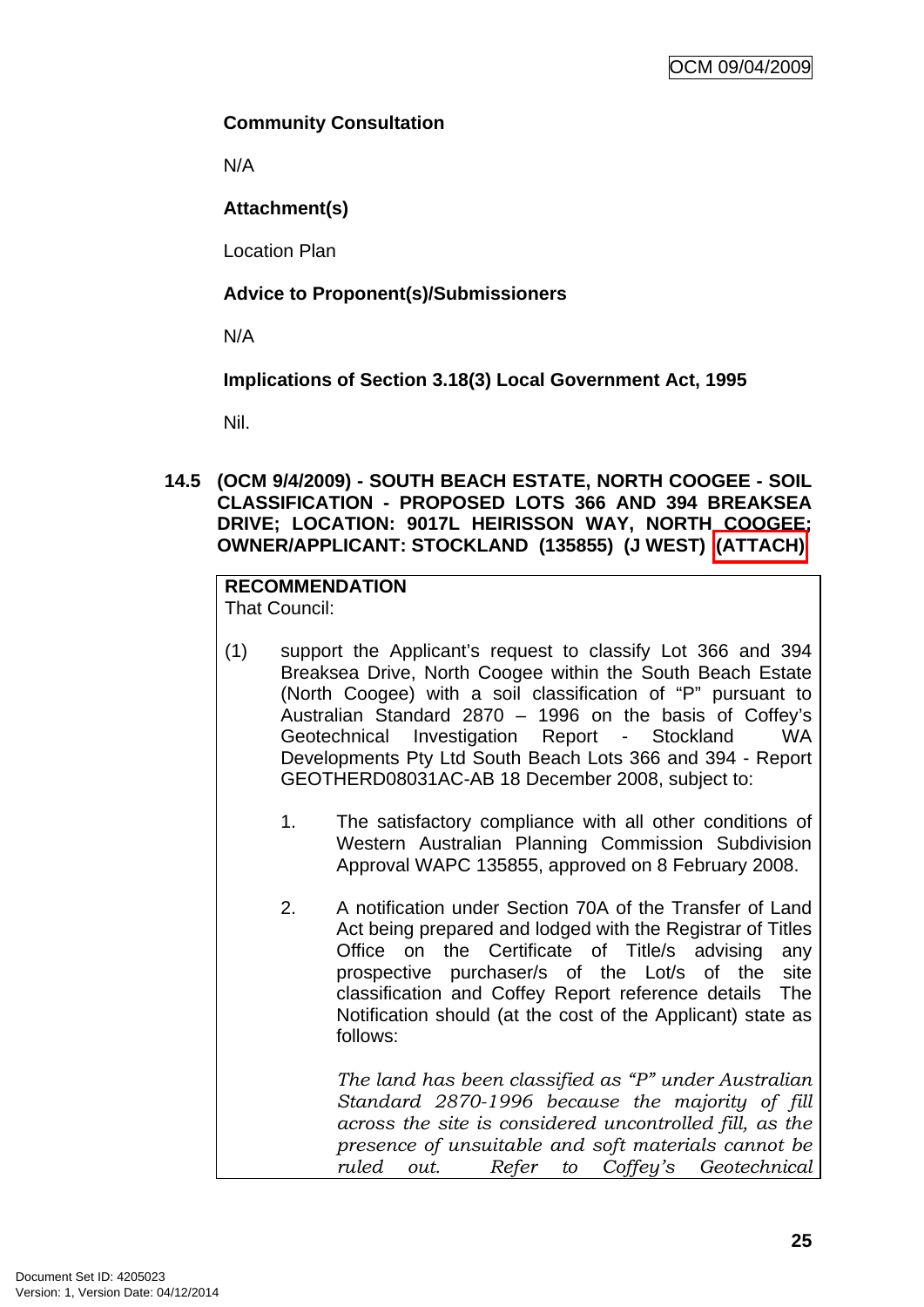## <span id="page-24-0"></span>**Community Consultation**

N/A

## **Attachment(s)**

Location Plan

## **Advice to Proponent(s)/Submissioners**

N/A

## **Implications of Section 3.18(3) Local Government Act, 1995**

Nil.

#### **14.5 (OCM 9/4/2009) - SOUTH BEACH ESTATE, NORTH COOGEE - SOIL CLASSIFICATION - PROPOSED LOTS 366 AND 394 BREAKSEA DRIVE; LOCATION: 9017L HEIRISSON WAY, NORTH COOGEE; OWNER/APPLICANT: STOCKLAND (135855) (J WEST) (ATTACH)**

# **RECOMMENDATION**

That Council:

- (1) support the Applicant's request to classify Lot 366 and 394 Breaksea Drive, North Coogee within the South Beach Estate (North Coogee) with a soil classification of "P" pursuant to Australian Standard 2870 – 1996 on the basis of Coffey's Geotechnical Investigation Report - Stockland WA Developments Pty Ltd South Beach Lots 366 and 394 - Report GEOTHERD08031AC-AB 18 December 2008, subject to:
	- 1. The satisfactory compliance with all other conditions of Western Australian Planning Commission Subdivision Approval WAPC 135855, approved on 8 February 2008.
	- 2. A notification under Section 70A of the Transfer of Land Act being prepared and lodged with the Registrar of Titles Office on the Certificate of Title/s advising any prospective purchaser/s of the Lot/s of the site classification and Coffey Report reference details The Notification should (at the cost of the Applicant) state as follows:

*The land has been classified as "P" under Australian Standard 2870-1996 because the majority of fill across the site is considered uncontrolled fill, as the presence of unsuitable and soft materials cannot be ruled out. Refer to Coffey's Geotechnical*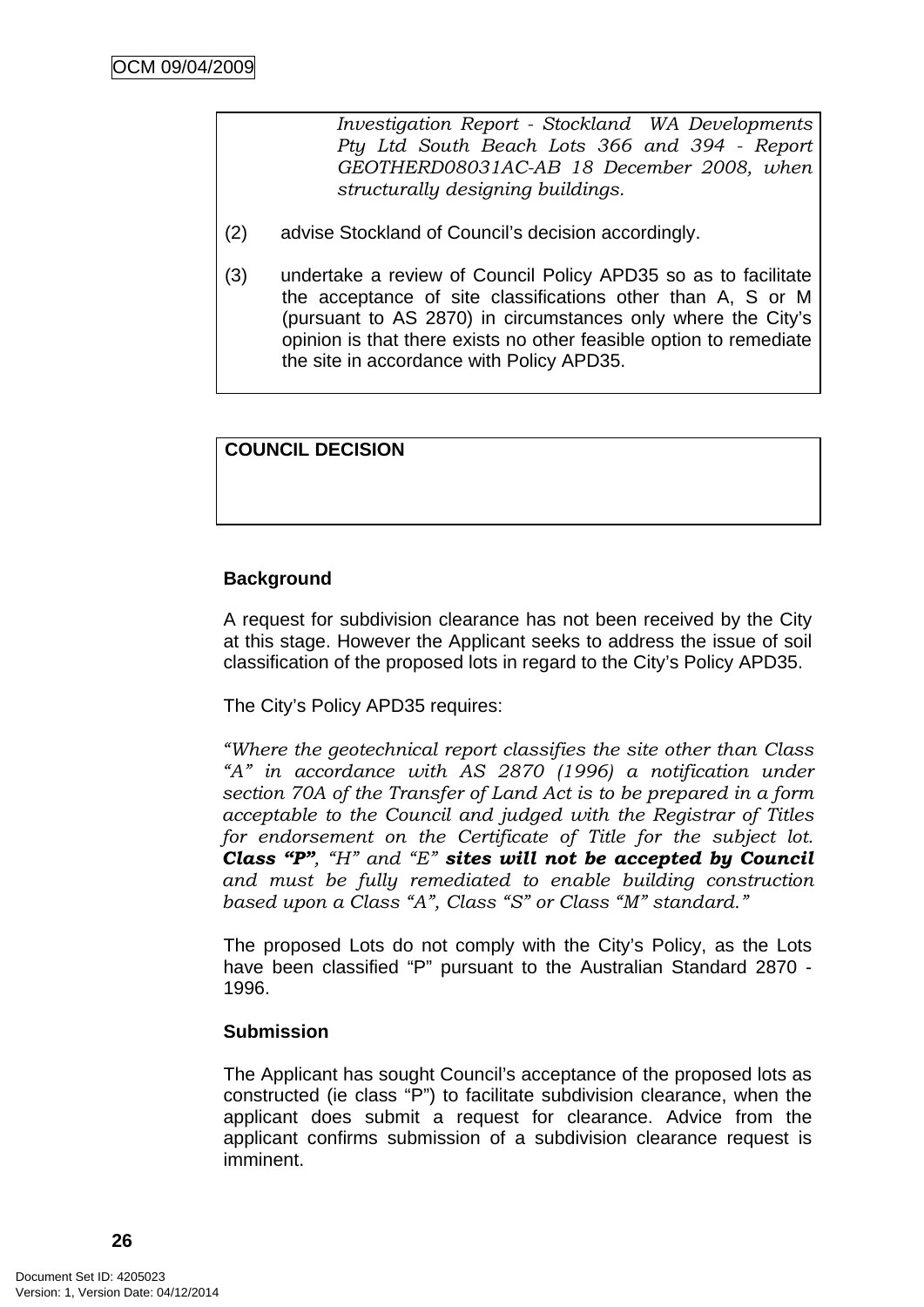*Investigation Report - Stockland WA Developments Pty Ltd South Beach Lots 366 and 394 - Report GEOTHERD08031AC-AB 18 December 2008, when structurally designing buildings.* 

- (2) advise Stockland of Council's decision accordingly.
- (3) undertake a review of Council Policy APD35 so as to facilitate the acceptance of site classifications other than A, S or M (pursuant to AS 2870) in circumstances only where the City's opinion is that there exists no other feasible option to remediate the site in accordance with Policy APD35.

#### **COUNCIL DECISION**

#### **Background**

A request for subdivision clearance has not been received by the City at this stage. However the Applicant seeks to address the issue of soil classification of the proposed lots in regard to the City's Policy APD35.

The City's Policy APD35 requires:

*"Where the geotechnical report classifies the site other than Class "A" in accordance with AS 2870 (1996) a notification under section 70A of the Transfer of Land Act is to be prepared in a form acceptable to the Council and judged with the Registrar of Titles for endorsement on the Certificate of Title for the subject lot. Class "P", "H" and "E" sites will not be accepted by Council and must be fully remediated to enable building construction based upon a Class "A", Class "S" or Class "M" standard."* 

The proposed Lots do not comply with the City's Policy, as the Lots have been classified "P" pursuant to the Australian Standard 2870 - 1996.

#### **Submission**

The Applicant has sought Council's acceptance of the proposed lots as constructed (ie class "P") to facilitate subdivision clearance, when the applicant does submit a request for clearance. Advice from the applicant confirms submission of a subdivision clearance request is imminent.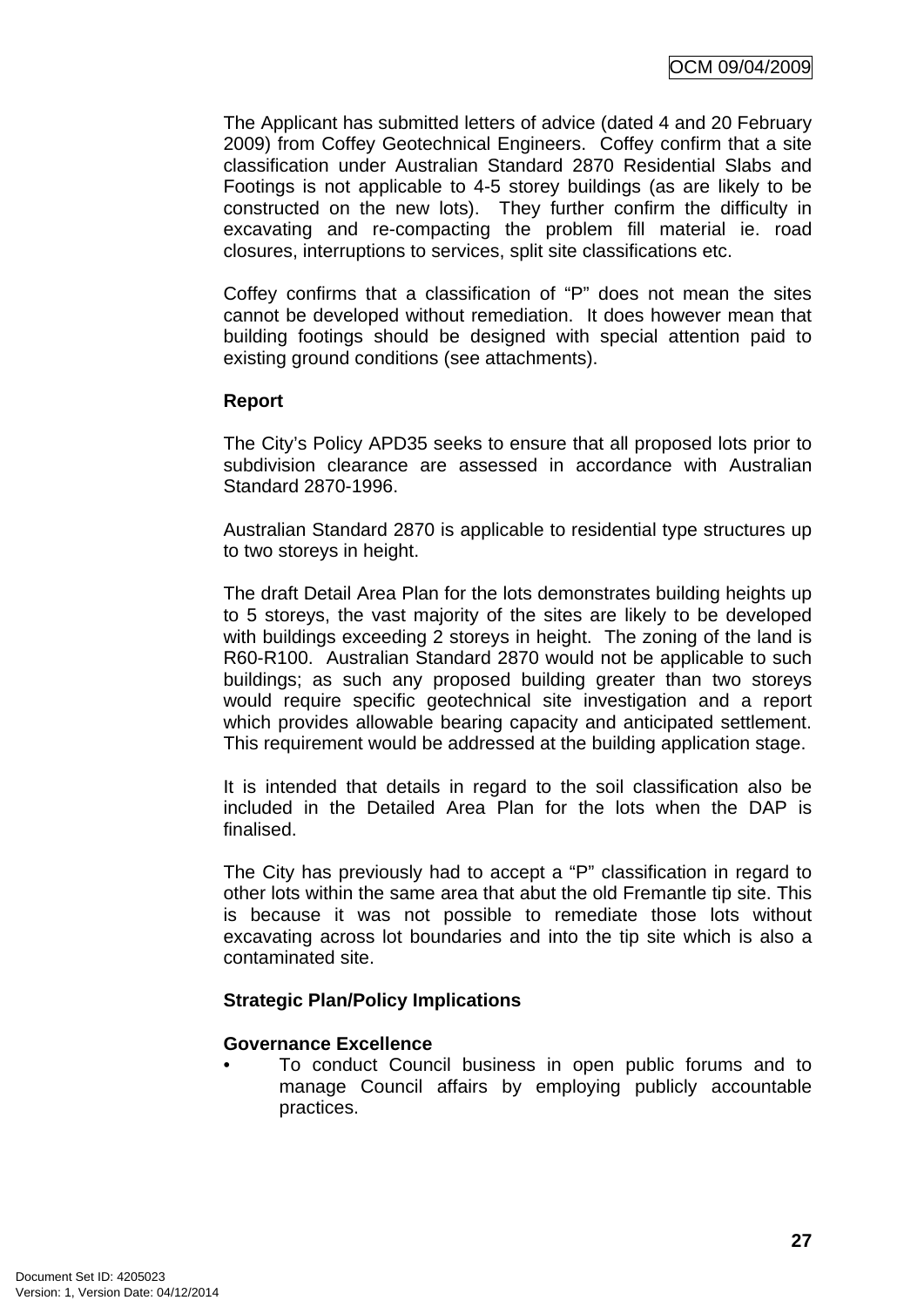The Applicant has submitted letters of advice (dated 4 and 20 February 2009) from Coffey Geotechnical Engineers. Coffey confirm that a site classification under Australian Standard 2870 Residential Slabs and Footings is not applicable to 4-5 storey buildings (as are likely to be constructed on the new lots). They further confirm the difficulty in excavating and re-compacting the problem fill material ie. road closures, interruptions to services, split site classifications etc.

Coffey confirms that a classification of "P" does not mean the sites cannot be developed without remediation. It does however mean that building footings should be designed with special attention paid to existing ground conditions (see attachments).

#### **Report**

The City's Policy APD35 seeks to ensure that all proposed lots prior to subdivision clearance are assessed in accordance with Australian Standard 2870-1996.

Australian Standard 2870 is applicable to residential type structures up to two storeys in height.

The draft Detail Area Plan for the lots demonstrates building heights up to 5 storeys, the vast majority of the sites are likely to be developed with buildings exceeding 2 storeys in height. The zoning of the land is R60-R100. Australian Standard 2870 would not be applicable to such buildings; as such any proposed building greater than two storeys would require specific geotechnical site investigation and a report which provides allowable bearing capacity and anticipated settlement. This requirement would be addressed at the building application stage.

It is intended that details in regard to the soil classification also be included in the Detailed Area Plan for the lots when the DAP is finalised.

The City has previously had to accept a "P" classification in regard to other lots within the same area that abut the old Fremantle tip site. This is because it was not possible to remediate those lots without excavating across lot boundaries and into the tip site which is also a contaminated site.

## **Strategic Plan/Policy Implications**

#### **Governance Excellence**

• To conduct Council business in open public forums and to manage Council affairs by employing publicly accountable practices.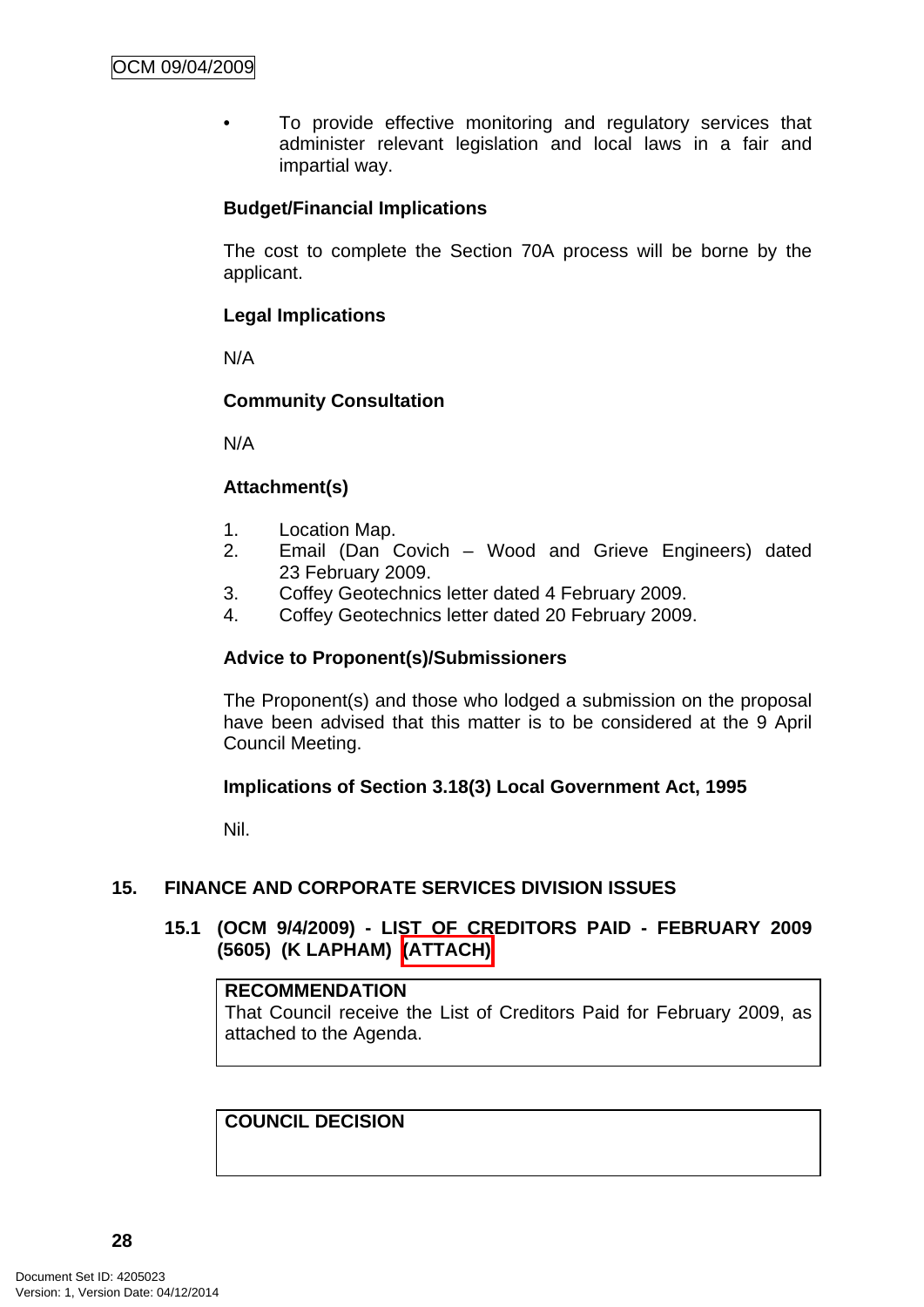<span id="page-27-0"></span>To provide effective monitoring and regulatory services that administer relevant legislation and local laws in a fair and impartial way.

## **Budget/Financial Implications**

The cost to complete the Section 70A process will be borne by the applicant.

#### **Legal Implications**

N/A

## **Community Consultation**

N/A

## **Attachment(s)**

- 1. Location Map.
- 2. Email (Dan Covich Wood and Grieve Engineers) dated 23 February 2009.
- 3. Coffey Geotechnics letter dated 4 February 2009.
- 4. Coffey Geotechnics letter dated 20 February 2009.

#### **Advice to Proponent(s)/Submissioners**

The Proponent(s) and those who lodged a submission on the proposal have been advised that this matter is to be considered at the 9 April Council Meeting.

#### **Implications of Section 3.18(3) Local Government Act, 1995**

Nil.

#### **15. FINANCE AND CORPORATE SERVICES DIVISION ISSUES**

## **15.1 (OCM 9/4/2009) - LIST OF CREDITORS PAID - FEBRUARY 2009 (5605) (K LAPHAM) (ATTACH)**

#### **RECOMMENDATION**

That Council receive the List of Creditors Paid for February 2009, as attached to the Agenda.

**COUNCIL DECISION**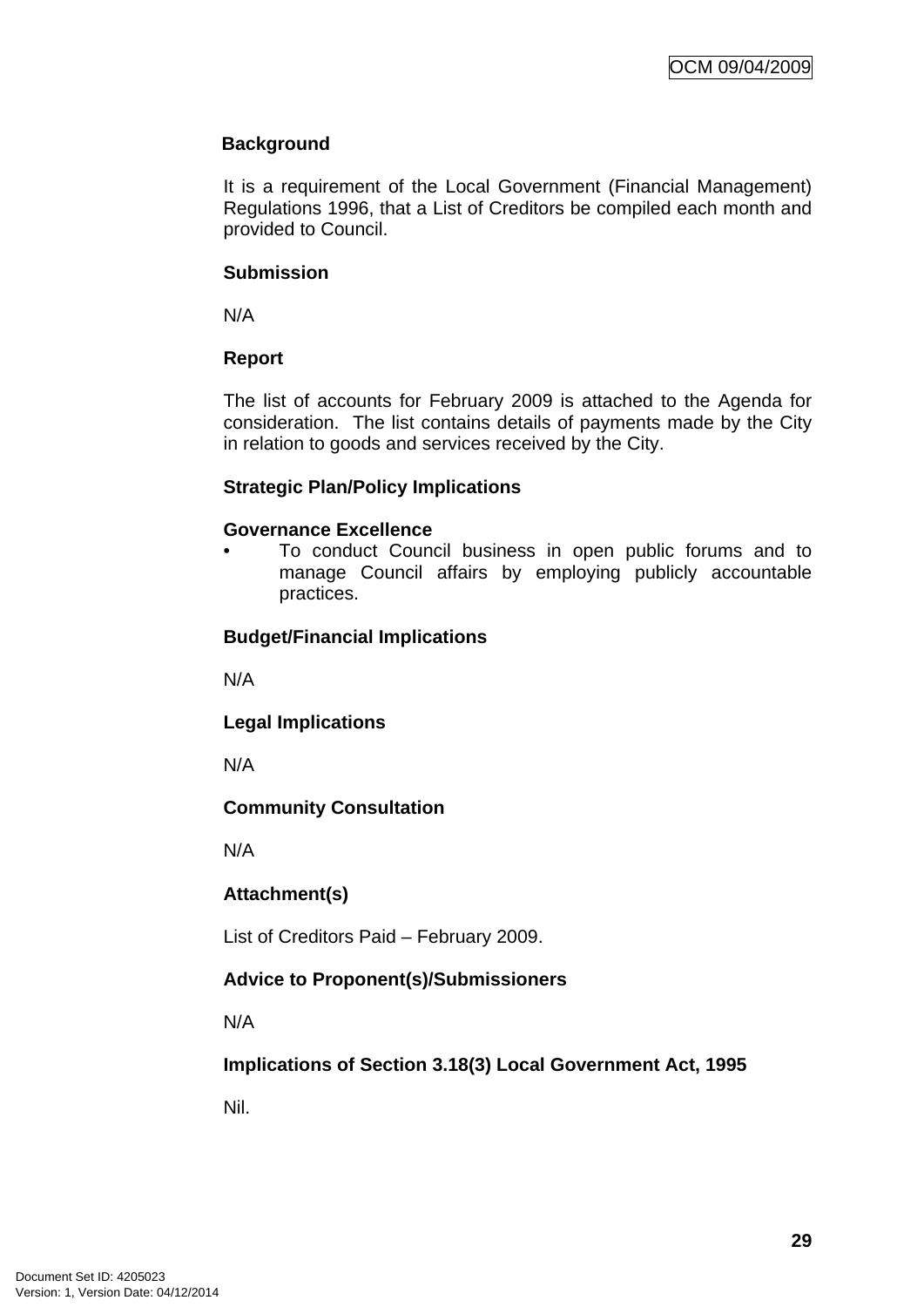## **Background**

It is a requirement of the Local Government (Financial Management) Regulations 1996, that a List of Creditors be compiled each month and provided to Council.

#### **Submission**

N/A

## **Report**

The list of accounts for February 2009 is attached to the Agenda for consideration. The list contains details of payments made by the City in relation to goods and services received by the City.

## **Strategic Plan/Policy Implications**

#### **Governance Excellence**

• To conduct Council business in open public forums and to manage Council affairs by employing publicly accountable practices.

## **Budget/Financial Implications**

N/A

**Legal Implications** 

N/A

## **Community Consultation**

N/A

## **Attachment(s)**

List of Creditors Paid – February 2009.

## **Advice to Proponent(s)/Submissioners**

N/A

## **Implications of Section 3.18(3) Local Government Act, 1995**

Nil.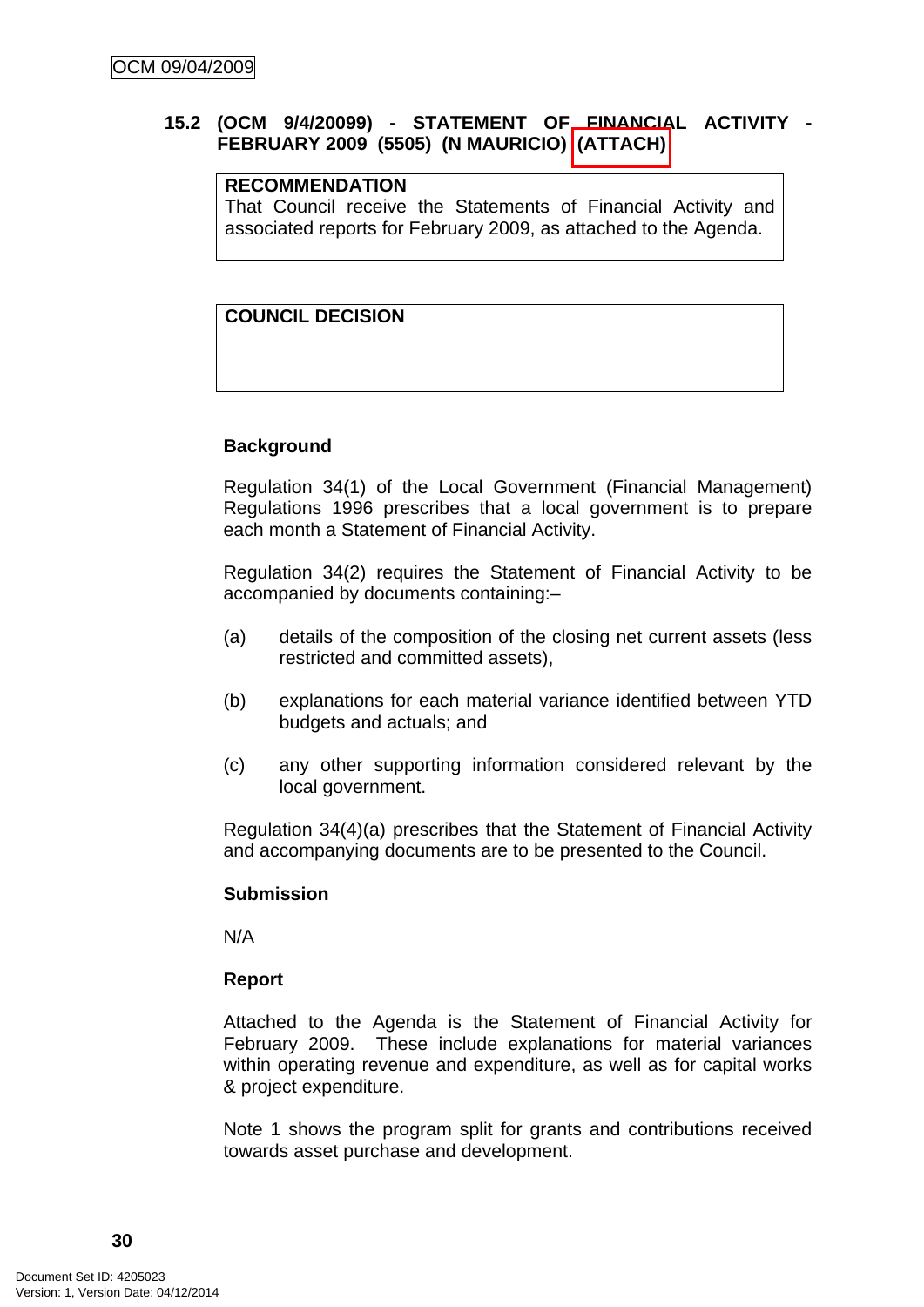## <span id="page-29-0"></span>**15.2 (OCM 9/4/20099) - STATEMENT OF FINANCIAL ACTIVITY - FEBRUARY 2009 (5505) (N MAURICIO) (ATTACH)**

#### **RECOMMENDATION**

That Council receive the Statements of Financial Activity and associated reports for February 2009, as attached to the Agenda.

## **COUNCIL DECISION**

#### **Background**

Regulation 34(1) of the Local Government (Financial Management) Regulations 1996 prescribes that a local government is to prepare each month a Statement of Financial Activity.

Regulation 34(2) requires the Statement of Financial Activity to be accompanied by documents containing:–

- (a) details of the composition of the closing net current assets (less restricted and committed assets),
- (b) explanations for each material variance identified between YTD budgets and actuals; and
- (c) any other supporting information considered relevant by the local government.

Regulation 34(4)(a) prescribes that the Statement of Financial Activity and accompanying documents are to be presented to the Council.

#### **Submission**

N/A

#### **Report**

Attached to the Agenda is the Statement of Financial Activity for February 2009. These include explanations for material variances within operating revenue and expenditure, as well as for capital works & project expenditure.

Note 1 shows the program split for grants and contributions received towards asset purchase and development.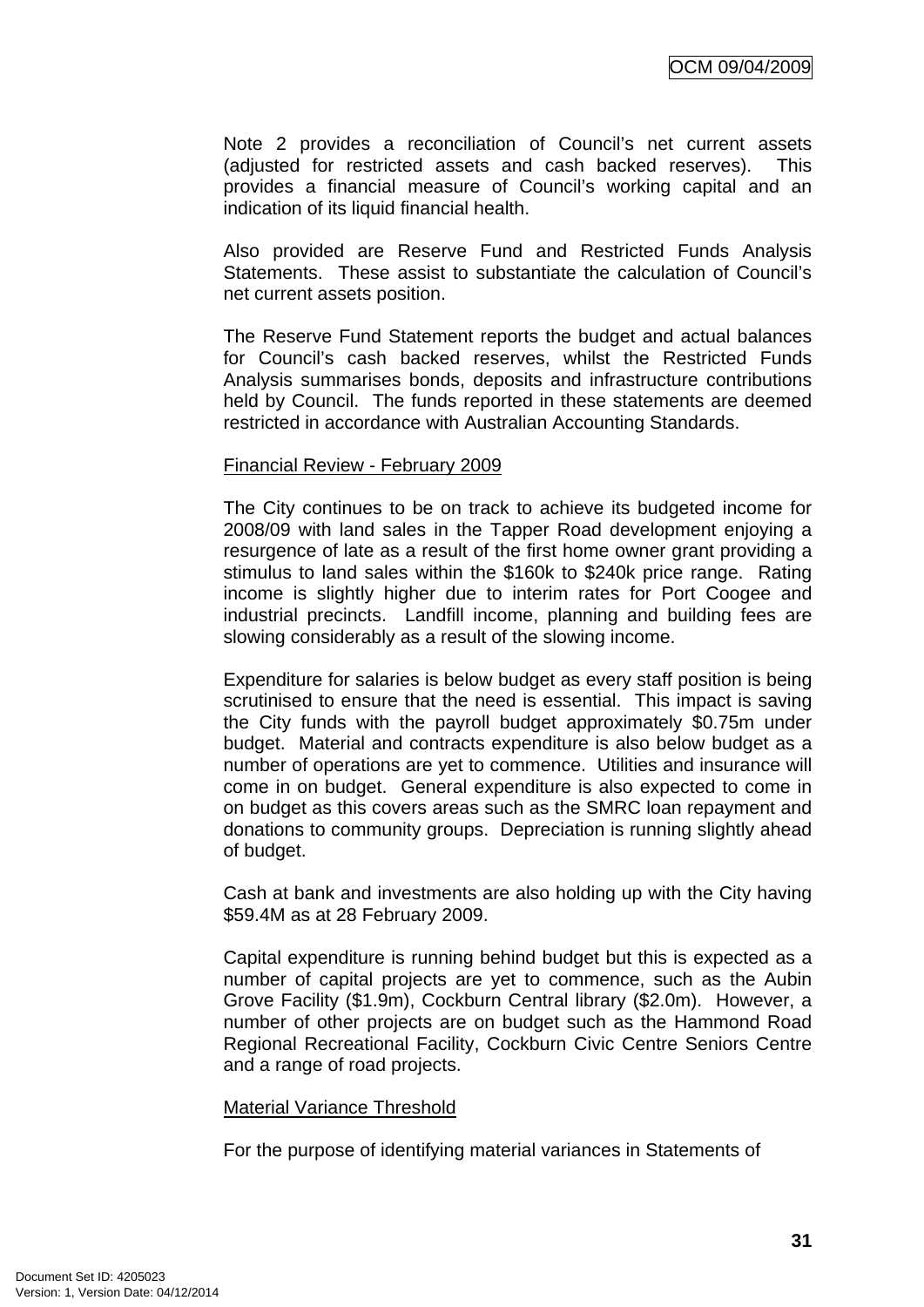Note 2 provides a reconciliation of Council's net current assets (adjusted for restricted assets and cash backed reserves). This provides a financial measure of Council's working capital and an indication of its liquid financial health.

Also provided are Reserve Fund and Restricted Funds Analysis Statements. These assist to substantiate the calculation of Council's net current assets position.

The Reserve Fund Statement reports the budget and actual balances for Council's cash backed reserves, whilst the Restricted Funds Analysis summarises bonds, deposits and infrastructure contributions held by Council. The funds reported in these statements are deemed restricted in accordance with Australian Accounting Standards.

#### Financial Review - February 2009

The City continues to be on track to achieve its budgeted income for 2008/09 with land sales in the Tapper Road development enjoying a resurgence of late as a result of the first home owner grant providing a stimulus to land sales within the \$160k to \$240k price range. Rating income is slightly higher due to interim rates for Port Coogee and industrial precincts. Landfill income, planning and building fees are slowing considerably as a result of the slowing income.

Expenditure for salaries is below budget as every staff position is being scrutinised to ensure that the need is essential. This impact is saving the City funds with the payroll budget approximately \$0.75m under budget. Material and contracts expenditure is also below budget as a number of operations are yet to commence. Utilities and insurance will come in on budget. General expenditure is also expected to come in on budget as this covers areas such as the SMRC loan repayment and donations to community groups. Depreciation is running slightly ahead of budget.

Cash at bank and investments are also holding up with the City having \$59.4M as at 28 February 2009.

Capital expenditure is running behind budget but this is expected as a number of capital projects are yet to commence, such as the Aubin Grove Facility (\$1.9m), Cockburn Central library (\$2.0m). However, a number of other projects are on budget such as the Hammond Road Regional Recreational Facility, Cockburn Civic Centre Seniors Centre and a range of road projects.

#### Material Variance Threshold

For the purpose of identifying material variances in Statements of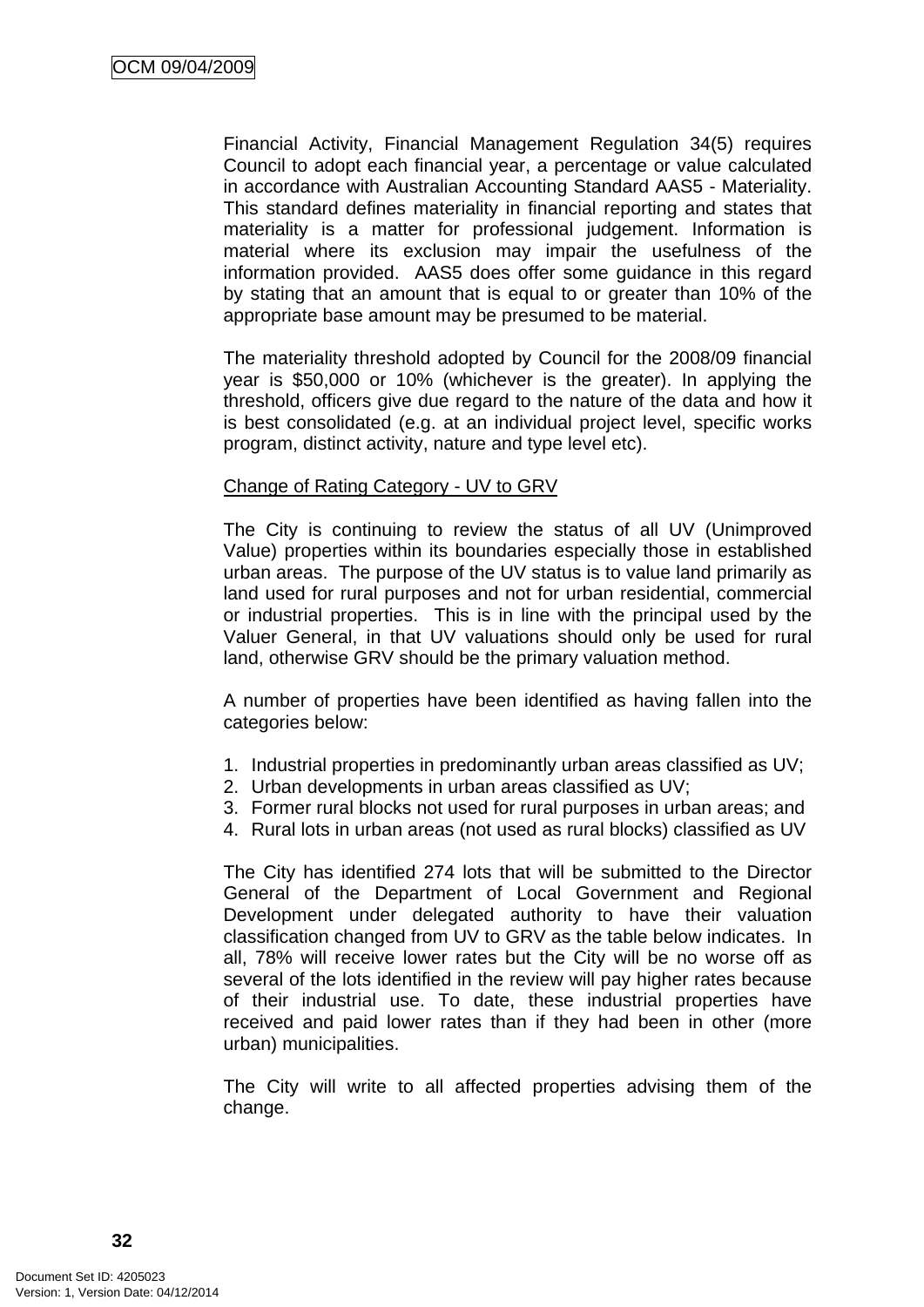Financial Activity, Financial Management Regulation 34(5) requires Council to adopt each financial year, a percentage or value calculated in accordance with Australian Accounting Standard AAS5 - Materiality. This standard defines materiality in financial reporting and states that materiality is a matter for professional judgement. Information is material where its exclusion may impair the usefulness of the information provided. AAS5 does offer some guidance in this regard by stating that an amount that is equal to or greater than 10% of the appropriate base amount may be presumed to be material.

The materiality threshold adopted by Council for the 2008/09 financial year is \$50,000 or 10% (whichever is the greater). In applying the threshold, officers give due regard to the nature of the data and how it is best consolidated (e.g. at an individual project level, specific works program, distinct activity, nature and type level etc).

#### Change of Rating Category - UV to GRV

The City is continuing to review the status of all UV (Unimproved Value) properties within its boundaries especially those in established urban areas. The purpose of the UV status is to value land primarily as land used for rural purposes and not for urban residential, commercial or industrial properties. This is in line with the principal used by the Valuer General, in that UV valuations should only be used for rural land, otherwise GRV should be the primary valuation method.

A number of properties have been identified as having fallen into the categories below:

- 1. Industrial properties in predominantly urban areas classified as UV;
- 2. Urban developments in urban areas classified as UV;
- 3. Former rural blocks not used for rural purposes in urban areas; and
- 4. Rural lots in urban areas (not used as rural blocks) classified as UV

The City has identified 274 lots that will be submitted to the Director General of the Department of Local Government and Regional Development under delegated authority to have their valuation classification changed from UV to GRV as the table below indicates. In all, 78% will receive lower rates but the City will be no worse off as several of the lots identified in the review will pay higher rates because of their industrial use. To date, these industrial properties have received and paid lower rates than if they had been in other (more urban) municipalities.

The City will write to all affected properties advising them of the change.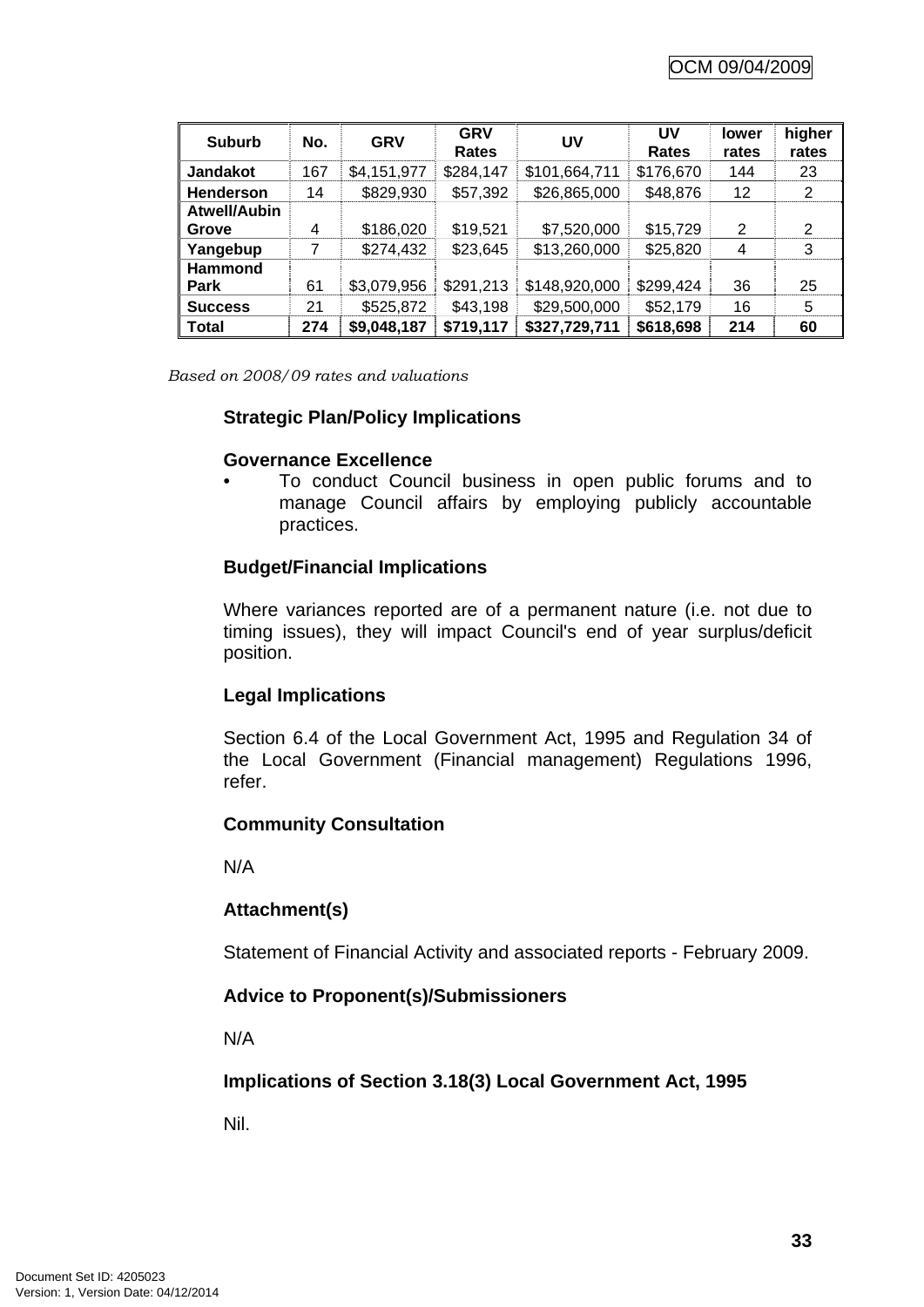| <b>Suburb</b>                | No. | <b>GRV</b>  | <b>GRV</b><br><b>Rates</b> | UV            | UV<br><b>Rates</b> | <b>lower</b><br>rates | higher<br>rates |
|------------------------------|-----|-------------|----------------------------|---------------|--------------------|-----------------------|-----------------|
| <b>Jandakot</b>              | 167 | \$4,151,977 | \$284,147                  | \$101,664,711 | \$176,670          | 144                   | 23              |
| <b>Henderson</b>             | 14  | \$829,930   | \$57,392                   | \$26,865,000  | \$48,876           | 12                    | 2               |
| <b>Atwell/Aubin</b><br>Grove | 4   | \$186,020   | \$19,521                   | \$7,520,000   | \$15,729           | 2                     | 2               |
| Yangebup                     |     | \$274,432   | \$23,645                   | \$13,260,000  | \$25,820           | 4                     | 3               |
| Hammond<br>Park              | 61  | \$3,079,956 | \$291,213                  | \$148,920,000 | \$299,424          | 36                    | 25              |
| <b>Success</b>               | 21  | \$525,872   | \$43,198                   | \$29,500,000  | \$52,179           | 16                    | 5               |
| <b>Total</b>                 | 274 | \$9,048,187 | \$719,117                  | \$327,729,711 | \$618,698          | 214                   | 60              |

*Based on 2008/09 rates and valuations*

#### **Strategic Plan/Policy Implications**

#### **Governance Excellence**

• To conduct Council business in open public forums and to manage Council affairs by employing publicly accountable practices.

#### **Budget/Financial Implications**

Where variances reported are of a permanent nature (i.e. not due to timing issues), they will impact Council's end of year surplus/deficit position.

#### **Legal Implications**

Section 6.4 of the Local Government Act, 1995 and Regulation 34 of the Local Government (Financial management) Regulations 1996, refer.

#### **Community Consultation**

N/A

#### **Attachment(s)**

Statement of Financial Activity and associated reports - February 2009.

#### **Advice to Proponent(s)/Submissioners**

N/A

#### **Implications of Section 3.18(3) Local Government Act, 1995**

Nil.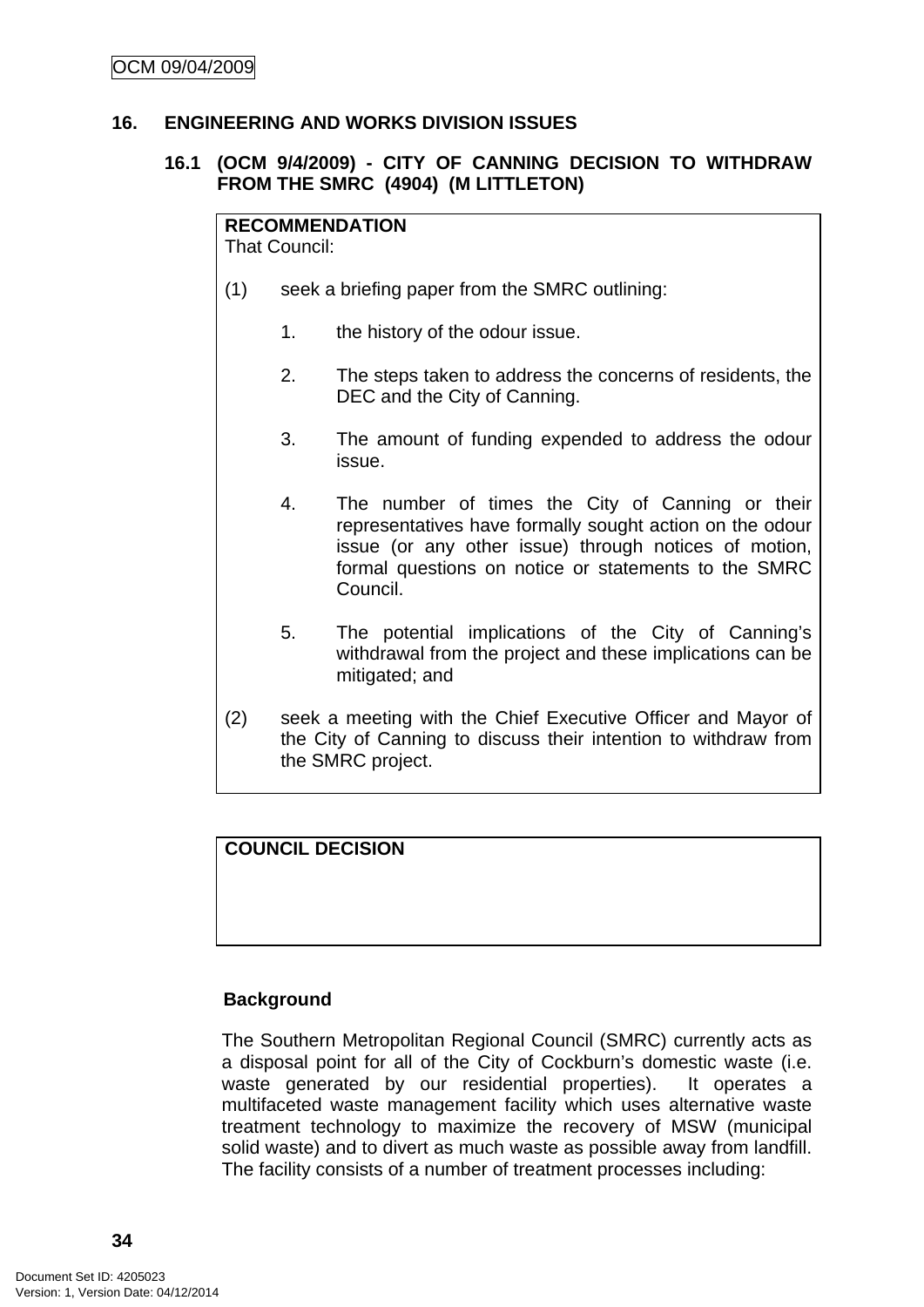#### <span id="page-33-0"></span>**16. ENGINEERING AND WORKS DIVISION ISSUES**

#### **16.1 (OCM 9/4/2009) - CITY OF CANNING DECISION TO WITHDRAW FROM THE SMRC (4904) (M LITTLETON)**

## **RECOMMENDATION**

That Council:

- (1) seek a briefing paper from the SMRC outlining:
	- 1. the history of the odour issue.
	- 2. The steps taken to address the concerns of residents, the DEC and the City of Canning.
	- 3. The amount of funding expended to address the odour issue.
	- 4. The number of times the City of Canning or their representatives have formally sought action on the odour issue (or any other issue) through notices of motion, formal questions on notice or statements to the SMRC Council.
	- 5. The potential implications of the City of Canning's withdrawal from the project and these implications can be mitigated; and
- (2) seek a meeting with the Chief Executive Officer and Mayor of the City of Canning to discuss their intention to withdraw from the SMRC project.

**COUNCIL DECISION** 

#### **Background**

The Southern Metropolitan Regional Council (SMRC) currently acts as a disposal point for all of the City of Cockburn's domestic waste (i.e. waste generated by our residential properties). It operates a multifaceted waste management facility which uses alternative waste treatment technology to maximize the recovery of MSW (municipal solid waste) and to divert as much waste as possible away from landfill. The facility consists of a number of treatment processes including: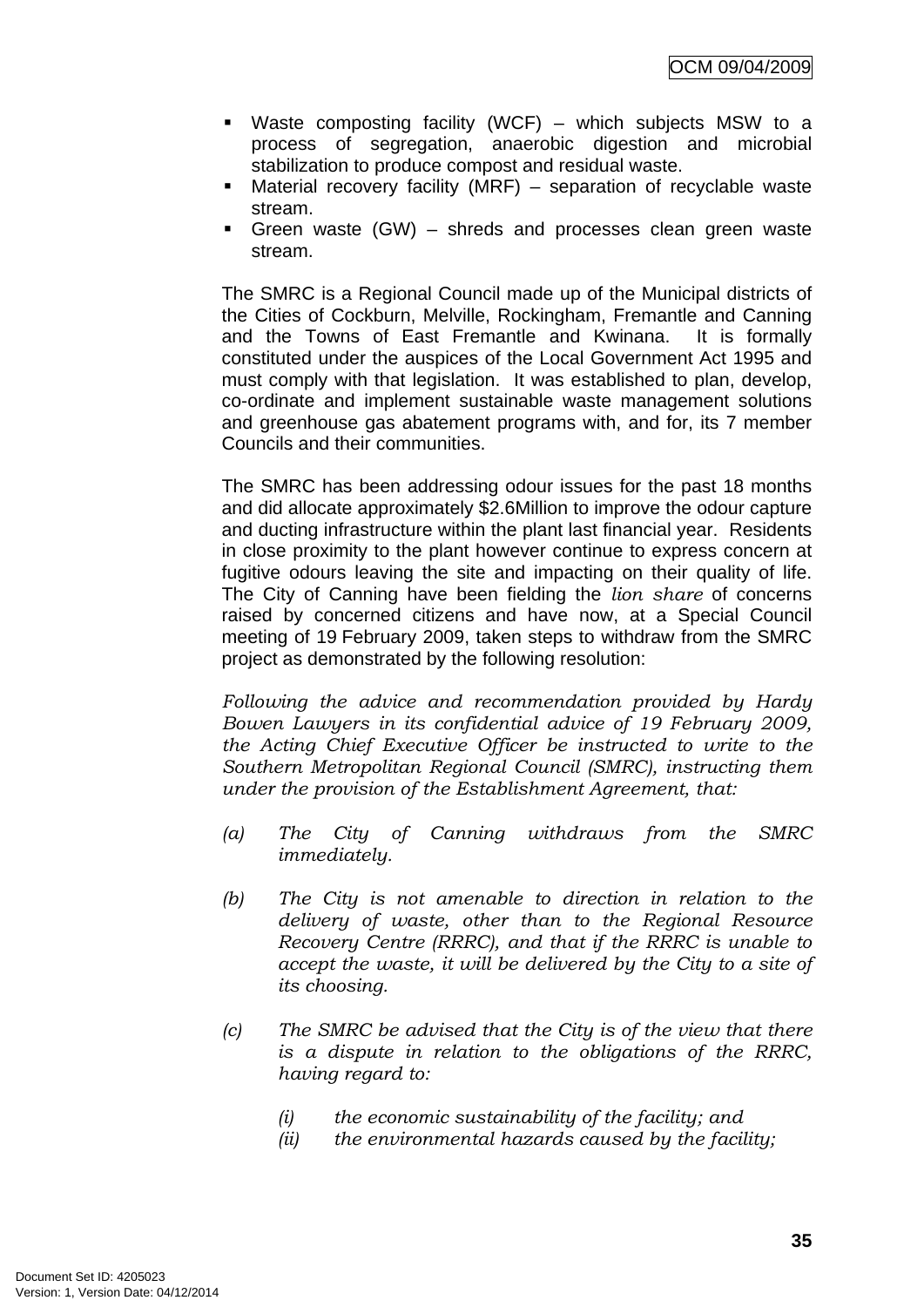- Waste composting facility (WCF) which subjects MSW to a process of segregation, anaerobic digestion and microbial stabilization to produce compost and residual waste.
- Material recovery facility (MRF) separation of recyclable waste stream.
- Green waste (GW) shreds and processes clean green waste stream.

The SMRC is a Regional Council made up of the Municipal districts of the Cities of Cockburn, Melville, Rockingham, Fremantle and Canning and the Towns of East Fremantle and Kwinana. It is formally constituted under the auspices of the Local Government Act 1995 and must comply with that legislation. It was established to plan, develop, co-ordinate and implement sustainable waste management solutions and greenhouse gas abatement programs with, and for, its 7 member Councils and their communities.

The SMRC has been addressing odour issues for the past 18 months and did allocate approximately \$2.6Million to improve the odour capture and ducting infrastructure within the plant last financial year. Residents in close proximity to the plant however continue to express concern at fugitive odours leaving the site and impacting on their quality of life. The City of Canning have been fielding the *lion share* of concerns raised by concerned citizens and have now, at a Special Council meeting of 19 February 2009, taken steps to withdraw from the SMRC project as demonstrated by the following resolution:

*Following the advice and recommendation provided by Hardy Bowen Lawyers in its confidential advice of 19 February 2009, the Acting Chief Executive Officer be instructed to write to the Southern Metropolitan Regional Council (SMRC), instructing them under the provision of the Establishment Agreement, that:* 

- *(a) The City of Canning withdraws from the SMRC immediately.*
- *(b) The City is not amenable to direction in relation to the delivery of waste, other than to the Regional Resource Recovery Centre (RRRC), and that if the RRRC is unable to accept the waste, it will be delivered by the City to a site of its choosing.*
- *(c) The SMRC be advised that the City is of the view that there is a dispute in relation to the obligations of the RRRC, having regard to:* 
	- *(i) the economic sustainability of the facility; and*
	- *(ii) the environmental hazards caused by the facility;*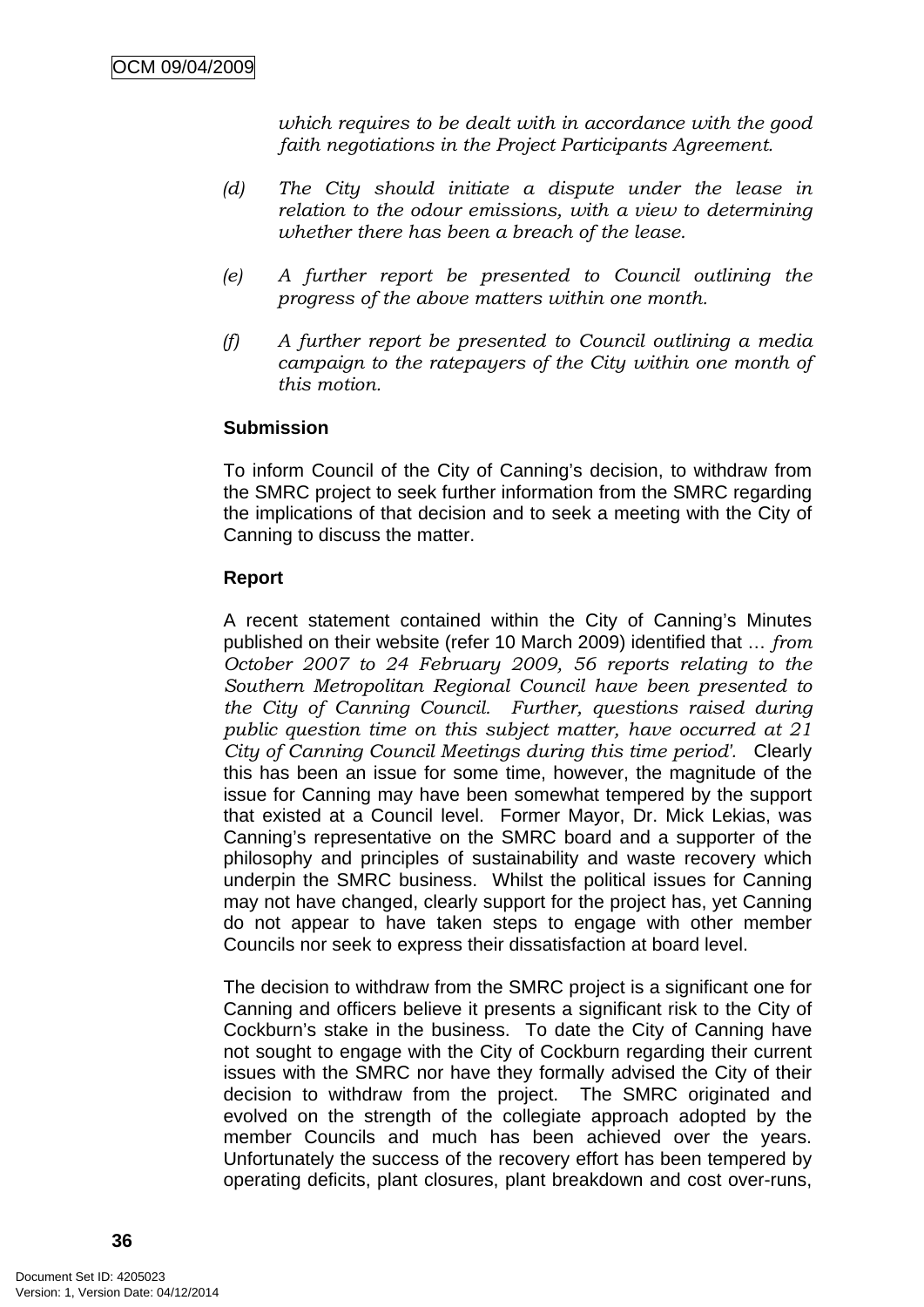*which requires to be dealt with in accordance with the good faith negotiations in the Project Participants Agreement.* 

- *(d) The City should initiate a dispute under the lease in relation to the odour emissions, with a view to determining whether there has been a breach of the lease.*
- *(e) A further report be presented to Council outlining the progress of the above matters within one month.*
- *(f) A further report be presented to Council outlining a media campaign to the ratepayers of the City within one month of this motion.*

#### **Submission**

To inform Council of the City of Canning's decision, to withdraw from the SMRC project to seek further information from the SMRC regarding the implications of that decision and to seek a meeting with the City of Canning to discuss the matter.

#### **Report**

A recent statement contained within the City of Canning's Minutes published on their website (refer 10 March 2009) identified that … *from October 2007 to 24 February 2009, 56 reports relating to the Southern Metropolitan Regional Council have been presented to the City of Canning Council. Further, questions raised during public question time on this subject matter, have occurred at 21 City of Canning Council Meetings during this time period'.* Clearly this has been an issue for some time, however, the magnitude of the issue for Canning may have been somewhat tempered by the support that existed at a Council level. Former Mayor, Dr. Mick Lekias, was Canning's representative on the SMRC board and a supporter of the philosophy and principles of sustainability and waste recovery which underpin the SMRC business. Whilst the political issues for Canning may not have changed, clearly support for the project has, yet Canning do not appear to have taken steps to engage with other member Councils nor seek to express their dissatisfaction at board level.

The decision to withdraw from the SMRC project is a significant one for Canning and officers believe it presents a significant risk to the City of Cockburn's stake in the business. To date the City of Canning have not sought to engage with the City of Cockburn regarding their current issues with the SMRC nor have they formally advised the City of their decision to withdraw from the project. The SMRC originated and evolved on the strength of the collegiate approach adopted by the member Councils and much has been achieved over the years. Unfortunately the success of the recovery effort has been tempered by operating deficits, plant closures, plant breakdown and cost over-runs,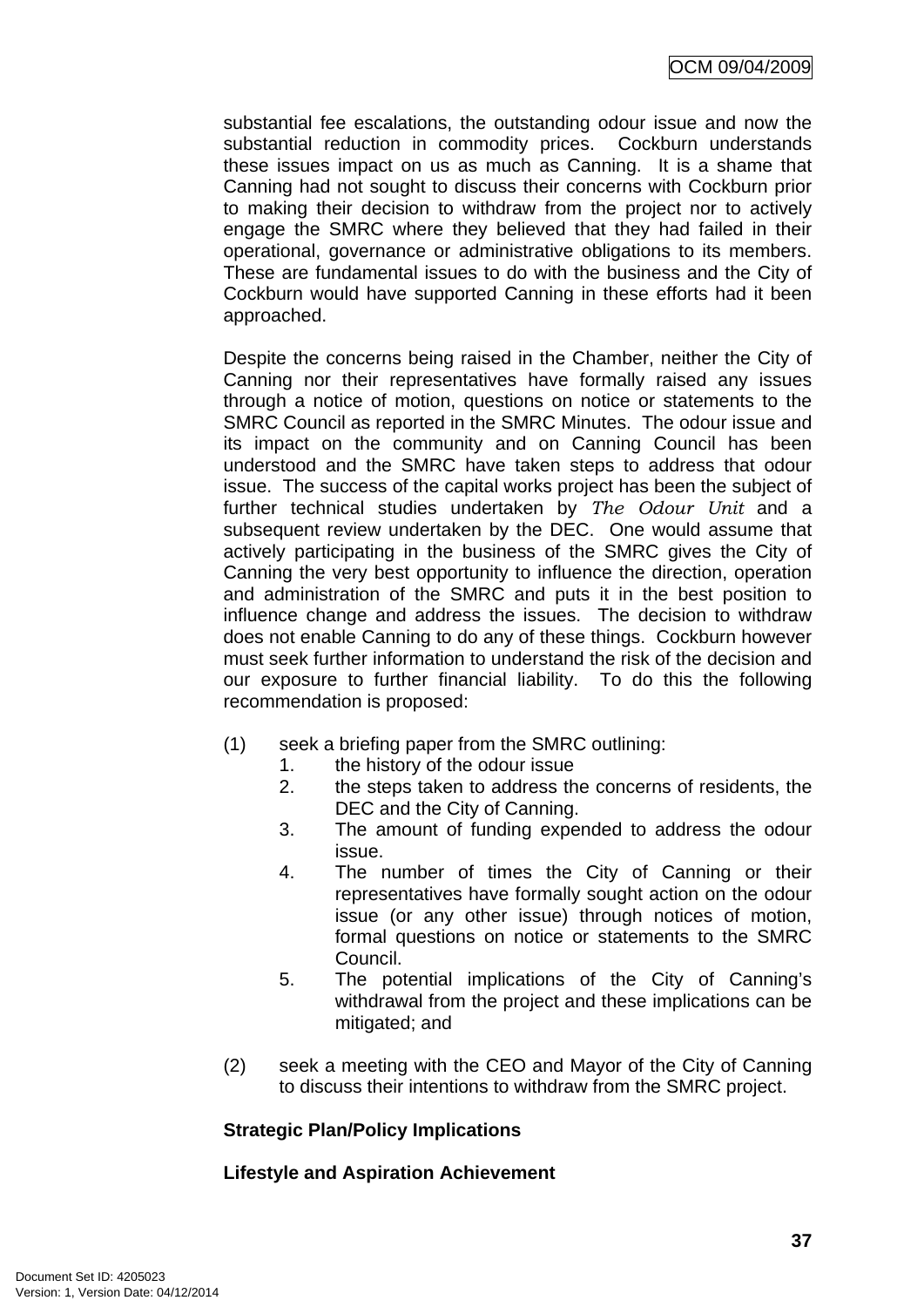substantial fee escalations, the outstanding odour issue and now the substantial reduction in commodity prices. Cockburn understands these issues impact on us as much as Canning. It is a shame that Canning had not sought to discuss their concerns with Cockburn prior to making their decision to withdraw from the project nor to actively engage the SMRC where they believed that they had failed in their operational, governance or administrative obligations to its members. These are fundamental issues to do with the business and the City of Cockburn would have supported Canning in these efforts had it been approached.

Despite the concerns being raised in the Chamber, neither the City of Canning nor their representatives have formally raised any issues through a notice of motion, questions on notice or statements to the SMRC Council as reported in the SMRC Minutes. The odour issue and its impact on the community and on Canning Council has been understood and the SMRC have taken steps to address that odour issue. The success of the capital works project has been the subject of further technical studies undertaken by *The Odour Unit* and a subsequent review undertaken by the DEC. One would assume that actively participating in the business of the SMRC gives the City of Canning the very best opportunity to influence the direction, operation and administration of the SMRC and puts it in the best position to influence change and address the issues. The decision to withdraw does not enable Canning to do any of these things. Cockburn however must seek further information to understand the risk of the decision and our exposure to further financial liability. To do this the following recommendation is proposed:

- (1) seek a briefing paper from the SMRC outlining:
	- 1. the history of the odour issue
	- 2. the steps taken to address the concerns of residents, the DEC and the City of Canning.
	- 3. The amount of funding expended to address the odour issue.
	- 4. The number of times the City of Canning or their representatives have formally sought action on the odour issue (or any other issue) through notices of motion, formal questions on notice or statements to the SMRC Council.
	- 5. The potential implications of the City of Canning's withdrawal from the project and these implications can be mitigated; and
- (2) seek a meeting with the CEO and Mayor of the City of Canning to discuss their intentions to withdraw from the SMRC project.

## **Strategic Plan/Policy Implications**

## **Lifestyle and Aspiration Achievement**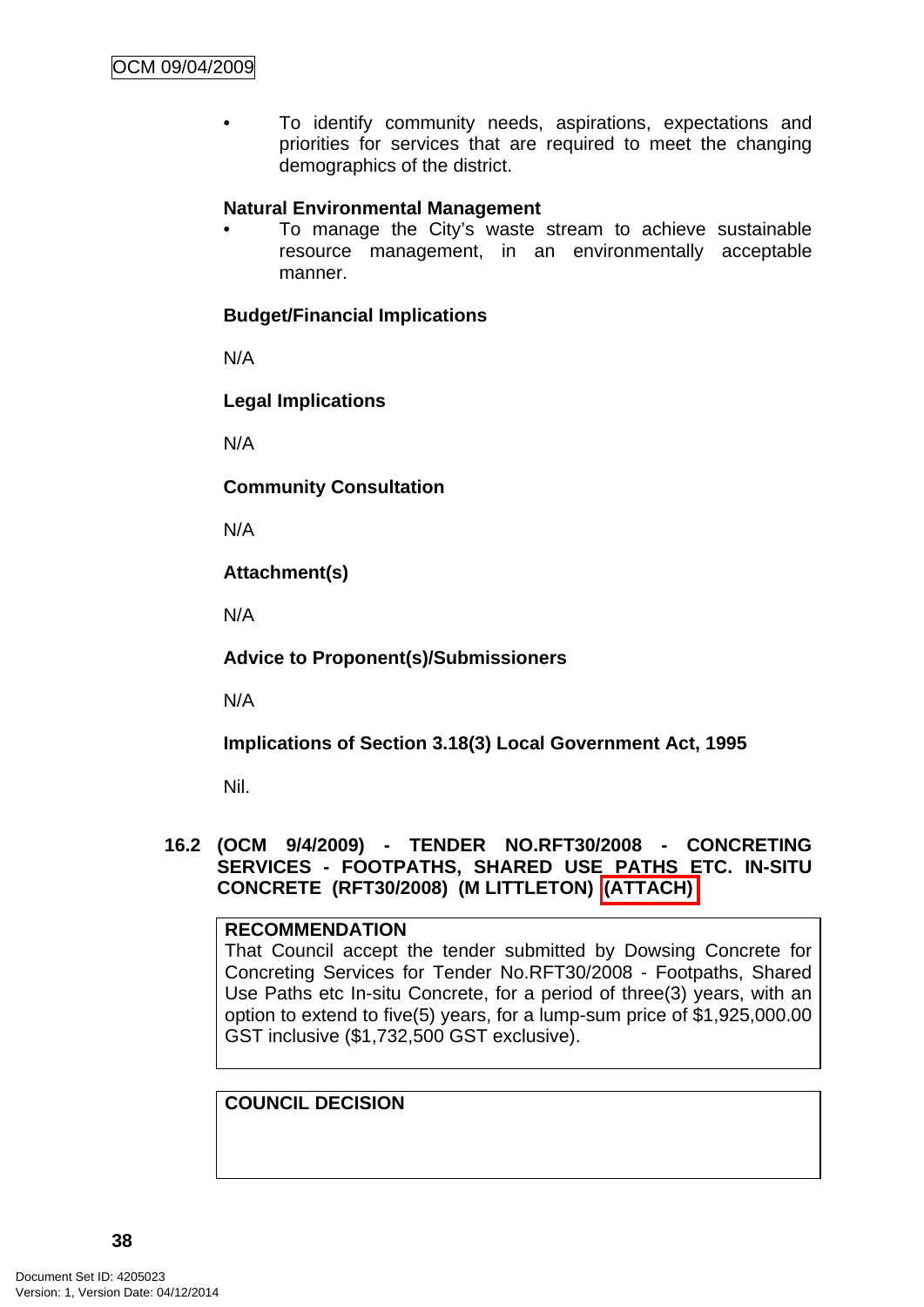<span id="page-37-0"></span>• To identify community needs, aspirations, expectations and priorities for services that are required to meet the changing demographics of the district.

## **Natural Environmental Management**

• To manage the City's waste stream to achieve sustainable resource management, in an environmentally acceptable manner.

#### **Budget/Financial Implications**

N/A

## **Legal Implications**

N/A

**Community Consultation** 

N/A

**Attachment(s)**

N/A

**Advice to Proponent(s)/Submissioners** 

N/A

**Implications of Section 3.18(3) Local Government Act, 1995**

Nil.

## **16.2 (OCM 9/4/2009) - TENDER NO.RFT30/2008 - CONCRETING SERVICES - FOOTPATHS, SHARED USE PATHS ETC. IN-SITU CONCRETE (RFT30/2008) (M LITTLETON) (ATTACH)**

#### **RECOMMENDATION**

That Council accept the tender submitted by Dowsing Concrete for Concreting Services for Tender No.RFT30/2008 - Footpaths, Shared Use Paths etc In-situ Concrete, for a period of three(3) years, with an option to extend to five(5) years, for a lump-sum price of \$1,925,000.00 GST inclusive (\$1,732,500 GST exclusive).

#### **COUNCIL DECISION**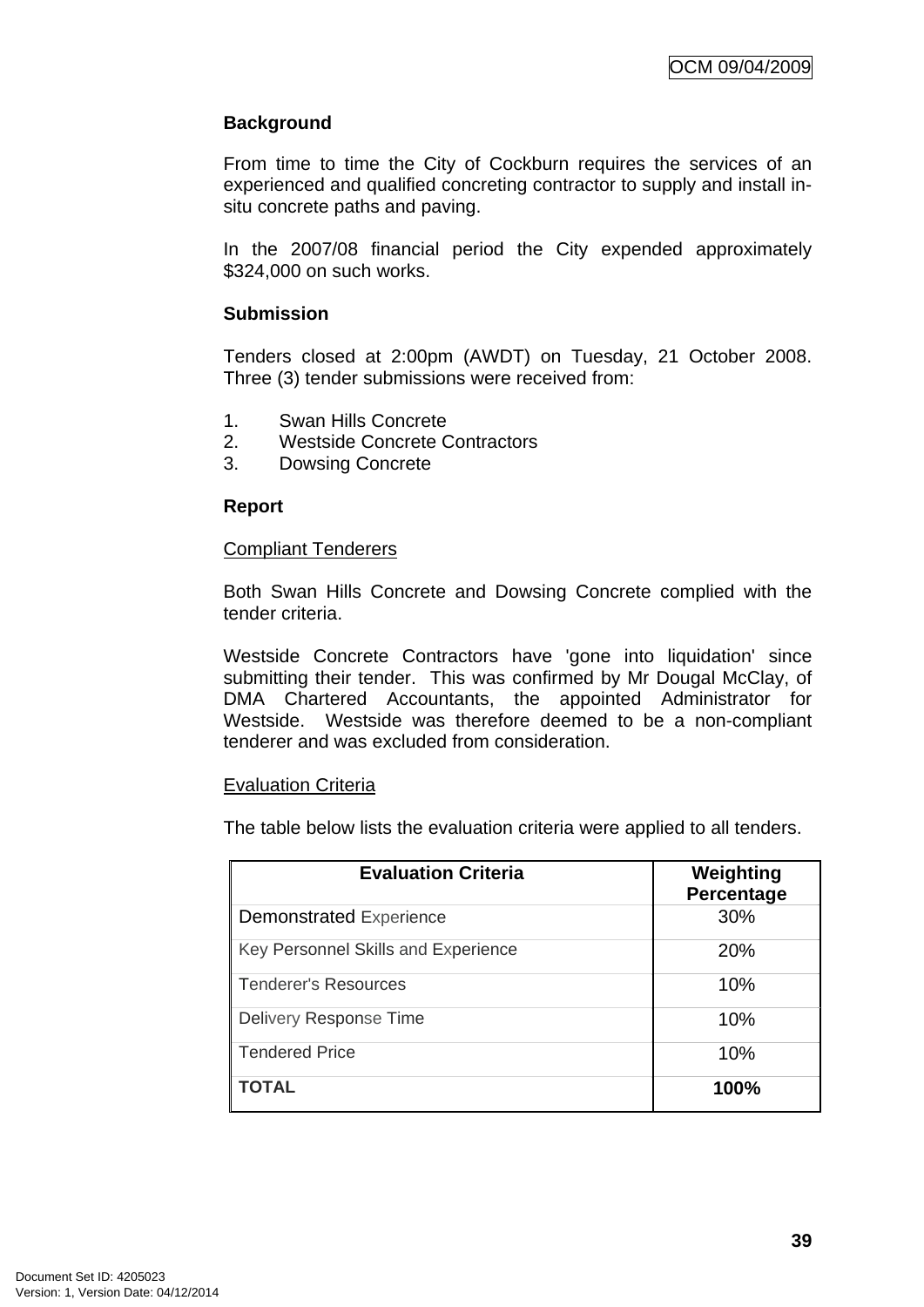## **Background**

From time to time the City of Cockburn requires the services of an experienced and qualified concreting contractor to supply and install insitu concrete paths and paving.

In the 2007/08 financial period the City expended approximately \$324,000 on such works.

#### **Submission**

Tenders closed at 2:00pm (AWDT) on Tuesday, 21 October 2008. Three (3) tender submissions were received from:

- 1. Swan Hills Concrete
- 2. Westside Concrete Contractors
- 3. Dowsing Concrete

#### **Report**

#### Compliant Tenderers

Both Swan Hills Concrete and Dowsing Concrete complied with the tender criteria.

Westside Concrete Contractors have 'gone into liquidation' since submitting their tender. This was confirmed by Mr Dougal McClay, of DMA Chartered Accountants, the appointed Administrator for Westside. Westside was therefore deemed to be a non-compliant tenderer and was excluded from consideration.

#### Evaluation Criteria

The table below lists the evaluation criteria were applied to all tenders.

| <b>Evaluation Criteria</b>          | Weighting<br>Percentage |
|-------------------------------------|-------------------------|
| <b>Demonstrated Experience</b>      | 30%                     |
| Key Personnel Skills and Experience | 20%                     |
| Tenderer's Resources                | 10%                     |
| Delivery Response Time              | 10%                     |
| <b>Tendered Price</b>               | 10%                     |
| <b>TOTAL</b>                        | 100%                    |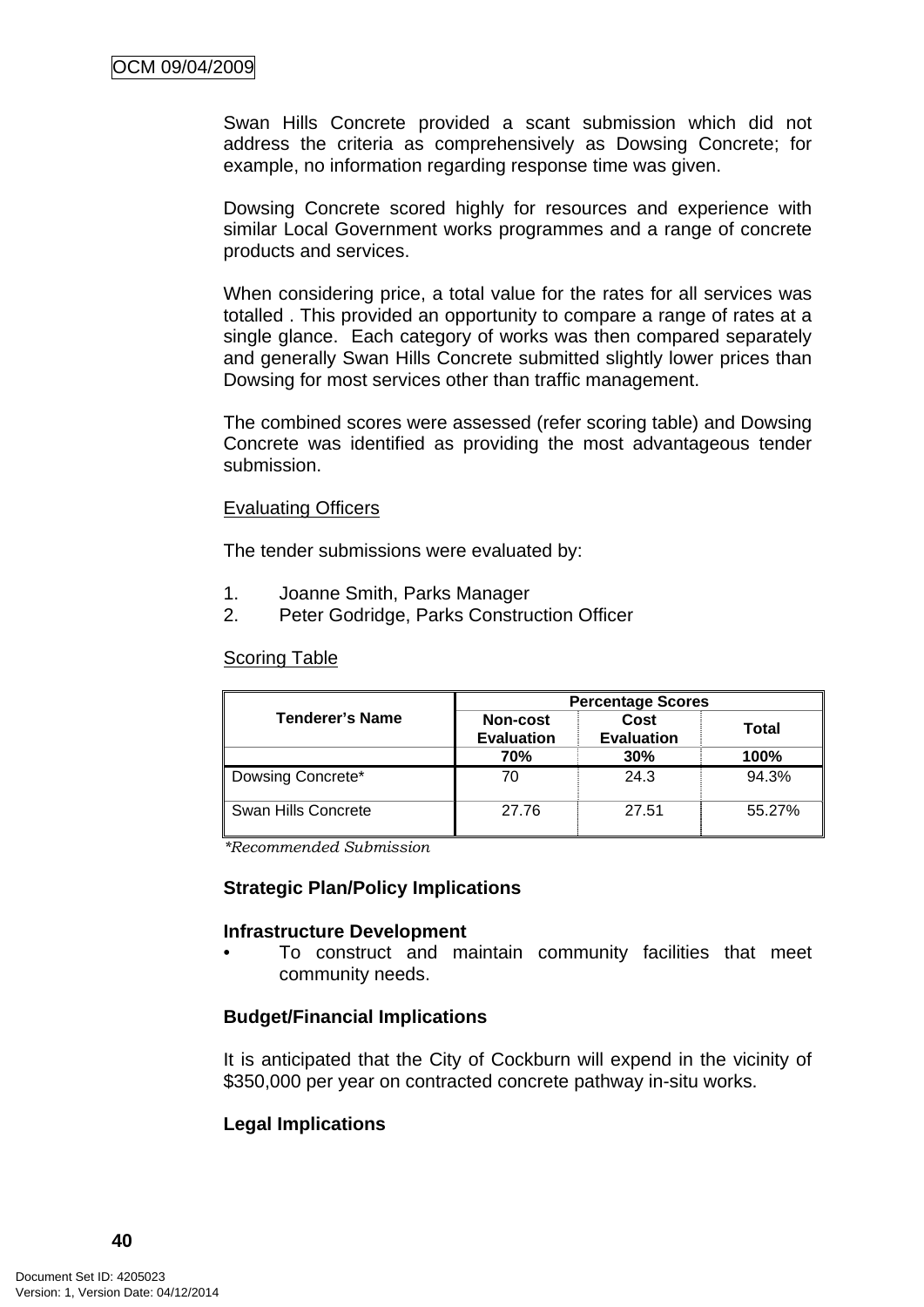Swan Hills Concrete provided a scant submission which did not address the criteria as comprehensively as Dowsing Concrete; for example, no information regarding response time was given.

Dowsing Concrete scored highly for resources and experience with similar Local Government works programmes and a range of concrete products and services.

When considering price, a total value for the rates for all services was totalled . This provided an opportunity to compare a range of rates at a single glance. Each category of works was then compared separately and generally Swan Hills Concrete submitted slightly lower prices than Dowsing for most services other than traffic management.

The combined scores were assessed (refer scoring table) and Dowsing Concrete was identified as providing the most advantageous tender submission.

#### Evaluating Officers

The tender submissions were evaluated by:

- 1. Joanne Smith, Parks Manager
- 2. Peter Godridge, Parks Construction Officer

#### Scoring Table

|                        | <b>Percentage Scores</b>             |                           |             |  |
|------------------------|--------------------------------------|---------------------------|-------------|--|
| <b>Tenderer's Name</b> | <b>Non-cost</b><br><b>Evaluation</b> | Cost<br><b>Evaluation</b> | Total       |  |
|                        | 70%                                  | 30%                       | <b>100%</b> |  |
| Dowsing Concrete*      | 70                                   | 24.3                      | 94.3%       |  |
| Swan Hills Concrete    | 27.76                                | 27.51                     | 55.27%      |  |

*\*Recommended Submission* 

#### **Strategic Plan/Policy Implications**

#### **Infrastructure Development**

• To construct and maintain community facilities that meet community needs.

#### **Budget/Financial Implications**

It is anticipated that the City of Cockburn will expend in the vicinity of \$350,000 per year on contracted concrete pathway in-situ works.

#### **Legal Implications**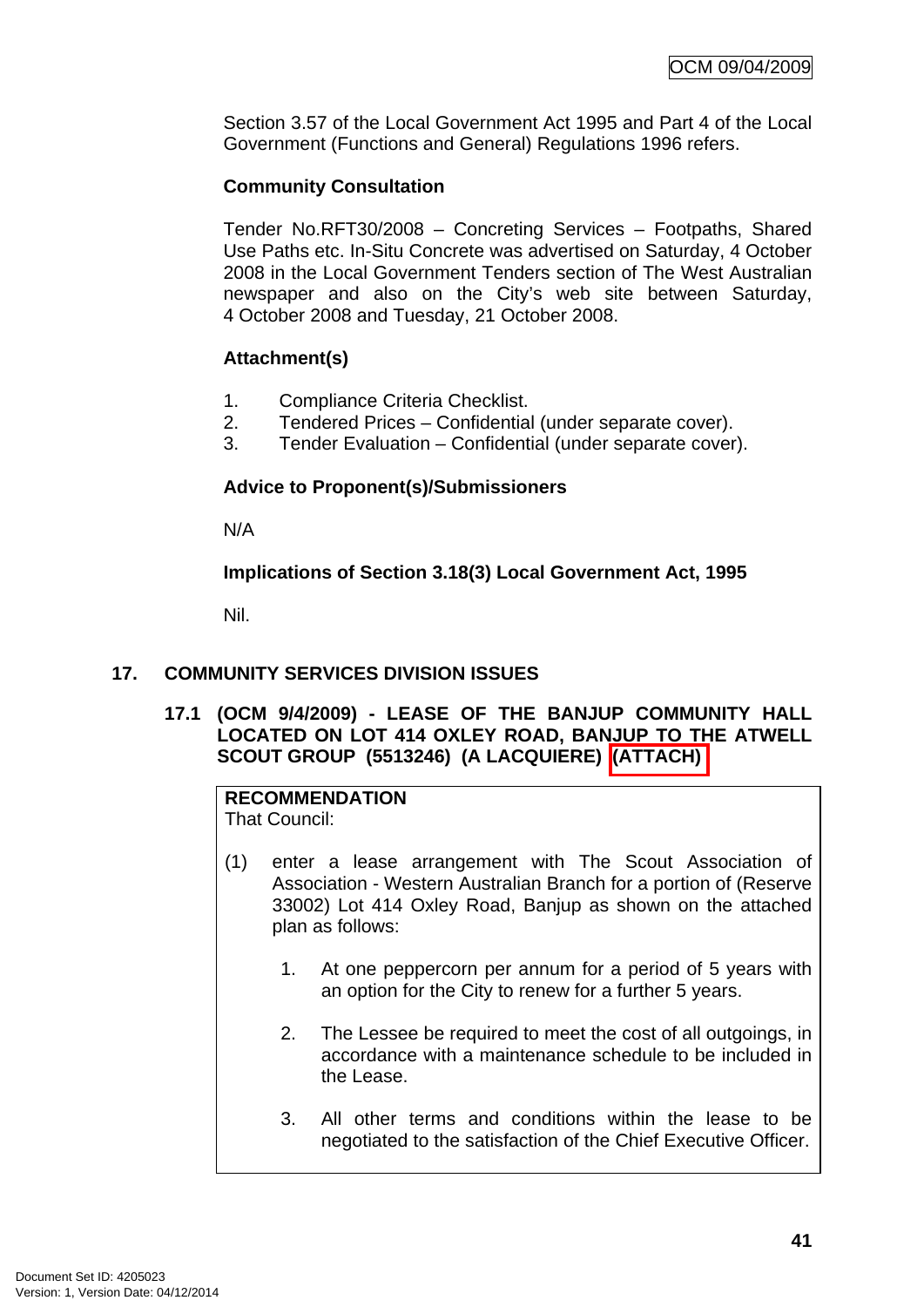<span id="page-40-0"></span>Section 3.57 of the Local Government Act 1995 and Part 4 of the Local Government (Functions and General) Regulations 1996 refers.

## **Community Consultation**

Tender No.RFT30/2008 – Concreting Services – Footpaths, Shared Use Paths etc. In-Situ Concrete was advertised on Saturday, 4 October 2008 in the Local Government Tenders section of The West Australian newspaper and also on the City's web site between Saturday, 4 October 2008 and Tuesday, 21 October 2008.

## **Attachment(s)**

- 1. Compliance Criteria Checklist.
- 2. Tendered Prices Confidential (under separate cover).
- 3. Tender Evaluation Confidential (under separate cover).

## **Advice to Proponent(s)/Submissioners**

N/A

**Implications of Section 3.18(3) Local Government Act, 1995**

Nil.

#### **17. COMMUNITY SERVICES DIVISION ISSUES**

**17.1 (OCM 9/4/2009) - LEASE OF THE BANJUP COMMUNITY HALL LOCATED ON LOT 414 OXLEY ROAD, BANJUP TO THE ATWELL SCOUT GROUP (5513246) (A LACQUIERE) (ATTACH)** 

# **RECOMMENDATION**

That Council:

- (1) enter a lease arrangement with The Scout Association of Association - Western Australian Branch for a portion of (Reserve 33002) Lot 414 Oxley Road, Banjup as shown on the attached plan as follows:
	- 1. At one peppercorn per annum for a period of 5 years with an option for the City to renew for a further 5 years.
	- 2. The Lessee be required to meet the cost of all outgoings, in accordance with a maintenance schedule to be included in the Lease.
	- 3. All other terms and conditions within the lease to be negotiated to the satisfaction of the Chief Executive Officer.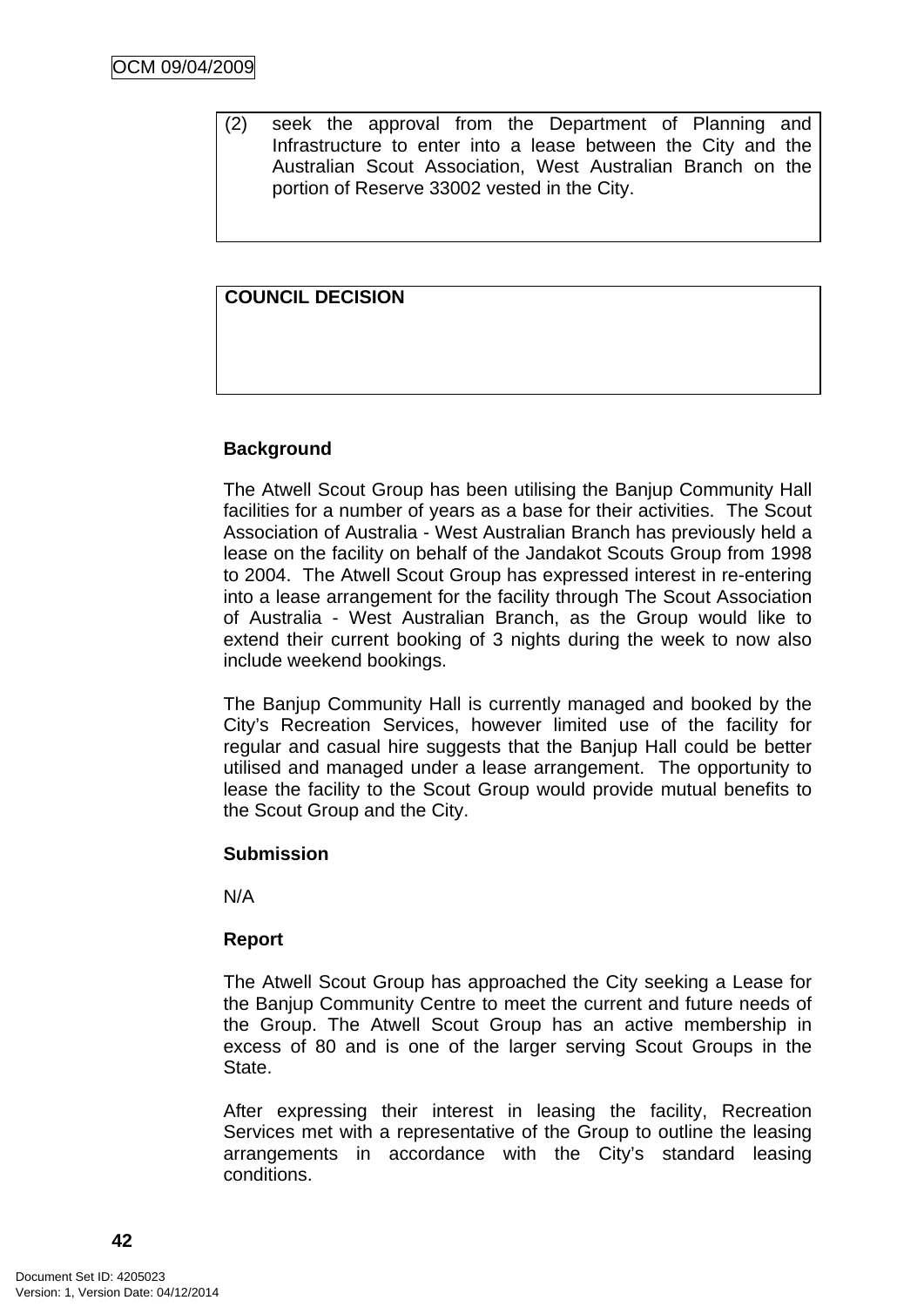(2) seek the approval from the Department of Planning and Infrastructure to enter into a lease between the City and the Australian Scout Association, West Australian Branch on the portion of Reserve 33002 vested in the City.

## **COUNCIL DECISION**

## **Background**

The Atwell Scout Group has been utilising the Banjup Community Hall facilities for a number of years as a base for their activities. The Scout Association of Australia - West Australian Branch has previously held a lease on the facility on behalf of the Jandakot Scouts Group from 1998 to 2004. The Atwell Scout Group has expressed interest in re-entering into a lease arrangement for the facility through The Scout Association of Australia - West Australian Branch, as the Group would like to extend their current booking of 3 nights during the week to now also include weekend bookings.

The Banjup Community Hall is currently managed and booked by the City's Recreation Services, however limited use of the facility for regular and casual hire suggests that the Banjup Hall could be better utilised and managed under a lease arrangement. The opportunity to lease the facility to the Scout Group would provide mutual benefits to the Scout Group and the City.

#### **Submission**

N/A

#### **Report**

The Atwell Scout Group has approached the City seeking a Lease for the Banjup Community Centre to meet the current and future needs of the Group. The Atwell Scout Group has an active membership in excess of 80 and is one of the larger serving Scout Groups in the State.

After expressing their interest in leasing the facility, Recreation Services met with a representative of the Group to outline the leasing arrangements in accordance with the City's standard leasing conditions.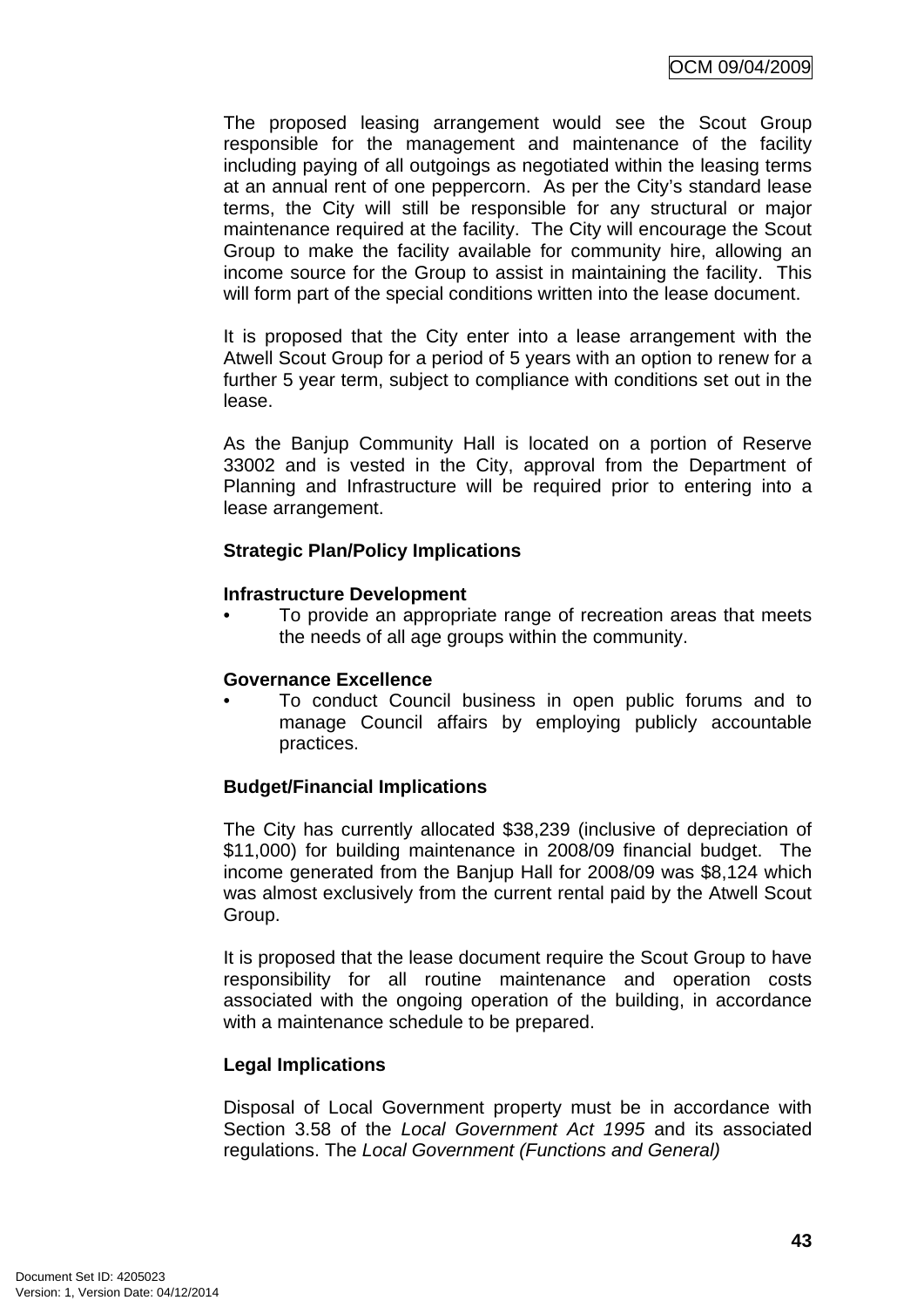The proposed leasing arrangement would see the Scout Group responsible for the management and maintenance of the facility including paying of all outgoings as negotiated within the leasing terms at an annual rent of one peppercorn. As per the City's standard lease terms, the City will still be responsible for any structural or major maintenance required at the facility. The City will encourage the Scout Group to make the facility available for community hire, allowing an income source for the Group to assist in maintaining the facility. This will form part of the special conditions written into the lease document.

It is proposed that the City enter into a lease arrangement with the Atwell Scout Group for a period of 5 years with an option to renew for a further 5 year term, subject to compliance with conditions set out in the lease.

As the Banjup Community Hall is located on a portion of Reserve 33002 and is vested in the City, approval from the Department of Planning and Infrastructure will be required prior to entering into a lease arrangement.

## **Strategic Plan/Policy Implications**

#### **Infrastructure Development**

• To provide an appropriate range of recreation areas that meets the needs of all age groups within the community.

#### **Governance Excellence**

• To conduct Council business in open public forums and to manage Council affairs by employing publicly accountable practices.

## **Budget/Financial Implications**

The City has currently allocated \$38,239 (inclusive of depreciation of \$11,000) for building maintenance in 2008/09 financial budget. The income generated from the Banjup Hall for 2008/09 was \$8,124 which was almost exclusively from the current rental paid by the Atwell Scout Group.

It is proposed that the lease document require the Scout Group to have responsibility for all routine maintenance and operation costs associated with the ongoing operation of the building, in accordance with a maintenance schedule to be prepared.

#### **Legal Implications**

Disposal of Local Government property must be in accordance with Section 3.58 of the *Local Government Act 1995* and its associated regulations. The *Local Government (Functions and General)*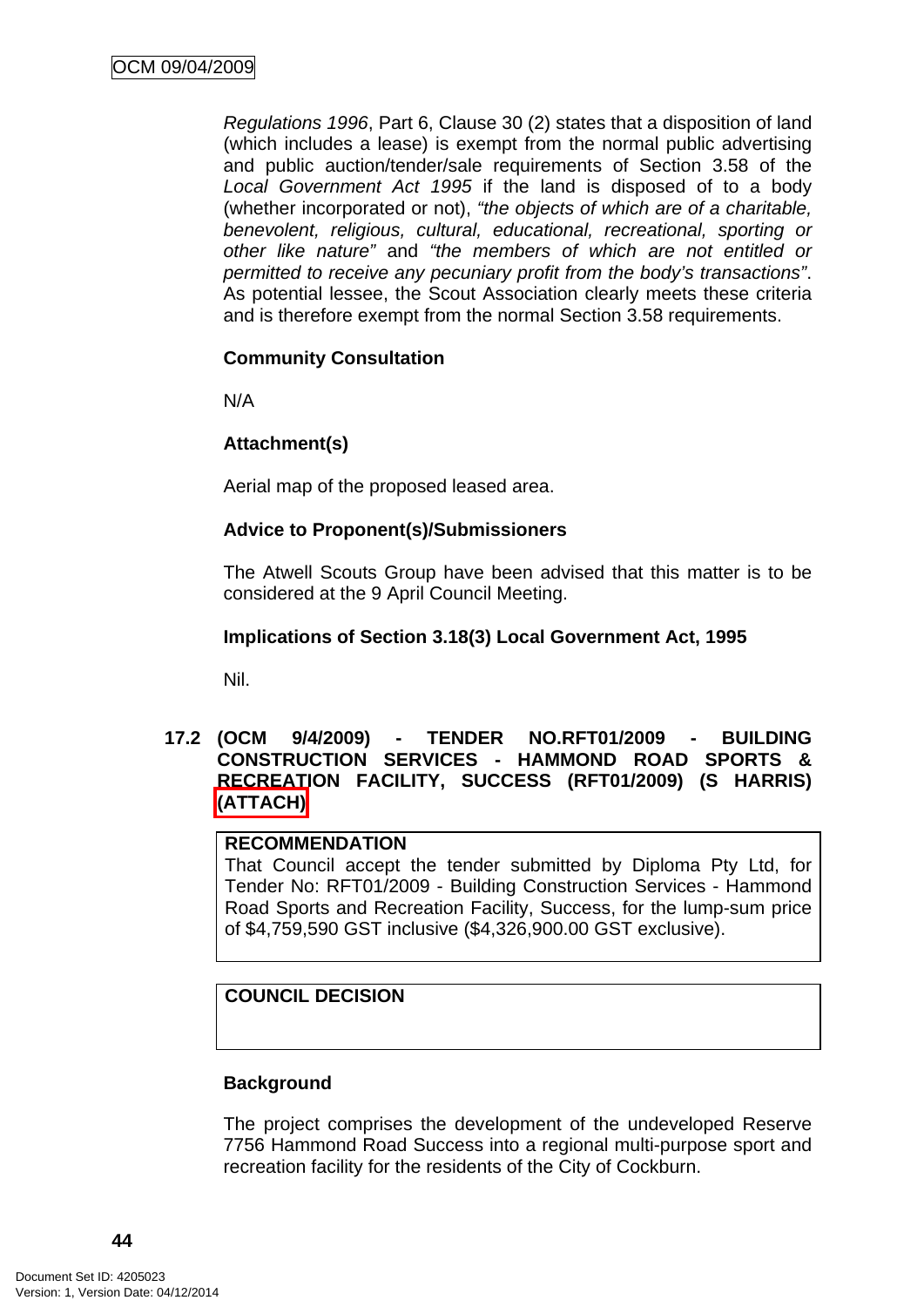<span id="page-43-0"></span>*Regulations 1996*, Part 6, Clause 30 (2) states that a disposition of land (which includes a lease) is exempt from the normal public advertising and public auction/tender/sale requirements of Section 3.58 of the *Local Government Act 1995* if the land is disposed of to a body (whether incorporated or not), *"the objects of which are of a charitable, benevolent, religious, cultural, educational, recreational, sporting or other like nature"* and *"the members of which are not entitled or permitted to receive any pecuniary profit from the body's transactions"*. As potential lessee, the Scout Association clearly meets these criteria and is therefore exempt from the normal Section 3.58 requirements.

## **Community Consultation**

N/A

## **Attachment(s)**

Aerial map of the proposed leased area.

#### **Advice to Proponent(s)/Submissioners**

The Atwell Scouts Group have been advised that this matter is to be considered at the 9 April Council Meeting.

#### **Implications of Section 3.18(3) Local Government Act, 1995**

Nil.

#### **17.2 (OCM 9/4/2009) - TENDER NO.RFT01/2009 - BUILDING CONSTRUCTION SERVICES - HAMMOND ROAD SPORTS & RECREATION FACILITY, SUCCESS (RFT01/2009) (S HARRIS) (ATTACH)**

#### **RECOMMENDATION**

That Council accept the tender submitted by Diploma Pty Ltd, for Tender No: RFT01/2009 - Building Construction Services - Hammond Road Sports and Recreation Facility, Success, for the lump-sum price of \$4,759,590 GST inclusive (\$4,326,900.00 GST exclusive).

## **COUNCIL DECISION**

#### **Background**

The project comprises the development of the undeveloped Reserve 7756 Hammond Road Success into a regional multi-purpose sport and recreation facility for the residents of the City of Cockburn.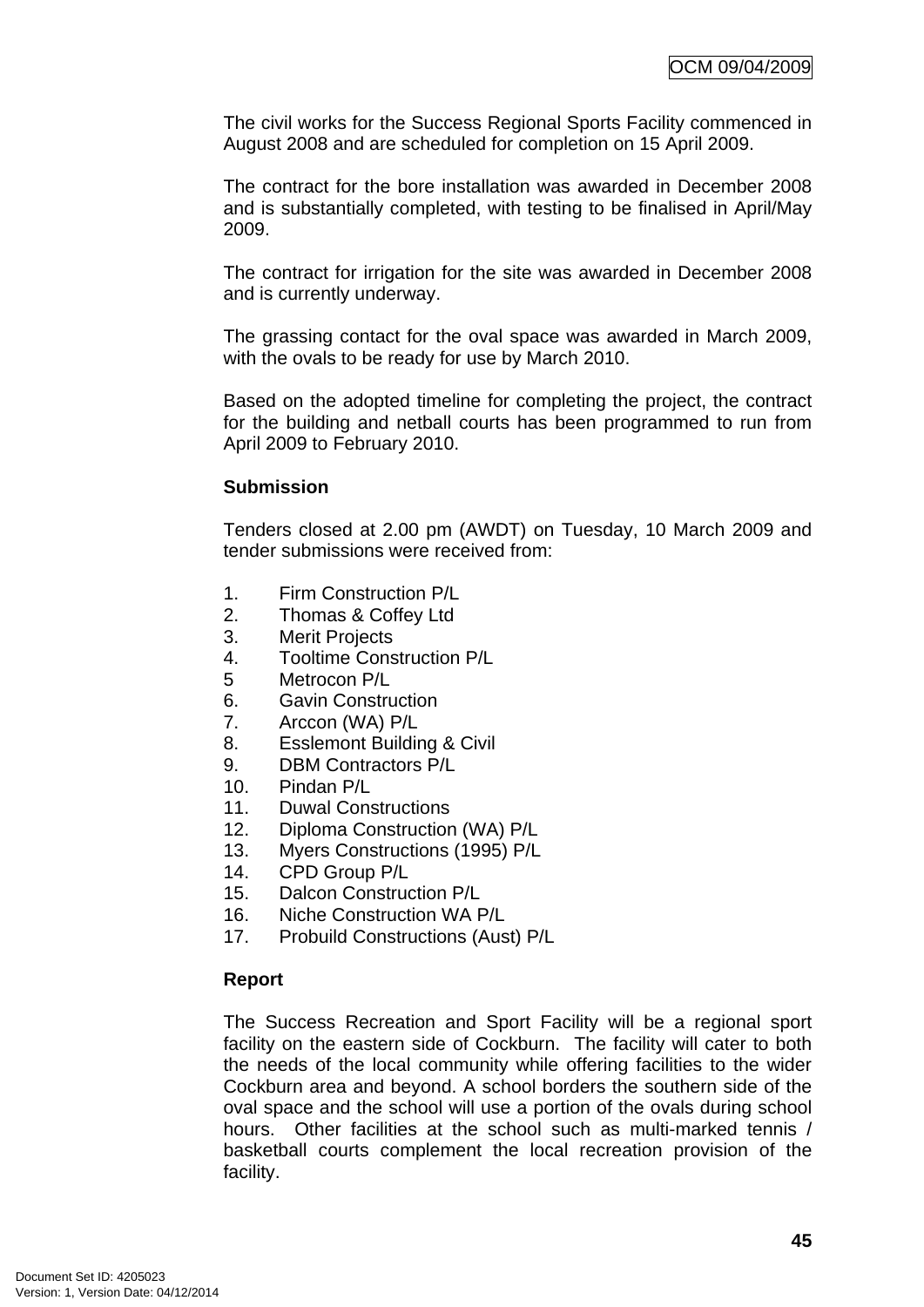The civil works for the Success Regional Sports Facility commenced in August 2008 and are scheduled for completion on 15 April 2009.

The contract for the bore installation was awarded in December 2008 and is substantially completed, with testing to be finalised in April/May 2009.

The contract for irrigation for the site was awarded in December 2008 and is currently underway.

The grassing contact for the oval space was awarded in March 2009, with the ovals to be ready for use by March 2010.

Based on the adopted timeline for completing the project, the contract for the building and netball courts has been programmed to run from April 2009 to February 2010.

## **Submission**

Tenders closed at 2.00 pm (AWDT) on Tuesday, 10 March 2009 and tender submissions were received from:

- 1. Firm Construction P/L
- 2. Thomas & Coffey Ltd
- 3. Merit Projects
- 4. Tooltime Construction P/L
- 5 Metrocon P/L
- 6. Gavin Construction
- 7. Arccon (WA) P/L
- 8. Esslemont Building & Civil
- 9. DBM Contractors P/L
- 10. Pindan P/L
- 11. Duwal Constructions
- 12. Diploma Construction (WA) P/L
- 13. Myers Constructions (1995) P/L
- 14. CPD Group P/L
- 15. Dalcon Construction P/L
- 16. Niche Construction WA P/L
- 17. Probuild Constructions (Aust) P/L

#### **Report**

The Success Recreation and Sport Facility will be a regional sport facility on the eastern side of Cockburn. The facility will cater to both the needs of the local community while offering facilities to the wider Cockburn area and beyond. A school borders the southern side of the oval space and the school will use a portion of the ovals during school hours. Other facilities at the school such as multi-marked tennis / basketball courts complement the local recreation provision of the facility.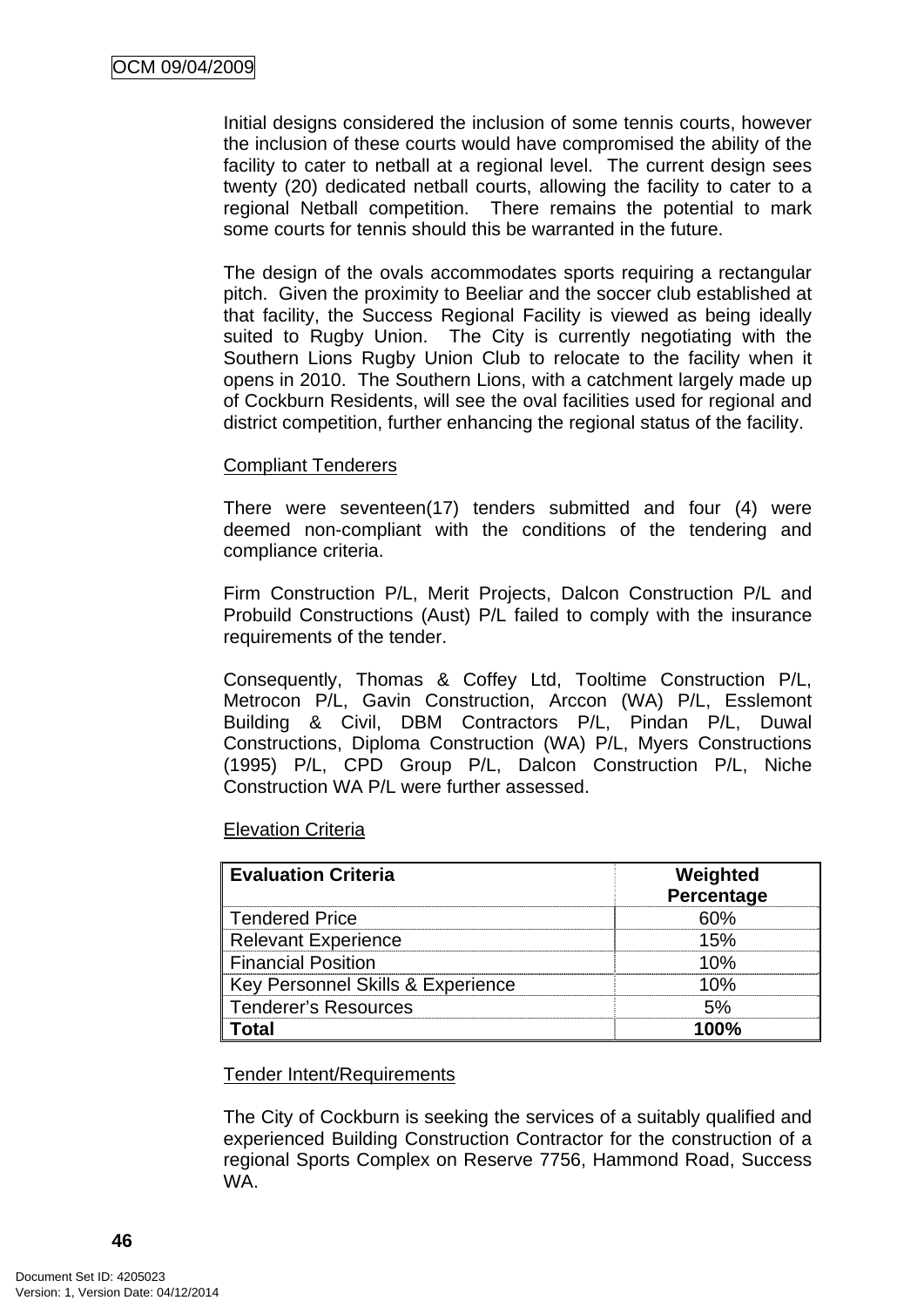Initial designs considered the inclusion of some tennis courts, however the inclusion of these courts would have compromised the ability of the facility to cater to netball at a regional level. The current design sees twenty (20) dedicated netball courts, allowing the facility to cater to a regional Netball competition. There remains the potential to mark some courts for tennis should this be warranted in the future.

The design of the ovals accommodates sports requiring a rectangular pitch. Given the proximity to Beeliar and the soccer club established at that facility, the Success Regional Facility is viewed as being ideally suited to Rugby Union. The City is currently negotiating with the Southern Lions Rugby Union Club to relocate to the facility when it opens in 2010. The Southern Lions, with a catchment largely made up of Cockburn Residents, will see the oval facilities used for regional and district competition, further enhancing the regional status of the facility.

#### Compliant Tenderers

There were seventeen(17) tenders submitted and four (4) were deemed non-compliant with the conditions of the tendering and compliance criteria.

Firm Construction P/L, Merit Projects, Dalcon Construction P/L and Probuild Constructions (Aust) P/L failed to comply with the insurance requirements of the tender.

Consequently, Thomas & Coffey Ltd, Tooltime Construction P/L, Metrocon P/L, Gavin Construction, Arccon (WA) P/L, Esslemont Building & Civil, DBM Contractors P/L, Pindan P/L, Duwal Constructions, Diploma Construction (WA) P/L, Myers Constructions (1995) P/L, CPD Group P/L, Dalcon Construction P/L, Niche Construction WA P/L were further assessed.

#### Elevation Criteria

| <b>Evaluation Criteria</b>        | Weighted<br>Percentage |  |  |
|-----------------------------------|------------------------|--|--|
| <b>Tendered Price</b>             | 60%                    |  |  |
| <b>Relevant Experience</b>        | 15%                    |  |  |
| <b>Financial Position</b>         | 10%                    |  |  |
| Key Personnel Skills & Experience | 10%                    |  |  |
| <b>Tenderer's Resources</b>       |                        |  |  |
| <b>intal</b>                      | 100%                   |  |  |

#### Tender Intent/Requirements

The City of Cockburn is seeking the services of a suitably qualified and experienced Building Construction Contractor for the construction of a regional Sports Complex on Reserve 7756, Hammond Road, Success WA.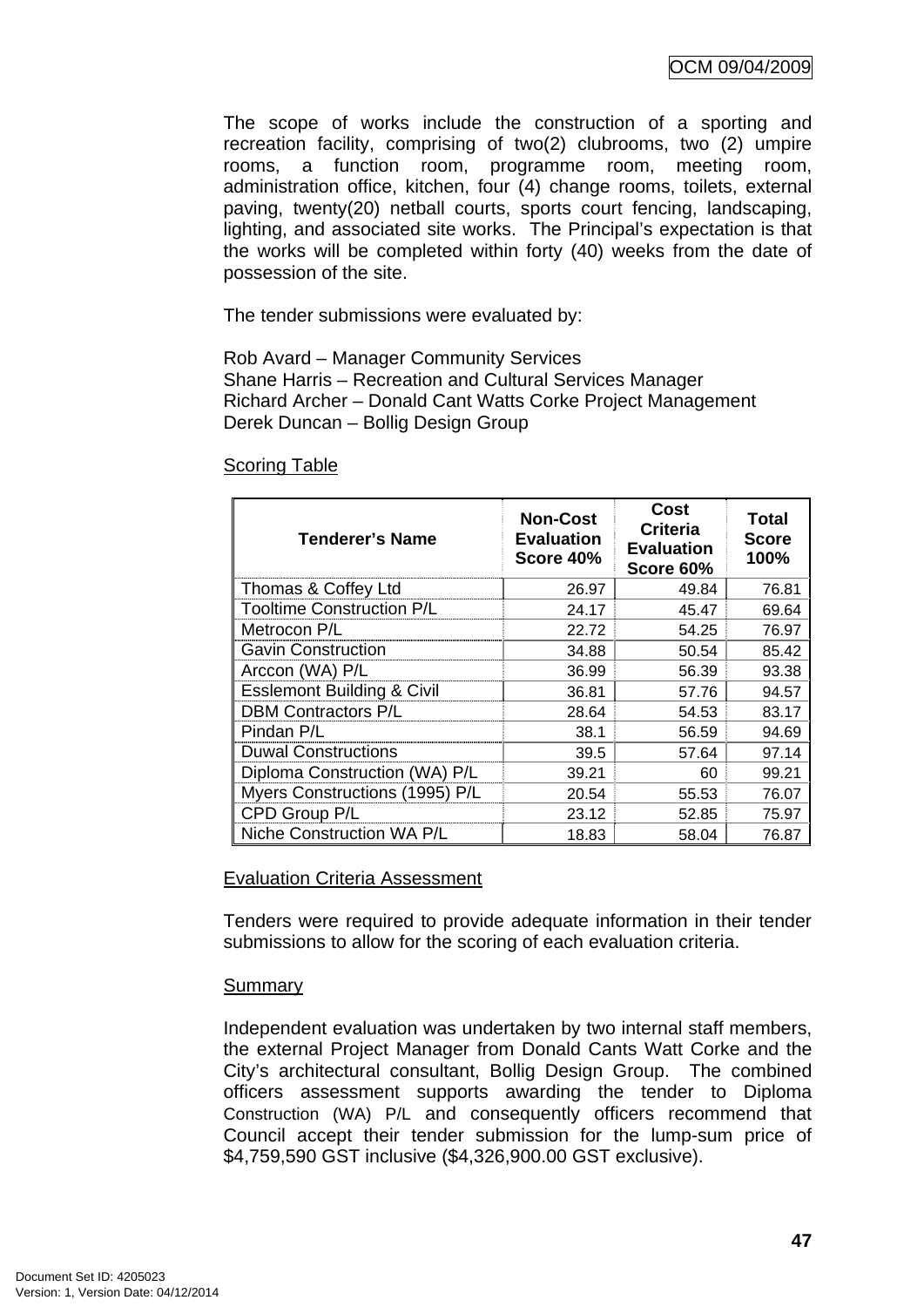The scope of works include the construction of a sporting and recreation facility, comprising of two(2) clubrooms, two (2) umpire rooms, a function room, programme room, meeting room, administration office, kitchen, four (4) change rooms, toilets, external paving, twenty(20) netball courts, sports court fencing, landscaping, lighting, and associated site works. The Principal's expectation is that the works will be completed within forty (40) weeks from the date of possession of the site.

The tender submissions were evaluated by:

Rob Avard – Manager Community Services Shane Harris – Recreation and Cultural Services Manager Richard Archer – Donald Cant Watts Corke Project Management Derek Duncan – Bollig Design Group

| Tenderer's Name                       | <b>Non-Cost</b><br><b>Evaluation</b><br>Score 40% | Cost<br><b>Criteria</b><br><b>Evaluation</b><br>Score 60% | Total<br><b>Score</b><br>100% |
|---------------------------------------|---------------------------------------------------|-----------------------------------------------------------|-------------------------------|
| Thomas & Coffey Ltd                   | 26.97                                             | 49.84                                                     | 76.81                         |
| <b>Tooltime Construction P/L</b>      | 24.17                                             | 45.47                                                     | 69.64                         |
| Metrocon P/L                          | 22.72                                             | 54.25                                                     | 76.97                         |
| <b>Gavin Construction</b>             | 34.88                                             | 50.54                                                     | 85.42                         |
| Arccon (WA) P/L                       | 36.99                                             | 56.39                                                     | 93.38                         |
| <b>Esslemont Building &amp; Civil</b> | 36.81                                             | 57.76                                                     | 94.57                         |
| <b>DBM Contractors P/L</b>            | 28.64                                             | 54.53                                                     | 83.17                         |
| Pindan P/L                            | 38.1                                              | 56.59                                                     | 94.69                         |
| <b>Duwal Constructions</b>            | 39.5                                              | 57.64                                                     | 97.14                         |
| Diploma Construction (WA) P/L         | 39.21                                             | 60                                                        | 99.21                         |
| Myers Constructions (1995) P/L        | 20.54                                             | 55.53                                                     | 76.07                         |
| CPD Group P/L                         | 23.12                                             | 52.85                                                     | 75.97                         |
| Niche Construction WA P/L             | 18.83                                             | 58.04                                                     | 76.87                         |

#### Scoring Table

#### Evaluation Criteria Assessment

Tenders were required to provide adequate information in their tender submissions to allow for the scoring of each evaluation criteria.

#### Summary

Independent evaluation was undertaken by two internal staff members, the external Project Manager from Donald Cants Watt Corke and the City's architectural consultant, Bollig Design Group. The combined officers assessment supports awarding the tender to Diploma Construction (WA) P/L and consequently officers recommend that Council accept their tender submission for the lump-sum price of \$4,759,590 GST inclusive (\$4,326,900.00 GST exclusive).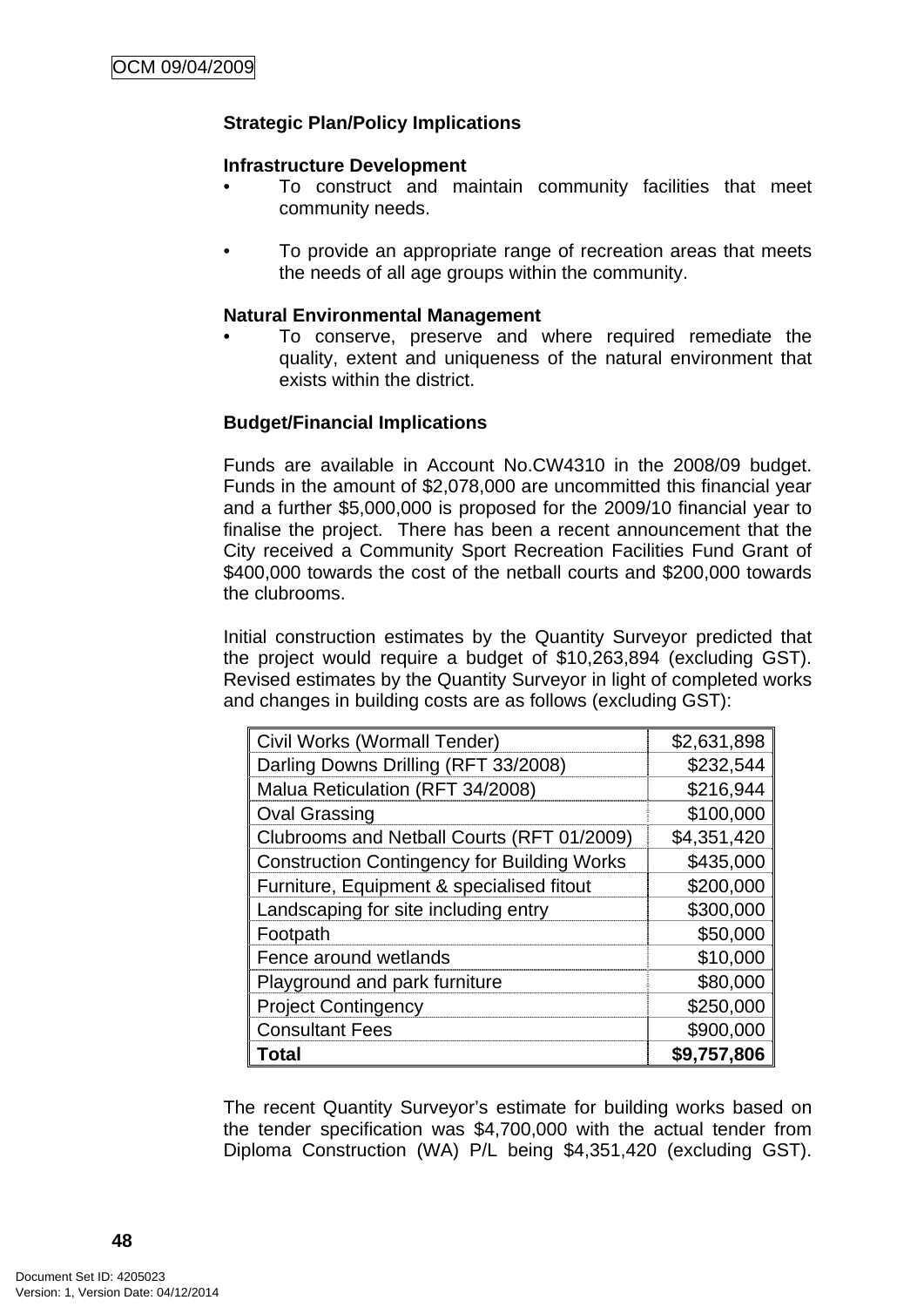#### **Strategic Plan/Policy Implications**

#### **Infrastructure Development**

- To construct and maintain community facilities that meet community needs.
- To provide an appropriate range of recreation areas that meets the needs of all age groups within the community.

#### **Natural Environmental Management**

• To conserve, preserve and where required remediate the quality, extent and uniqueness of the natural environment that exists within the district.

#### **Budget/Financial Implications**

Funds are available in Account No.CW4310 in the 2008/09 budget. Funds in the amount of \$2,078,000 are uncommitted this financial year and a further \$5,000,000 is proposed for the 2009/10 financial year to finalise the project. There has been a recent announcement that the City received a Community Sport Recreation Facilities Fund Grant of \$400,000 towards the cost of the netball courts and \$200,000 towards the clubrooms.

Initial construction estimates by the Quantity Surveyor predicted that the project would require a budget of \$10,263,894 (excluding GST). Revised estimates by the Quantity Surveyor in light of completed works and changes in building costs are as follows (excluding GST):

| Civil Works (Wormall Tender)                       | \$2,631,898 |
|----------------------------------------------------|-------------|
| Darling Downs Drilling (RFT 33/2008)               | \$232,544   |
| Malua Reticulation (RFT 34/2008)                   | \$216,944   |
| <b>Oval Grassing</b>                               | \$100,000   |
| Clubrooms and Netball Courts (RFT 01/2009)         | \$4,351,420 |
| <b>Construction Contingency for Building Works</b> | \$435,000   |
| Furniture, Equipment & specialised fitout          | \$200,000   |
| Landscaping for site including entry               | \$300,000   |
| Footpath                                           | \$50,000    |
| Fence around wetlands                              | \$10,000    |
| Playground and park furniture                      | \$80,000    |
| <b>Project Contingency</b>                         | \$250,000   |
| <b>Consultant Fees</b>                             | \$900,000   |
| Total                                              | \$9,757,806 |

The recent Quantity Surveyor's estimate for building works based on the tender specification was \$4,700,000 with the actual tender from Diploma Construction (WA) P/L being \$4,351,420 (excluding GST).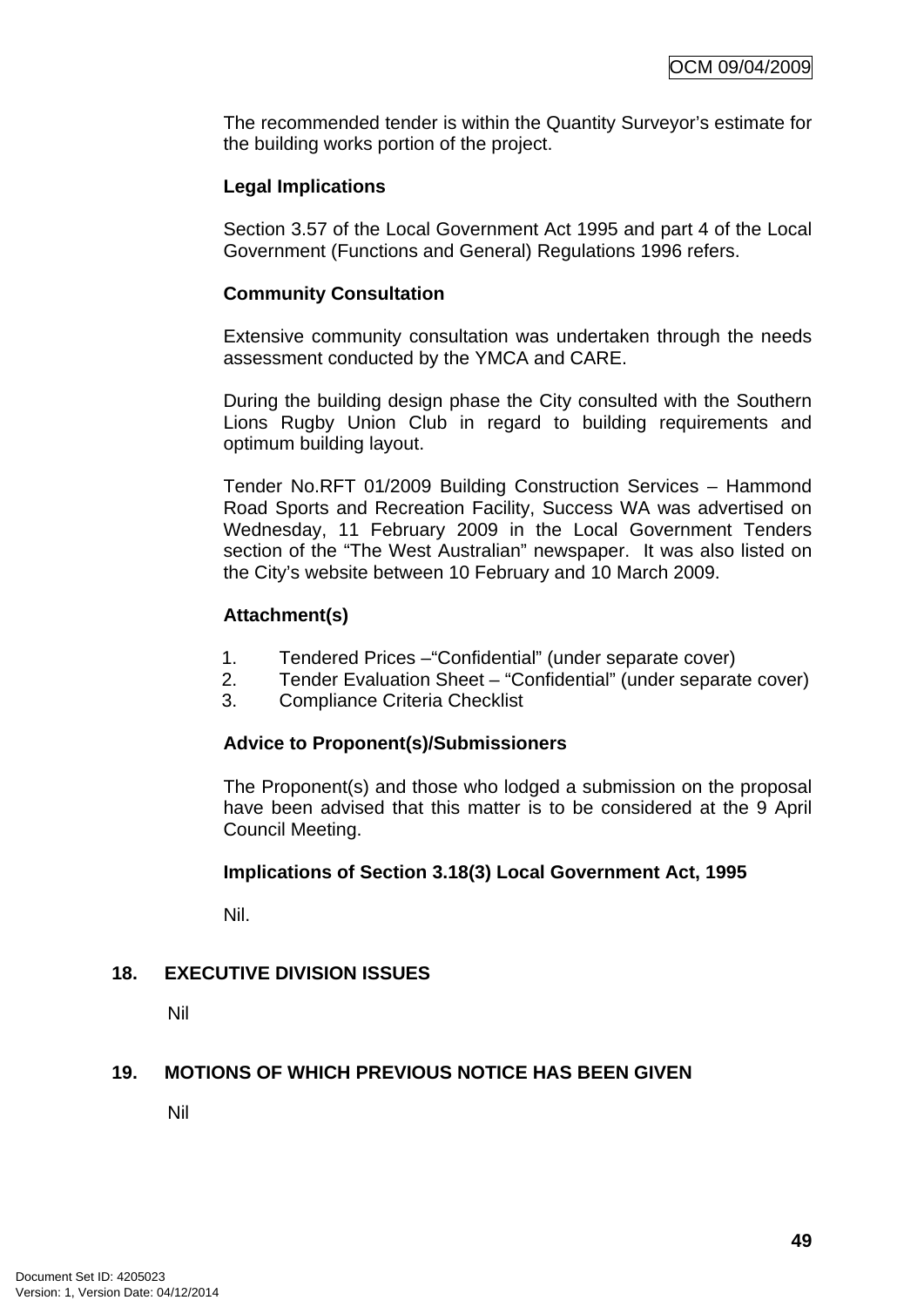<span id="page-48-0"></span>The recommended tender is within the Quantity Surveyor's estimate for the building works portion of the project.

## **Legal Implications**

Section 3.57 of the Local Government Act 1995 and part 4 of the Local Government (Functions and General) Regulations 1996 refers.

#### **Community Consultation**

Extensive community consultation was undertaken through the needs assessment conducted by the YMCA and CARE.

During the building design phase the City consulted with the Southern Lions Rugby Union Club in regard to building requirements and optimum building layout.

Tender No.RFT 01/2009 Building Construction Services – Hammond Road Sports and Recreation Facility, Success WA was advertised on Wednesday, 11 February 2009 in the Local Government Tenders section of the "The West Australian" newspaper. It was also listed on the City's website between 10 February and 10 March 2009.

## **Attachment(s)**

- 1. Tendered Prices –"Confidential" (under separate cover)
- 2. Tender Evaluation Sheet "Confidential" (under separate cover)
- 3. Compliance Criteria Checklist

## **Advice to Proponent(s)/Submissioners**

The Proponent(s) and those who lodged a submission on the proposal have been advised that this matter is to be considered at the 9 April Council Meeting.

#### **Implications of Section 3.18(3) Local Government Act, 1995**

Nil.

## **18. EXECUTIVE DIVISION ISSUES**

Nil

## **19. MOTIONS OF WHICH PREVIOUS NOTICE HAS BEEN GIVEN**

Nil